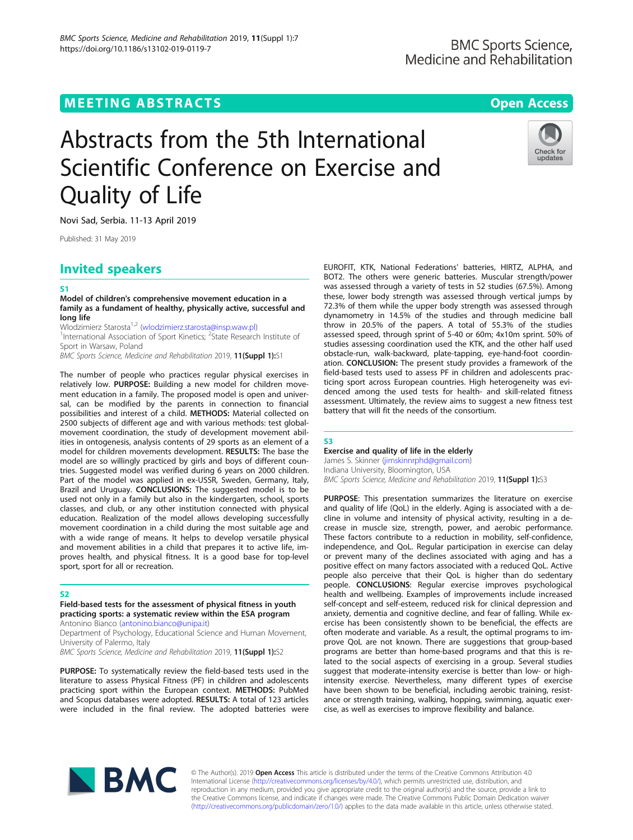## MEETING ABSTRACTS AND RESERVE THE SERVE AND THE SERVE ASSESSED AND RESERVE ASSESSED AND RESERVE ASSESSED AND RESERVE ASSESSED AND RESERVE ASSESSED AND RESERVE ASSESSED AND RESERVE ASSESSED AND RESERVE ASSESSED AND RESERVE

# Abstracts from the 5th International Scientific Conference on Exercise and Quality of Life



Novi Sad, Serbia. 11-13 April 2019

Published: 31 May 2019

## Invited speakers

## S<sub>1</sub>

## Model of children's comprehensive movement education in a family as a fundament of healthy, physically active, successful and long life

Wlodzimierz Starosta<sup>1,2</sup> [\(wlodzimierz.starosta@insp.waw.pl](wlodzimierz.starosta@insp.waw.pl))

International Association of Sport Kinetics; <sup>2</sup>State Research Institute of Sport in Warsaw, Poland

BMC Sports Science, Medicine and Rehabilitation 2019, 11(Suppl 1):S1

The number of people who practices regular physical exercises in relatively low. PURPOSE: Building a new model for children movement education in a family. The proposed model is open and universal, can be modified by the parents in connection to financial possibilities and interest of a child. METHODS: Material collected on 2500 subjects of different age and with various methods: test globalmovement coordination, the study of development movement abilities in ontogenesis, analysis contents of 29 sports as an element of a model for children movements development. RESULTS: The base the model are so willingly practiced by girls and boys of different countries. Suggested model was verified during 6 years on 2000 children. Part of the model was applied in ex-USSR, Sweden, Germany, Italy, Brazil and Uruguay. CONCLUSIONS: The suggested model is to be used not only in a family but also in the kindergarten, school, sports classes, and club, or any other institution connected with physical education. Realization of the model allows developing successfully movement coordination in a child during the most suitable age and with a wide range of means. It helps to develop versatile physical and movement abilities in a child that prepares it to active life, improves health, and physical fitness. It is a good base for top-level sport, sport for all or recreation.

## S<sub>2</sub>

## Field-based tests for the assessment of physical fitness in youth practicing sports: a systematic review within the ESA program

Antonino Bianco [\(antonino.bianco@unipa.it](antonino.bianco@unipa.it)) Department of Psychology, Educational Science and Human Movement,

University of Palermo, Italy

BMC Sports Science, Medicine and Rehabilitation 2019, 11(Suppl 1):S2

PURPOSE: To systematically review the field-based tests used in the literature to assess Physical Fitness (PF) in children and adolescents practicing sport within the European context. METHODS: PubMed and Scopus databases were adopted. RESULTS: A total of 123 articles were included in the final review. The adopted batteries were EUROFIT, KTK, National Federations' batteries, HIRTZ, ALPHA, and BOT2. The others were generic batteries. Muscular strength/power was assessed through a variety of tests in 52 studies (67.5%). Among these, lower body strength was assessed through vertical jumps by 72.3% of them while the upper body strength was assessed through dynamometry in 14.5% of the studies and through medicine ball throw in 20.5% of the papers. A total of 55.3% of the studies assessed speed, through sprint of 5-40 or 60m; 4x10m sprint. 50% of studies assessing coordination used the KTK, and the other half used obstacle-run, walk-backward, plate-tapping, eye-hand-foot coordination. CONCLUSION: The present study provides a framework of the field-based tests used to assess PF in children and adolescents practicing sport across European countries. High heterogeneity was evidenced among the used tests for health- and skill-related fitness assessment. Ultimately, the review aims to suggest a new fitness test battery that will fit the needs of the consortium.

## **S3**

## Exercise and quality of life in the elderly

James S. Skinner (<jimskinnrphd@gmail.com>) Indiana University, Bloomington, USA BMC Sports Science, Medicine and Rehabilitation 2019, 11(Suppl 1):S3

PURPOSE: This presentation summarizes the literature on exercise and quality of life (QoL) in the elderly. Aging is associated with a decline in volume and intensity of physical activity, resulting in a decrease in muscle size, strength, power, and aerobic performance. These factors contribute to a reduction in mobility, self-confidence, independence, and QoL. Regular participation in exercise can delay or prevent many of the declines associated with aging and has a positive effect on many factors associated with a reduced QoL. Active people also perceive that their QoL is higher than do sedentary people. CONCLUSIONS: Regular exercise improves psychological health and wellbeing. Examples of improvements include increased self-concept and self-esteem, reduced risk for clinical depression and anxiety, dementia and cognitive decline, and fear of falling. While exercise has been consistently shown to be beneficial, the effects are often moderate and variable. As a result, the optimal programs to improve QoL are not known. There are suggestions that group-based programs are better than home-based programs and that this is related to the social aspects of exercising in a group. Several studies suggest that moderate-intensity exercise is better than low- or highintensity exercise. Nevertheless, many different types of exercise have been shown to be beneficial, including aerobic training, resistance or strength training, walking, hopping, swimming, aquatic exercise, as well as exercises to improve flexibility and balance.



© The Author(s). 2019 Open Access This article is distributed under the terms of the Creative Commons Attribution 4.0 International License ([http://creativecommons.org/licenses/by/4.0/\)](http://creativecommons.org/licenses/by/4.0/), which permits unrestricted use, distribution, and reproduction in any medium, provided you give appropriate credit to the original author(s) and the source, provide a link to the Creative Commons license, and indicate if changes were made. The Creative Commons Public Domain Dedication waiver ([http://creativecommons.org/publicdomain/zero/1.0/\)](http://creativecommons.org/publicdomain/zero/1.0/) applies to the data made available in this article, unless otherwise stated.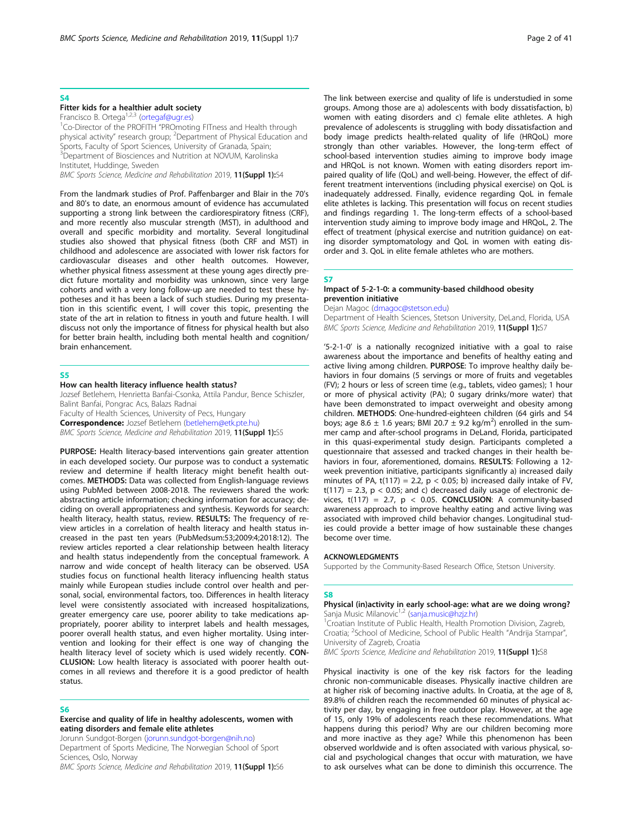## S4

## Fitter kids for a healthier adult society

Francisco B. Ortega<sup>1,2,3</sup> [\(ortegaf@ugr.es](ortegaf@ugr.es)) <sup>1</sup>Co-Director of the PROFITH "PROmoting FITness and Health through physical activity" research group; <sup>2</sup>Department of Physical Education and Sports, Faculty of Sport Sciences, University of Granada, Spain; <sup>3</sup>Department of Biosciences and Nutrition at NOVUM, Karolinska Institutet, Huddinge, Sweden

BMC Sports Science, Medicine and Rehabilitation 2019, 11(Suppl 1):S4

From the landmark studies of Prof. Paffenbarger and Blair in the 70's and 80's to date, an enormous amount of evidence has accumulated supporting a strong link between the cardiorespiratory fitness (CRF), and more recently also muscular strength (MST), in adulthood and overall and specific morbidity and mortality. Several longitudinal studies also showed that physical fitness (both CRF and MST) in childhood and adolescence are associated with lower risk factors for cardiovascular diseases and other health outcomes. However, whether physical fitness assessment at these young ages directly predict future mortality and morbidity was unknown, since very large cohorts and with a very long follow-up are needed to test these hypotheses and it has been a lack of such studies. During my presentation in this scientific event, I will cover this topic, presenting the state of the art in relation to fitness in youth and future health. I will discuss not only the importance of fitness for physical health but also for better brain health, including both mental health and cognition/ brain enhancement.

## S5

## How can health literacy influence health status?

Jozsef Betlehem, Henrietta Banfai-Csonka, Attila Pandur, Bence Schiszler, Balint Banfai, Pongrac Acs, Balazs Radnai Faculty of Health Sciences, University of Pecs, Hungary Correspondence: Jozsef Betlehem (<betlehem@etk.pte.hu>) BMC Sports Science, Medicine and Rehabilitation 2019, 11(Suppl 1):S5

PURPOSE: Health literacy-based interventions gain greater attention in each developed society. Our purpose was to conduct a systematic review and determine if health literacy might benefit health outcomes. METHODS: Data was collected from English-language reviews using PubMed between 2008-2018. The reviewers shared the work: abstracting article information; checking information for accuracy; deciding on overall appropriateness and synthesis. Keywords for search: health literacy, health status, review. RESULTS: The frequency of review articles in a correlation of health literacy and health status increased in the past ten years (PubMedsum:53;2009:4;2018:12). The review articles reported a clear relationship between health literacy and health status independently from the conceptual framework. A narrow and wide concept of health literacy can be observed. USA studies focus on functional health literacy influencing health status mainly while European studies include control over health and personal, social, environmental factors, too. Differences in health literacy level were consistently associated with increased hospitalizations, greater emergency care use, poorer ability to take medications appropriately, poorer ability to interpret labels and health messages, poorer overall health status, and even higher mortality. Using intervention and looking for their effect is one way of changing the health literacy level of society which is used widely recently. CON-CLUSION: Low health literacy is associated with poorer health outcomes in all reviews and therefore it is a good predictor of health status.

#### S6

## Exercise and quality of life in healthy adolescents, women with eating disorders and female elite athletes

Jorunn Sundgot-Borgen ([jorunn.sundgot-borgen@nih.no\)](jorunn.sundgot-borgen@nih.no) Department of Sports Medicine, The Norwegian School of Sport Sciences, Oslo, Norway

BMC Sports Science, Medicine and Rehabilitation 2019, 11(Suppl 1):S6

The link between exercise and quality of life is understudied in some groups. Among those are a) adolescents with body dissatisfaction, b) women with eating disorders and c) female elite athletes. A high prevalence of adolescents is struggling with body dissatisfaction and body image predicts health-related quality of life (HRQoL) more strongly than other variables. However, the long-term effect of school-based intervention studies aiming to improve body image and HRQoL is not known. Women with eating disorders report impaired quality of life (QoL) and well-being. However, the effect of different treatment interventions (including physical exercise) on QoL is inadequately addressed. Finally, evidence regarding QoL in female elite athletes is lacking. This presentation will focus on recent studies and findings regarding 1. The long-term effects of a school-based intervention study aiming to improve body image and HRQoL, 2. The effect of treatment (physical exercise and nutrition guidance) on eating disorder symptomatology and QoL in women with eating disorder and 3. QoL in elite female athletes who are mothers.

## S7

#### Impact of 5-2-1-0: a community-based childhood obesity prevention initiative

Dejan Magoc (<dmagoc@stetson.edu>)

Department of Health Sciences, Stetson University, DeLand, Florida, USA BMC Sports Science, Medicine and Rehabilitation 2019, 11(Suppl 1):S7

'5-2-1-0' is a nationally recognized initiative with a goal to raise awareness about the importance and benefits of healthy eating and active living among children. PURPOSE: To improve healthy daily behaviors in four domains (5 servings or more of fruits and vegetables (FV); 2 hours or less of screen time (e.g., tablets, video games); 1 hour or more of physical activity (PA); 0 sugary drinks/more water) that have been demonstrated to impact overweight and obesity among children. METHODS: One-hundred-eighteen children (64 girls and 54 boys; age 8.6  $\pm$  1.6 years; BMI 20.7  $\pm$  9.2 kg/m<sup>2</sup>) enrolled in the summer camp and after-school programs in DeLand, Florida, participated in this quasi-experimental study design. Participants completed a questionnaire that assessed and tracked changes in their health behaviors in four, aforementioned, domains. RESULTS: Following a 12 week prevention initiative, participants significantly a) increased daily minutes of PA,  $t(117) = 2.2$ ,  $p < 0.05$ ; b) increased daily intake of FV,  $t(117) = 2.3$ ,  $p < 0.05$ ; and c) decreased daily usage of electronic devices,  $t(117) = 2.7$ ,  $p < 0.05$ . **CONCLUSION**: A community-based awareness approach to improve healthy eating and active living was associated with improved child behavior changes. Longitudinal studies could provide a better image of how sustainable these changes become over time.

## ACKNOWLEDGMENTS

Supported by the Community-Based Research Office, Stetson University.

#### **SR**

## Physical (in)activity in early school-age: what are we doing wrong? Sanja Music Milanovic<sup>1,2</sup> [\(sanja.music@hzjz.hr\)](sanja.music@hzjz.hr)

<sup>1</sup>Croatian Institute of Public Health, Health Promotion Division, Zagreb, Croatia; <sup>2</sup>School of Medicine, School of Public Health "Andrija Stampar" University of Zagreb, Croatia

BMC Sports Science, Medicine and Rehabilitation 2019, 11(Suppl 1):S8

Physical inactivity is one of the key risk factors for the leading chronic non-communicable diseases. Physically inactive children are at higher risk of becoming inactive adults. In Croatia, at the age of 8, 89.8% of children reach the recommended 60 minutes of physical activity per day, by engaging in free outdoor play. However, at the age of 15, only 19% of adolescents reach these recommendations. What happens during this period? Why are our children becoming more and more inactive as they age? While this phenomenon has been observed worldwide and is often associated with various physical, social and psychological changes that occur with maturation, we have to ask ourselves what can be done to diminish this occurrence. The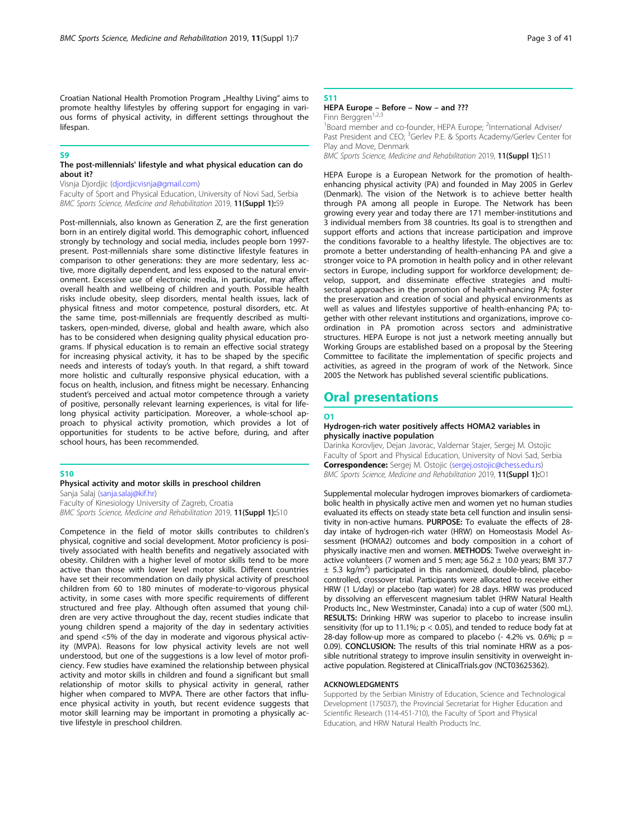Croatian National Health Promotion Program "Healthy Living" aims to promote healthy lifestyles by offering support for engaging in various forms of physical activity, in different settings throughout the lifespan.

## S9

#### The post-millennials' lifestyle and what physical education can do about it?

Visnja Djordjic (<djordjicvisnja@gmail.com>)

Faculty of Sport and Physical Education, University of Novi Sad, Serbia BMC Sports Science, Medicine and Rehabilitation 2019, 11(Suppl 1):S9

Post-millennials, also known as Generation Z, are the first generation born in an entirely digital world. This demographic cohort, influenced strongly by technology and social media, includes people born 1997 present. Post-millennials share some distinctive lifestyle features in comparison to other generations: they are more sedentary, less active, more digitally dependent, and less exposed to the natural environment. Excessive use of electronic media, in particular, may affect overall health and wellbeing of children and youth. Possible health risks include obesity, sleep disorders, mental health issues, lack of physical fitness and motor competence, postural disorders, etc. At the same time, post-millennials are frequently described as multitaskers, open-minded, diverse, global and health aware, which also has to be considered when designing quality physical education programs. If physical education is to remain an effective social strategy for increasing physical activity, it has to be shaped by the specific needs and interests of today's youth. In that regard, a shift toward more holistic and culturally responsive physical education, with a focus on health, inclusion, and fitness might be necessary. Enhancing student's perceived and actual motor competence through a variety of positive, personally relevant learning experiences, is vital for lifelong physical activity participation. Moreover, a whole-school approach to physical activity promotion, which provides a lot of opportunities for students to be active before, during, and after school hours, has been recommended.

#### S10

#### Physical activity and motor skills in preschool children Sanja Salaj [\(sanja.salaj@kif.hr](sanja.salaj@kif.hr))

Faculty of Kinesiology University of Zagreb, Croatia BMC Sports Science, Medicine and Rehabilitation 2019, 11(Suppl 1):S10

Competence in the field of motor skills contributes to children's physical, cognitive and social development. Motor proficiency is positively associated with health benefits and negatively associated with obesity. Children with a higher level of motor skills tend to be more active than those with lower level motor skills. Different countries have set their recommendation on daily physical activity of preschool children from 60 to 180 minutes of moderate‐to‐vigorous physical activity, in some cases with more specific requirements of different structured and free play. Although often assumed that young children are very active throughout the day, recent studies indicate that young children spend a majority of the day in sedentary activities and spend <5% of the day in moderate and vigorous physical activity (MVPA). Reasons for low physical activity levels are not well understood, but one of the suggestions is a low level of motor proficiency. Few studies have examined the relationship between physical activity and motor skills in children and found a significant but small relationship of motor skills to physical activity in general, rather higher when compared to MVPA. There are other factors that influence physical activity in youth, but recent evidence suggests that motor skill learning may be important in promoting a physically active lifestyle in preschool children.

## S11

## **HEPA Europe – Before – Now – and ???**<br>Finn Berggren<sup>1,2,3</sup>

<sup>1</sup>Board member and co-founder, HEPA Europe; <sup>2</sup>International Adviser/ Past President and CEO; <sup>3</sup>Gerlev P.E. & Sports Academy/Gerlev Center for Play and Move, Denmark

BMC Sports Science, Medicine and Rehabilitation 2019, 11(Suppl 1):S11

HEPA Europe is a European Network for the promotion of healthenhancing physical activity (PA) and founded in May 2005 in Gerlev (Denmark). The vision of the Network is to achieve better health through PA among all people in Europe. The Network has been growing every year and today there are 171 member-institutions and 3 individual members from 38 countries. Its goal is to strengthen and support efforts and actions that increase participation and improve the conditions favorable to a healthy lifestyle. The objectives are to: promote a better understanding of health-enhancing PA and give a stronger voice to PA promotion in health policy and in other relevant sectors in Europe, including support for workforce development; develop, support, and disseminate effective strategies and multisectoral approaches in the promotion of health-enhancing PA; foster the preservation and creation of social and physical environments as well as values and lifestyles supportive of health-enhancing PA; together with other relevant institutions and organizations, improve coordination in PA promotion across sectors and administrative structures. HEPA Europe is not just a network meeting annually but Working Groups are established based on a proposal by the Steering Committee to facilitate the implementation of specific projects and activities, as agreed in the program of work of the Network. Since 2005 the Network has published several scientific publications.

## Oral presentations

#### O1

#### Hydrogen-rich water positively affects HOMA2 variables in physically inactive population

Darinka Korovljev, Dejan Javorac, Valdemar Stajer, Sergej M. Ostojic Faculty of Sport and Physical Education, University of Novi Sad, Serbia Correspondence: Sergej M. Ostojic [\(sergej.ostojic@chess.edu.rs](sergej.ostojic@chess.edu.rs)) BMC Sports Science, Medicine and Rehabilitation 2019, 11(Suppl 1):01

Supplemental molecular hydrogen improves biomarkers of cardiometabolic health in physically active men and women yet no human studies evaluated its effects on steady state beta cell function and insulin sensitivity in non-active humans. PURPOSE: To evaluate the effects of 28 day intake of hydrogen-rich water (HRW) on Homeostasis Model Assessment (HOMA2) outcomes and body composition in a cohort of physically inactive men and women. METHODS: Twelve overweight inactive volunteers (7 women and 5 men; age  $56.2 \pm 10.0$  years; BMI 37.7  $\pm$  5.3 kg/m<sup>2</sup>) participated in this randomized, double-blind, placebocontrolled, crossover trial. Participants were allocated to receive either HRW (1 L/day) or placebo (tap water) for 28 days. HRW was produced by dissolving an effervescent magnesium tablet (HRW Natural Health Products Inc., New Westminster, Canada) into a cup of water (500 mL). RESULTS: Drinking HRW was superior to placebo to increase insulin sensitivity (for up to 11.1%;  $p < 0.05$ ), and tended to reduce body fat at 28-day follow-up more as compared to placebo (- 4.2% vs. 0.6%;  $p =$ 0.09). CONCLUSION: The results of this trial nominate HRW as a possible nutritional strategy to improve insulin sensitivity in overweight inactive population. Registered at ClinicalTrials.gov (NCT03625362).

#### ACKNOWLEDGMENTS

Supported by the Serbian Ministry of Education, Science and Technological Development (175037), the Provincial Secretariat for Higher Education and Scientific Research (114-451-710), the Faculty of Sport and Physical Education, and HRW Natural Health Products Inc.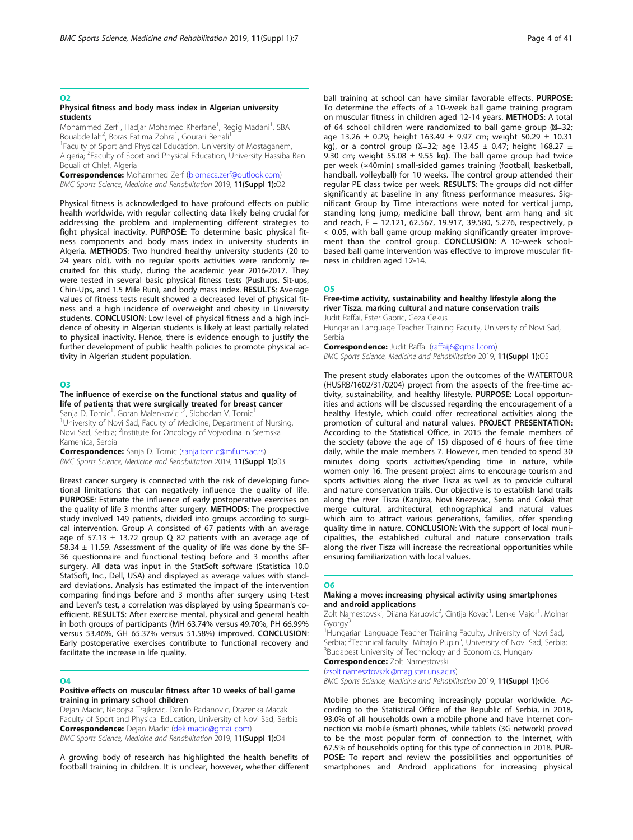## O<sub>2</sub>

#### Physical fitness and body mass index in Algerian university students

Mohammed Zerf<sup>1</sup>, Hadjar Mohamed Kherfane<sup>1</sup>, Regig Madani<sup>1</sup>, SBA Bouabdellah<sup>2</sup>, Boras Fatima Zohra<sup>1</sup>, Gourari Benali<sup>1</sup> <sup>1</sup> Faculty of Sport and Physical Education, University of Mostaganem,

Algeria; <sup>2</sup>Faculty of Sport and Physical Education, University Hassiba Ben Bouali of Chlef, Algeria

Correspondence: Mohammed Zerf (<biomeca.zerf@outlook.com>) BMC Sports Science, Medicine and Rehabilitation 2019, 11(Suppl 1):O2

Physical fitness is acknowledged to have profound effects on public health worldwide, with regular collecting data likely being crucial for addressing the problem and implementing different strategies to fight physical inactivity. PURPOSE: To determine basic physical fitness components and body mass index in university students in Algeria. METHODS: Two hundred healthy university students (20 to 24 years old), with no regular sports activities were randomly recruited for this study, during the academic year 2016-2017. They were tested in several basic physical fitness tests (Pushups. Sit-ups, Chin-Ups, and 1.5 Mile Run), and body mass index. RESULTS: Average values of fitness tests result showed a decreased level of physical fitness and a high incidence of overweight and obesity in University students. CONCLUSION: Low level of physical fitness and a high incidence of obesity in Algerian students is likely at least partially related to physical inactivity. Hence, there is evidence enough to justify the further development of public health policies to promote physical activity in Algerian student population.

#### O3

## The influence of exercise on the functional status and quality of **life of patients that were surgically treated for breast cancer**<br>Sanja D. Tomic<sup>1</sup>, Goran Malenkovic<sup>1,2</sup>, Slobodan V. Tomic<sup>1</sup>

<sup>1</sup>University of Novi Sad, Faculty of Medicine, Department of Nursing, Novi Sad, Serbia; <sup>2</sup>Institute for Oncology of Vojvodina in Sremska Kamenica, Serbia

Correspondence: Sanja D. Tomic (<sanja.tomic@mf.uns.ac.rs>) BMC Sports Science, Medicine and Rehabilitation 2019, 11(Suppl 1):03

Breast cancer surgery is connected with the risk of developing functional limitations that can negatively influence the quality of life. PURPOSE: Estimate the influence of early postoperative exercises on the quality of life 3 months after surgery. METHODS: The prospective study involved 149 patients, divided into groups according to surgical intervention. Group A consisted of 67 patients with an average age of 57.13  $\pm$  13.72 group Q 82 patients with an average age of 58.34  $\pm$  11.59. Assessment of the quality of life was done by the SF-36 questionnaire and functional testing before and 3 months after surgery. All data was input in the StatSoft software (Statistica 10.0 StatSoft, Inc., Dell, USA) and displayed as average values with standard deviations. Analysis has estimated the impact of the intervention comparing findings before and 3 months after surgery using t-test and Leven's test, a correlation was displayed by using Spearman's coefficient. RESULTS: After exercise mental, physical and general health in both groups of participants (MH 63.74% versus 49.70%, PH 66.99% versus 53.46%, GH 65.37% versus 51.58%) improved. CONCLUSION: Early postoperative exercises contribute to functional recovery and facilitate the increase in life quality.

## O4

## Positive effects on muscular fitness after 10 weeks of ball game training in primary school children

Dejan Madic, Nebojsa Trajkovic, Danilo Radanovic, Drazenka Macak Faculty of Sport and Physical Education, University of Novi Sad, Serbia Correspondence: Dejan Madic [\(dekimadic@gmail.com\)](dekimadic@gmail.com) BMC Sports Science, Medicine and Rehabilitation 2019, 11(Suppl 1):04

A growing body of research has highlighted the health benefits of football training in children. It is unclear, however, whether different ball training at school can have similar favorable effects. PURPOSE: To determine the effects of a 10-week ball game training program on muscular fitness in children aged 12-14 years. METHODS: A total of 64 school children were randomized to ball game group  $(X=32;$ age 13.26  $\pm$  0.29; height 163.49  $\pm$  9.97 cm; weight 50.29  $\pm$  10.31 kg), or a control group ( $\boxtimes$ =32; age 13.45 ± 0.47; height 168.27 ± 9.30 cm; weight 55.08  $\pm$  9.55 kg). The ball game group had twice per week (≈40min) small-sided games training (football, basketball, handball, volleyball) for 10 weeks. The control group attended their regular PE class twice per week. RESULTS: The groups did not differ significantly at baseline in any fitness performance measures. Significant Group by Time interactions were noted for vertical jump, standing long jump, medicine ball throw, bent arm hang and sit and reach, F = 12.121, 62.567, 19.917, 39.580, 5.276, respectively, p < 0.05, with ball game group making significantly greater improvement than the control group. CONCLUSION: A 10-week schoolbased ball game intervention was effective to improve muscular fitness in children aged 12-14.

#### O5

## Free-time activity, sustainability and healthy lifestyle along the river Tisza. marking cultural and nature conservation trails

Judit Raffai, Ester Gabric, Geza Cekus Hungarian Language Teacher Training Faculty, University of Novi Sad, Serbia

Correspondence: Judit Raffai [\(raffaij6@gmail.com\)](raffaij6@gmail.com) BMC Sports Science, Medicine and Rehabilitation 2019, 11(Suppl 1):O5

The present study elaborates upon the outcomes of the WATERTOUR (HUSRB/1602/31/0204) project from the aspects of the free-time activity, sustainability, and healthy lifestyle. PURPOSE: Local opportunities and actions will be discussed regarding the encouragement of a healthy lifestyle, which could offer recreational activities along the promotion of cultural and natural values. PROJECT PRESENTATION: According to the Statistical Office, in 2015 the female members of the society (above the age of 15) disposed of 6 hours of free time daily, while the male members 7. However, men tended to spend 30 minutes doing sports activities/spending time in nature, while women only 16. The present project aims to encourage tourism and sports activities along the river Tisza as well as to provide cultural and nature conservation trails. Our objective is to establish land trails along the river Tisza (Kanjiza, Novi Knezevac, Senta and Coka) that merge cultural, architectural, ethnographical and natural values which aim to attract various generations, families, offer spending quality time in nature. CONCLUSION: With the support of local municipalities, the established cultural and nature conservation trails along the river Tisza will increase the recreational opportunities while ensuring familiarization with local values.

#### O6

#### Making a move: increasing physical activity using smartphones and android applications

Zolt Namestovski, Dijana Karuovic<sup>2</sup>, Cintija Kovac<sup>1</sup>, Lenke Major<sup>1</sup>, Molnar Gvorav<sup>3</sup>

<sup>1</sup>Hungarian Language Teacher Training Faculty, University of Novi Sad Serbia; <sup>2</sup> Technical faculty "Mihajlo Pupin", University of Novi Sad, Serbia;<br><sup>3</sup> Budapest University of Technology and Economics Hungary <sup>3</sup>Budapest University of Technology and Economics, Hungary

### **Correspondence:** Zolt Namestovski

([zsolt.namesztovszki@magister.uns.ac.rs\)](zsolt.namesztovszki@magister.uns.ac.rs)

BMC Sports Science, Medicine and Rehabilitation 2019, 11(Suppl 1):06

Mobile phones are becoming increasingly popular worldwide. According to the Statistical Office of the Republic of Serbia, in 2018, 93.0% of all households own a mobile phone and have Internet connection via mobile (smart) phones, while tablets (3G network) proved to be the most popular form of connection to the Internet, with 67.5% of households opting for this type of connection in 2018. PUR-POSE: To report and review the possibilities and opportunities of smartphones and Android applications for increasing physical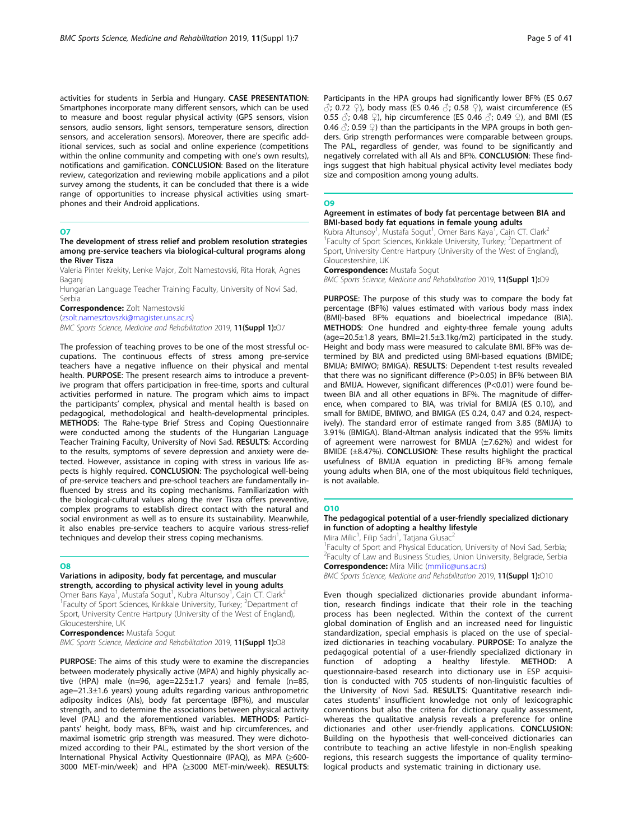activities for students in Serbia and Hungary. CASE PRESENTATION: Smartphones incorporate many different sensors, which can be used to measure and boost regular physical activity (GPS sensors, vision sensors, audio sensors, light sensors, temperature sensors, direction sensors, and acceleration sensors). Moreover, there are specific additional services, such as social and online experience (competitions within the online community and competing with one's own results), notifications and gamification. CONCLUSION: Based on the literature review, categorization and reviewing mobile applications and a pilot survey among the students, it can be concluded that there is a wide range of opportunities to increase physical activities using smartphones and their Android applications.

## O7

#### The development of stress relief and problem resolution strategies among pre-service teachers via biological-cultural programs along the River Tisza

Valeria Pinter Krekity, Lenke Major, Zolt Namestovski, Rita Horak, Agnes Baganj

Hungarian Language Teacher Training Faculty, University of Novi Sad, Serbia

Correspondence: Zolt Namestovski

(<zsolt.namesztovszki@magister.uns.ac.rs>)

BMC Sports Science, Medicine and Rehabilitation 2019, 11(Suppl 1):07

The profession of teaching proves to be one of the most stressful occupations. The continuous effects of stress among pre-service teachers have a negative influence on their physical and mental health. PURPOSE: The present research aims to introduce a preventive program that offers participation in free-time, sports and cultural activities performed in nature. The program which aims to impact the participants' complex, physical and mental health is based on pedagogical, methodological and health-developmental principles. METHODS: The Rahe-type Brief Stress and Coping Questionnaire were conducted among the students of the Hungarian Language Teacher Training Faculty, University of Novi Sad. RESULTS: According to the results, symptoms of severe depression and anxiety were detected. However, assistance in coping with stress in various life aspects is highly required. CONCLUSION: The psychological well-being of pre-service teachers and pre-school teachers are fundamentally influenced by stress and its coping mechanisms. Familiarization with the biological-cultural values along the river Tisza offers preventive, complex programs to establish direct contact with the natural and social environment as well as to ensure its sustainability. Meanwhile, it also enables pre-service teachers to acquire various stress-relief techniques and develop their stress coping mechanisms.

## O8

## Variations in adiposity, body fat percentage, and muscular strength, according to physical activity level in young adults

Omer Baris Kaya<sup>1</sup>, Mustafa Sogut<sup>1</sup>, Kubra Altunsoy<sup>1</sup>, Cain CT. Clark<sup>2</sup> <sup>1</sup> Faculty of Sport Sciences, Kırıkkale University, Turkey; <sup>2</sup> Department of Sport, University Centre Hartpury (University of the West of England), Gloucestershire, UK

**Correspondence: Mustafa Sogut** 

BMC Sports Science, Medicine and Rehabilitation 2019, 11(Suppl 1):08

PURPOSE: The aims of this study were to examine the discrepancies between moderately physically active (MPA) and highly physically active (HPA) male (n=96, age=22.5±1.7 years) and female (n=85, age=21.3±1.6 years) young adults regarding various anthropometric adiposity indices (AIs), body fat percentage (BF%), and muscular strength, and to determine the associations between physical activity level (PAL) and the aforementioned variables. METHODS: Participants' height, body mass, BF%, waist and hip circumferences, and maximal isometric grip strength was measured. They were dichotomized according to their PAL, estimated by the short version of the International Physical Activity Questionnaire (IPAQ), as MPA (≥600- 3000 MET-min/week) and HPA (≥3000 MET-min/week). RESULTS:

Participants in the HPA groups had significantly lower BF% (ES 0.67  $\langle \hat{\cdot} \rangle$ ; 0.72  $\langle \hat{\cdot} \rangle$ , body mass (ES 0.46  $\langle \hat{\cdot} \rangle$ ; 0.58  $\langle \hat{\cdot} \rangle$ ), waist circumference (ES 0.55  $\Diamond$ ; 0.48  $\Diamond$ ), hip circumference (ES 0.46  $\Diamond$ ; 0.49  $\Diamond$ ), and BMI (ES 0.46  $\Diamond$ ; 0.59  $\Diamond$ ) than the participants in the MPA groups in both genders. Grip strength performances were comparable between groups. The PAL, regardless of gender, was found to be significantly and negatively correlated with all AIs and BF%. CONCLUSION: These findings suggest that high habitual physical activity level mediates body size and composition among young adults.

#### O9

## Agreement in estimates of body fat percentage between BIA and BMI-based body fat equations in female young adults

Kubra Altunsoy<sup>1</sup>, Mustafa Sogut<sup>1</sup>, Omer Barıs Kaya<sup>T</sup>, Cain CT. Clark<sup>2</sup> <sup>1</sup>Faculty of Sport Sciences, Kirikkale University, Turkey; <sup>2</sup>Department of Sport, University Centre Hartpury (University of the West of England), Gloucestershire, UK

**Correspondence: Mustafa Sogut** 

BMC Sports Science, Medicine and Rehabilitation 2019, 11(Suppl 1):09

PURPOSE: The purpose of this study was to compare the body fat percentage (BF%) values estimated with various body mass index (BMI)-based BF% equations and bioelectrical impedance (BIA). METHODS: One hundred and eighty-three female young adults (age=20.5±1.8 years, BMI=21.5±3.1kg/m2) participated in the study. Height and body mass were measured to calculate BMI. BF% was determined by BIA and predicted using BMI-based equations (BMIDE; BMIJA; BMIWO; BMIGA). RESULTS: Dependent t-test results revealed that there was no significant difference (P>0.05) in BF% between BIA and BMIJA. However, significant differences (P<0.01) were found between BIA and all other equations in BF%. The magnitude of difference, when compared to BIA, was trivial for BMIJA (ES 0.10), and small for BMIDE, BMIWO, and BMIGA (ES 0.24, 0.47 and 0.24, respectively). The standard error of estimate ranged from 3.85 (BMIJA) to 3.91% (BMIGA). Bland-Altman analysis indicated that the 95% limits of agreement were narrowest for BMIJA (±7.62%) and widest for BMIDE (±8.47%). CONCLUSION: These results highlight the practical usefulness of BMIJA equation in predicting BF% among female young adults when BIA, one of the most ubiquitous field techniques, is not available.

#### O10

## The pedagogical potential of a user-friendly specialized dictionary in function of adopting a healthy lifestyle

Mira Milic<sup>1</sup>, Filip Sadri<sup>1</sup>, Tatjana Glusac<sup>2</sup>

<sup>1</sup> Faculty of Sport and Physical Education, University of Novi Sad, Serbia; <sup>2</sup> Faculty of Law and Business Studies, Union University, Belgrade, Serbia Correspondence: Mira Milic [\(mmilic@uns.ac.rs\)](mmilic@uns.ac.rs)

BMC Sports Science, Medicine and Rehabilitation 2019, 11(Suppl 1):010

Even though specialized dictionaries provide abundant information, research findings indicate that their role in the teaching process has been neglected. Within the context of the current global domination of English and an increased need for linguistic standardization, special emphasis is placed on the use of specialized dictionaries in teaching vocabulary. PURPOSE: To analyze the pedagogical potential of a user-friendly specialized dictionary in function of adopting a healthy lifestyle. METHOD: A questionnaire-based research into dictionary use in ESP acquisition is conducted with 705 students of non-linguistic faculties of the University of Novi Sad. RESULTS: Quantitative research indicates students' insufficient knowledge not only of lexicographic conventions but also the criteria for dictionary quality assessment, whereas the qualitative analysis reveals a preference for online dictionaries and other user-friendly applications. CONCLUSION: Building on the hypothesis that well-conceived dictionaries can contribute to teaching an active lifestyle in non-English speaking regions, this research suggests the importance of quality terminological products and systematic training in dictionary use.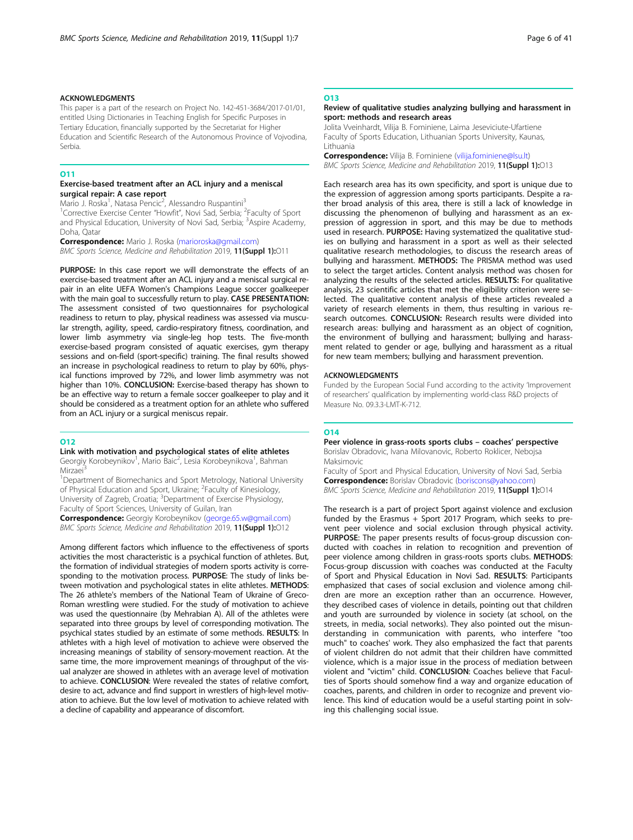## ACKNOWLEDGMENTS

This paper is a part of the research on Project No. 142-451-3684/2017-01/01, entitled Using Dictionaries in Teaching English for Specific Purposes in Tertiary Education, financially supported by the Secretariat for Higher Education and Scientific Research of the Autonomous Province of Vojvodina, Serbia.

#### O11

#### Exercise-based treatment after an ACL injury and a meniscal surgical repair: A case report

Mario J. Roska<sup>1</sup>, Natasa Pencic<sup>2</sup>, Alessandro Ruspantini<sup>3</sup> <sup>1</sup>Corrective Exercise Center "Howfit", Novi Sad, Serbia; <sup>2</sup>Faculty of Sport and Physical Education, University of Novi Sad, Serbia; <sup>3</sup>Aspire Academy, Doha, Qatar

Correspondence: Mario J. Roska [\(marioroska@gmail.com\)](marioroska@gmail.com)

BMC Sports Science, Medicine and Rehabilitation 2019, 11(Suppl 1):011

PURPOSE: In this case report we will demonstrate the effects of an exercise-based treatment after an ACL injury and a meniscal surgical repair in an elite UEFA Women's Champions League soccer goalkeeper with the main goal to successfully return to play. CASE PRESENTATION: The assessment consisted of two questionnaires for psychological readiness to return to play, physical readiness was assessed via muscular strength, agility, speed, cardio-respiratory fitness, coordination, and lower limb asymmetry via single-leg hop tests. The five-month exercise-based program consisted of aquatic exercises, gym therapy sessions and on-field (sport-specific) training. The final results showed an increase in psychological readiness to return to play by 60%, physical functions improved by 72%, and lower limb asymmetry was not higher than 10%. CONCLUSION: Exercise-based therapy has shown to be an effective way to return a female soccer goalkeeper to play and it should be considered as a treatment option for an athlete who suffered from an ACL injury or a surgical meniscus repair.

## O12

## Link with motivation and psychological states of elite athletes

Georgiy Korobeynikov<sup>1</sup>, Mario Baic<sup>2</sup>, Lesia Korobeynikova<sup>1</sup>, Bahman Mirzaei

<sup>1</sup>Department of Biomechanics and Sport Metrology, National University of Physical Education and Sport, Ukraine; <sup>2</sup>Faculty of Kinesiology, University of Zagreb, Croatia; <sup>3</sup>Department of Exercise Physiology, Faculty of Sport Sciences, University of Guilan, Iran

Correspondence: Georgiy Korobeynikov ([george.65.w@gmail.com\)](george.65.w@gmail.com) BMC Sports Science, Medicine and Rehabilitation 2019, 11(Suppl 1):012

Among different factors which influence to the effectiveness of sports activities the most characteristic is a psychical function of athletes. But, the formation of individual strategies of modern sports activity is corresponding to the motivation process. PURPOSE: The study of links between motivation and psychological states in elite athletes. METHODS: The 26 athlete's members of the National Team of Ukraine of Greco-Roman wrestling were studied. For the study of motivation to achieve was used the questionnaire (by Mehrabian A). All of the athletes were separated into three groups by level of corresponding motivation. The psychical states studied by an estimate of some methods. RESULTS: In athletes with a high level of motivation to achieve were observed the increasing meanings of stability of sensory-movement reaction. At the same time, the more improvement meanings of throughput of the visual analyzer are showed in athletes with an average level of motivation to achieve. CONCLUSION: Were revealed the states of relative comfort, desire to act, advance and find support in wrestlers of high-level motivation to achieve. But the low level of motivation to achieve related with a decline of capability and appearance of discomfort.

## O13

## Review of qualitative studies analyzing bullying and harassment in sport: methods and research areas

Jolita Vveinhardt, Vilija B. Fominiene, Laima Jeseviciute-Ufartiene Faculty of Sports Education, Lithuanian Sports University, Kaunas, Lithuania

Correspondence: Vilija B. Fominiene ([vilija.fominiene@lsu.lt\)](vilija.fominiene@lsu.lt) BMC Sports Science, Medicine and Rehabilitation 2019, 11(Suppl 1):013

Each research area has its own specificity, and sport is unique due to the expression of aggression among sports participants. Despite a rather broad analysis of this area, there is still a lack of knowledge in discussing the phenomenon of bullying and harassment as an expression of aggression in sport, and this may be due to methods used in research. PURPOSE: Having systematized the qualitative studies on bullying and harassment in a sport as well as their selected qualitative research methodologies, to discuss the research areas of bullying and harassment. METHODS: The PRISMA method was used to select the target articles. Content analysis method was chosen for analyzing the results of the selected articles. RESULTS: For qualitative analysis, 23 scientific articles that met the eligibility criterion were selected. The qualitative content analysis of these articles revealed a variety of research elements in them, thus resulting in various research outcomes. CONCLUSION: Research results were divided into research areas: bullying and harassment as an object of cognition, the environment of bullying and harassment; bullying and harassment related to gender or age, bullying and harassment as a ritual for new team members; bullying and harassment prevention.

## ACKNOWLEDGMENTS

Funded by the European Social Fund according to the activity 'Improvement of researchers' qualification by implementing world-class R&D projects of Measure No. 09.3.3-LMT-K-712.

#### O14

Peer violence in grass-roots sports clubs – coaches' perspective Borislav Obradovic, Ivana Milovanovic, Roberto Roklicer, Nebojsa Maksimovic

Faculty of Sport and Physical Education, University of Novi Sad, Serbia **Correspondence:** Borislav Obradovic (<boriscons@yahoo.com>) BMC Sports Science, Medicine and Rehabilitation 2019, 11(Suppl 1):014

The research is a part of project Sport against violence and exclusion funded by the Erasmus + Sport 2017 Program, which seeks to prevent peer violence and social exclusion through physical activity. PURPOSE: The paper presents results of focus-group discussion conducted with coaches in relation to recognition and prevention of peer violence among children in grass-roots sports clubs. METHODS: Focus-group discussion with coaches was conducted at the Faculty of Sport and Physical Education in Novi Sad. RESULTS: Participants emphasized that cases of social exclusion and violence among children are more an exception rather than an occurrence. However, they described cases of violence in details, pointing out that children and youth are surrounded by violence in society (at school, on the streets, in media, social networks). They also pointed out the misunderstanding in communication with parents, who interfere "too much" to coaches' work. They also emphasized the fact that parents of violent children do not admit that their children have committed violence, which is a major issue in the process of mediation between violent and "victim" child. CONCLUSION: Coaches believe that Faculties of Sports should somehow find a way and organize education of coaches, parents, and children in order to recognize and prevent violence. This kind of education would be a useful starting point in solving this challenging social issue.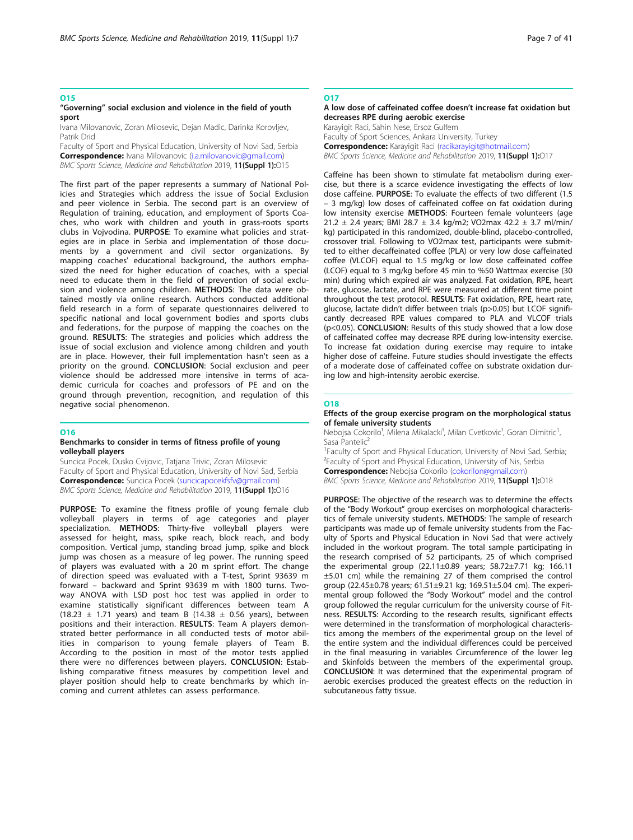#### "Governing" social exclusion and violence in the field of youth sport

Ivana Milovanovic, Zoran Milosevic, Dejan Madic, Darinka Korovljev, Patrik Drid

Faculty of Sport and Physical Education, University of Novi Sad, Serbia Correspondence: Ivana Milovanovic ([i.a.milovanovic@gmail.com\)](i.a.milovanovic@gmail.com) BMC Sports Science, Medicine and Rehabilitation 2019, 11(Suppl 1):015

The first part of the paper represents a summary of National Policies and Strategies which address the issue of Social Exclusion and peer violence in Serbia. The second part is an overview of Regulation of training, education, and employment of Sports Coaches, who work with children and youth in grass-roots sports clubs in Vojvodina. PURPOSE: To examine what policies and strategies are in place in Serbia and implementation of those documents by a government and civil sector organizations. By mapping coaches' educational background, the authors emphasized the need for higher education of coaches, with a special need to educate them in the field of prevention of social exclusion and violence among children. METHODS: The data were obtained mostly via online research. Authors conducted additional field research in a form of separate questionnaires delivered to specific national and local government bodies and sports clubs and federations, for the purpose of mapping the coaches on the ground. RESULTS: The strategies and policies which address the issue of social exclusion and violence among children and youth are in place. However, their full implementation hasn't seen as a priority on the ground. CONCLUSION: Social exclusion and peer violence should be addressed more intensive in terms of academic curricula for coaches and professors of PE and on the ground through prevention, recognition, and regulation of this negative social phenomenon.

#### O16

#### Benchmarks to consider in terms of fitness profile of young volleyball players

Suncica Pocek, Dusko Cvijovic, Tatjana Trivic, Zoran Milosevic Faculty of Sport and Physical Education, University of Novi Sad, Serbia Correspondence: Suncica Pocek (<suncicapocekfsfv@gmail.com>) BMC Sports Science, Medicine and Rehabilitation 2019, 11(Suppl 1):016

PURPOSE: To examine the fitness profile of young female club volleyball players in terms of age categories and player specialization. METHODS: Thirty-five volleyball players were assessed for height, mass, spike reach, block reach, and body composition. Vertical jump, standing broad jump, spike and block jump was chosen as a measure of leg power. The running speed of players was evaluated with a 20 m sprint effort. The change of direction speed was evaluated with a T-test, Sprint 93639 m forward – backward and Sprint 93639 m with 1800 turns. Twoway ANOVA with LSD post hoc test was applied in order to examine statistically significant differences between team A (18.23  $\pm$  1.71 years) and team B (14.38  $\pm$  0.56 years), between positions and their interaction. RESULTS: Team A players demonstrated better performance in all conducted tests of motor abilities in comparison to young female players of Team B. According to the position in most of the motor tests applied there were no differences between players. CONCLUSION: Establishing comparative fitness measures by competition level and player position should help to create benchmarks by which incoming and current athletes can assess performance.

## O17

## A low dose of caffeinated coffee doesn't increase fat oxidation but decreases RPE during aerobic exercise

Karayigit Raci, Sahin Nese, Ersoz Gulfem Faculty of Sport Sciences, Ankara University, Turkey Correspondence: Karayigit Raci ([racikarayigit@hotmail.com\)](racikarayigit@hotmail.com) BMC Sports Science, Medicine and Rehabilitation 2019, 11(Suppl 1):017

Caffeine has been shown to stimulate fat metabolism during exercise, but there is a scarce evidence investigating the effects of low dose caffeine. PURPOSE: To evaluate the effects of two different (1.5 – 3 mg/kg) low doses of caffeinated coffee on fat oxidation during low intensity exercise METHODS: Fourteen female volunteers (age 21.2 ± 2.4 years; BMI 28.7 ± 3.4 kg/m2; VO2max 42.2 ± 3.7 ml/min/ kg) participated in this randomized, double-blind, placebo-controlled, crossover trial. Following to VO2max test, participants were submitted to either decaffeinated coffee (PLA) or very low dose caffeinated coffee (VLCOF) equal to 1.5 mg/kg or low dose caffeinated coffee (LCOF) equal to 3 mg/kg before 45 min to %50 Wattmax exercise (30 min) during which expired air was analyzed. Fat oxidation, RPE, heart rate, glucose, lactate, and RPE were measured at different time point throughout the test protocol. RESULTS: Fat oxidation, RPE, heart rate, glucose, lactate didn't differ between trials (p>0.05) but LCOF significantly decreased RPE values compared to PLA and VLCOF trials (p<0.05). CONCLUSION: Results of this study showed that a low dose of caffeinated coffee may decrease RPE during low-intensity exercise. To increase fat oxidation during exercise may require to intake higher dose of caffeine. Future studies should investigate the effects of a moderate dose of caffeinated coffee on substrate oxidation during low and high-intensity aerobic exercise.

#### O18

#### Effects of the group exercise program on the morphological status of female university students

Nebojsa Cokorilo<sup>1</sup>, Milena Mikalacki<sup>1</sup>, Milan Cvetkovic<sup>1</sup>, Goran Dimitric<sup>1</sup>, , Sasa Pantelic²

<sup>1</sup> Faculty of Sport and Physical Education, University of Novi Sad, Serbia; <sup>2</sup>Faculty of Sport and Physical Education, University of Nis, Serbia **Correspondence:** Nebojsa Cokorilo (<cokorilon@gmail.com>)

BMC Sports Science, Medicine and Rehabilitation 2019, 11(Suppl 1):018

PURPOSE: The objective of the research was to determine the effects of the "Body Workout" group exercises on morphological characteristics of female university students. METHODS: The sample of research participants was made up of female university students from the Faculty of Sports and Physical Education in Novi Sad that were actively included in the workout program. The total sample participating in the research comprised of 52 participants, 25 of which comprised the experimental group (22.11±0.89 years; 58.72±7.71 kg; 166.11 ±5.01 cm) while the remaining 27 of them comprised the control group (22.45±0.78 years; 61.51±9.21 kg; 169.51±5.04 cm). The experimental group followed the "Body Workout" model and the control group followed the regular curriculum for the university course of Fitness. RESULTS: According to the research results, significant effects were determined in the transformation of morphological characteristics among the members of the experimental group on the level of the entire system and the individual differences could be perceived in the final measuring in variables Circumference of the lower leg and Skinfolds between the members of the experimental group. CONCLUSION: It was determined that the experimental program of aerobic exercises produced the greatest effects on the reduction in subcutaneous fatty tissue.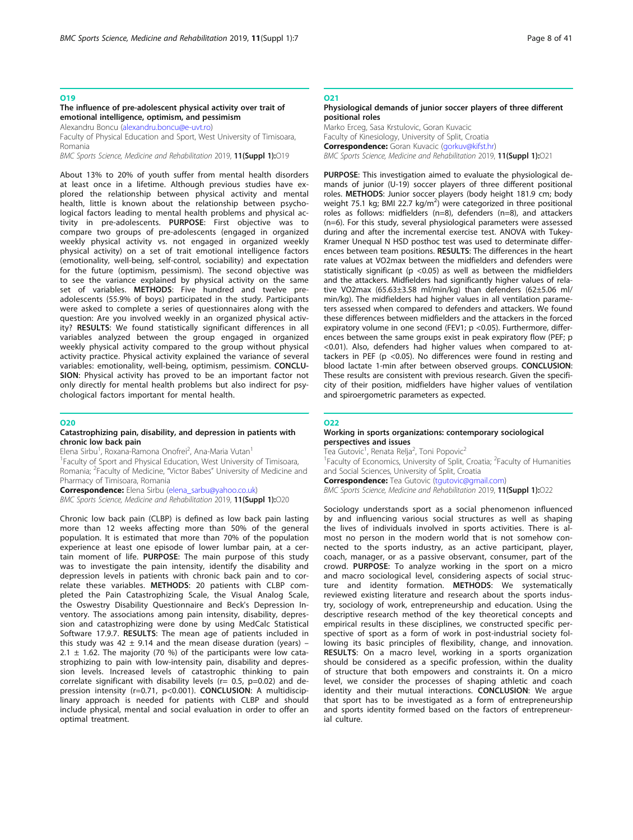#### The influence of pre-adolescent physical activity over trait of emotional intelligence, optimism, and pessimism Alexandru Boncu (<alexandru.boncu@e-uvt.ro>)

Faculty of Physical Education and Sport, West University of Timisoara, Romania

BMC Sports Science, Medicine and Rehabilitation 2019, 11(Suppl 1):019

About 13% to 20% of youth suffer from mental health disorders at least once in a lifetime. Although previous studies have explored the relationship between physical activity and mental health, little is known about the relationship between psychological factors leading to mental health problems and physical activity in pre-adolescents. PURPOSE: First objective was to compare two groups of pre-adolescents (engaged in organized weekly physical activity vs. not engaged in organized weekly physical activity) on a set of trait emotional intelligence factors (emotionality, well-being, self-control, sociability) and expectation for the future (optimism, pessimism). The second objective was to see the variance explained by physical activity on the same set of variables. METHODS: Five hundred and twelve preadolescents (55.9% of boys) participated in the study. Participants were asked to complete a series of questionnaires along with the question: Are you involved weekly in an organized physical activity? RESULTS: We found statistically significant differences in all variables analyzed between the group engaged in organized weekly physical activity compared to the group without physical activity practice. Physical activity explained the variance of several variables: emotionality, well-being, optimism, pessimism. CONCLU-SION: Physical activity has proved to be an important factor not only directly for mental health problems but also indirect for psychological factors important for mental health.

#### O20

#### Catastrophizing pain, disability, and depression in patients with chronic low back pain

Elena Sirbu<sup>1</sup>, Roxana-Ramona Onofrei<sup>2</sup>, Ana-Maria Vutan<sup>1</sup> <sup>1</sup> Faculty of Sport and Physical Education, West University of Timisoara, Romania; <sup>2</sup> Faculty of Medicine, "Victor Babes" University of Medicine and Pharmacy of Timisoara, Romania Correspondence: Elena Sirbu ([elena\\_sarbu@yahoo.co.uk\)](elena_sarbu@yahoo.co.uk)

BMC Sports Science, Medicine and Rehabilitation 2019, 11(Suppl 1):020

Chronic low back pain (CLBP) is defined as low back pain lasting more than 12 weeks affecting more than 50% of the general population. It is estimated that more than 70% of the population experience at least one episode of lower lumbar pain, at a certain moment of life. PURPOSE: The main purpose of this study was to investigate the pain intensity, identify the disability and depression levels in patients with chronic back pain and to correlate these variables. METHODS: 20 patients with CLBP completed the Pain Catastrophizing Scale, the Visual Analog Scale, the Oswestry Disability Questionnaire and Beck's Depression Inventory. The associations among pain intensity, disability, depression and catastrophizing were done by using MedCalc Statistical Software 17.9.7. RESULTS: The mean age of patients included in this study was 42  $\pm$  9.14 and the mean disease duration (years) – 2.1  $\pm$  1.62. The majority (70 %) of the participants were low catastrophizing to pain with low-intensity pain, disability and depression levels. Increased levels of catastrophic thinking to pain correlate significant with disability levels ( $r= 0.5$ ,  $p=0.02$ ) and depression intensity (r=0.71, p<0.001). CONCLUSION: A multidisciplinary approach is needed for patients with CLBP and should include physical, mental and social evaluation in order to offer an optimal treatment.

## O21

## Physiological demands of junior soccer players of three different positional roles

Marko Erceg, Sasa Krstulovic, Goran Kuvacic Faculty of Kinesiology, University of Split, Croatia Correspondence: Goran Kuvacic [\(gorkuv@kifst.hr](gorkuv@kifst.hr)) BMC Sports Science, Medicine and Rehabilitation 2019, 11(Suppl 1):021

PURPOSE: This investigation aimed to evaluate the physiological demands of junior (U-19) soccer players of three different positional roles. METHODS: Junior soccer players (body height 181.9 cm; body weight 75.1 kg; BMI 22.7 kg/m<sup>2</sup>) were categorized in three positional roles as follows: midfielders (n=8), defenders (n=8), and attackers (n=6). For this study, several physiological parameters were assessed during and after the incremental exercise test. ANOVA with Tukey-Kramer Unequal N HSD posthoc test was used to determinate differences between team positions. RESULTS: The differences in the heart rate values at VO2max between the midfielders and defenders were statistically significant ( $p$  <0.05) as well as between the midfielders and the attackers. Midfielders had significantly higher values of relative VO2max (65.63±3.58 ml/min/kg) than defenders (62±5.06 ml/ min/kg). The midfielders had higher values in all ventilation parameters assessed when compared to defenders and attackers. We found these differences between midfielders and the attackers in the forced expiratory volume in one second (FEV1; p <0.05). Furthermore, differences between the same groups exist in peak expiratory flow (PEF; p <0.01). Also, defenders had higher values when compared to attackers in PEF ( $p$  <0.05). No differences were found in resting and blood lactate 1-min after between observed groups. CONCLUSION: These results are consistent with previous research. Given the specificity of their position, midfielders have higher values of ventilation and spiroergometric parameters as expected.

#### O22

#### Working in sports organizations: contemporary sociological perspectives and issues

.<br>Tea Gutovic<sup>1</sup>, Renata Relja<sup>2</sup>, Toni Popovic<sup>2</sup> <sup>1</sup> Faculty of Economics, University of Split, Croatia; <sup>2</sup> Faculty of Humanities and Social Sciences, University of Split, Croatia **Correspondence:** Tea Gutovic ([tgutovic@gmail.com\)](tgutovic@gmail.com)

BMC Sports Science, Medicine and Rehabilitation 2019, 11(Suppl 1):O22

Sociology understands sport as a social phenomenon influenced by and influencing various social structures as well as shaping the lives of individuals involved in sports activities. There is almost no person in the modern world that is not somehow connected to the sports industry, as an active participant, player, coach, manager, or as a passive observant, consumer, part of the crowd. PURPOSE: To analyze working in the sport on a micro and macro sociological level, considering aspects of social structure and identity formation. METHODS: We systematically reviewed existing literature and research about the sports industry, sociology of work, entrepreneurship and education. Using the descriptive research method of the key theoretical concepts and empirical results in these disciplines, we constructed specific perspective of sport as a form of work in post-industrial society following its basic principles of flexibility, change, and innovation. RESULTS: On a macro level, working in a sports organization should be considered as a specific profession, within the duality of structure that both empowers and constraints it. On a micro level, we consider the processes of shaping athletic and coach identity and their mutual interactions. CONCLUSION: We argue that sport has to be investigated as a form of entrepreneurship and sports identity formed based on the factors of entrepreneurial culture.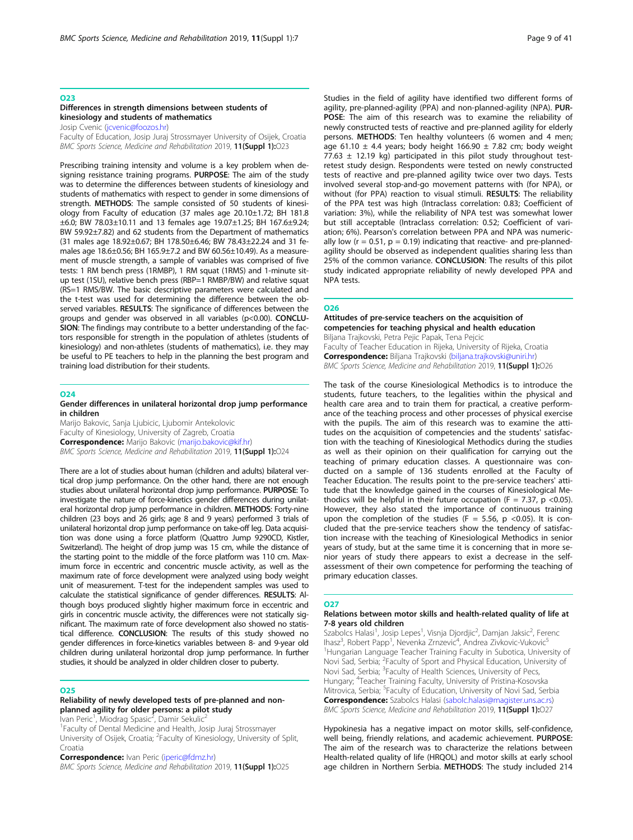## Differences in strength dimensions between students of kinesiology and students of mathematics

Josip Cvenic ([jcvenic@foozos.hr\)](jcvenic@foozos.hr)

Faculty of Education, Josip Juraj Strossmayer University of Osijek, Croatia BMC Sports Science, Medicine and Rehabilitation 2019, 11(Suppl 1):023

Prescribing training intensity and volume is a key problem when designing resistance training programs. PURPOSE: The aim of the study was to determine the differences between students of kinesiology and students of mathematics with respect to gender in some dimensions of strength. METHODS: The sample consisted of 50 students of kinesiology from Faculty of education (37 males age 20.10±1.72; BH 181.8 ±6.0; BW 78.03±10.11 and 13 females age 19.07±1.25; BH 167.6±9.24; BW 59.92±7.82) and 62 students from the Department of mathematics (31 males age 18.92±0.67; BH 178.50±6.46; BW 78.43±22.24 and 31 females age 18.6±0.56; BH 165.9±7.2 and BW 60.56±10.49). As a measurement of muscle strength, a sample of variables was comprised of five tests: 1 RM bench press (1RMBP), 1 RM squat (1RMS) and 1-minute situp test (1SU), relative bench press (RBP=1 RMBP/BW) and relative squat (RS=1 RMS/BW. The basic descriptive parameters were calculated and the t-test was used for determining the difference between the observed variables. RESULTS: The significance of differences between the groups and gender was observed in all variables (p<0.00). CONCLU-SION: The findings may contribute to a better understanding of the factors responsible for strength in the population of athletes (students of kinesiology) and non-athletes (students of mathematics), i.e. they may be useful to PE teachers to help in the planning the best program and training load distribution for their students.

#### O24

## Gender differences in unilateral horizontal drop jump performance in children

Marijo Bakovic, Sanja Ljubicic, Ljubomir Antekolovic Faculty of Kinesiology, University of Zagreb, Croatia Correspondence: Marijo Bakovic [\(marijo.bakovic@kif.hr](marijo.bakovic@kif.hr)) BMC Sports Science, Medicine and Rehabilitation 2019, 11(Suppl 1):024

There are a lot of studies about human (children and adults) bilateral vertical drop jump performance. On the other hand, there are not enough studies about unilateral horizontal drop jump performance. PURPOSE: To investigate the nature of force-kinetics gender differences during unilateral horizontal drop jump performance in children. METHODS: Forty-nine children (23 boys and 26 girls; age 8 and 9 years) performed 3 trials of unilateral horizontal drop jump performance on take-off leg. Data acquisition was done using a force platform (Quattro Jump 9290CD, Kistler, Switzerland). The height of drop jump was 15 cm, while the distance of the starting point to the middle of the force platform was 110 cm. Maximum force in eccentric and concentric muscle activity, as well as the maximum rate of force development were analyzed using body weight unit of measurement. T-test for the independent samples was used to calculate the statistical significance of gender differences. RESULTS: Although boys produced slightly higher maximum force in eccentric and girls in concentric muscle activity, the differences were not statically significant. The maximum rate of force development also showed no statistical difference. CONCLUSION: The results of this study showed no gender differences in force-kinetics variables between 8- and 9-year old children during unilateral horizontal drop jump performance. In further studies, it should be analyzed in older children closer to puberty.

#### O25

## Reliability of newly developed tests of pre-planned and nonplanned agility for older persons: a pilot study

Ivan Peric<sup>1</sup>, Miodrag Spasic<sup>2</sup>, Damir Sekulic<sup>2</sup>

<sup>1</sup> Faculty of Dental Medicine and Health, Josip Juraj Strossmayer University of Osijek, Croatia; <sup>2</sup>Faculty of Kinesiology, University of Split, Croatia

**Correspondence:** Ivan Peric [\(iperic@fdmz.hr](iperic@fdmz.hr))

BMC Sports Science, Medicine and Rehabilitation 2019, 11(Suppl 1):025

Studies in the field of agility have identified two different forms of agility, pre-planned-agility (PPA) and non-planned-agility (NPA). PUR-POSE: The aim of this research was to examine the reliability of newly constructed tests of reactive and pre-planned agility for elderly persons. METHODS: Ten healthy volunteers (6 women and 4 men; age 61.10  $\pm$  4.4 years; body height 166.90  $\pm$  7.82 cm; body weight 77.63  $\pm$  12.19 kg) participated in this pilot study throughout testretest study design. Respondents were tested on newly constructed tests of reactive and pre-planned agility twice over two days. Tests involved several stop-and-go movement patterns with (for NPA), or without (for PPA) reaction to visual stimuli. RESULTS: The reliability of the PPA test was high (Intraclass correlation: 0.83; Coefficient of variation: 3%), while the reliability of NPA test was somewhat lower but still acceptable (Intraclass correlation: 0.52; Coefficient of variation; 6%). Pearson's correlation between PPA and NPA was numerically low ( $r = 0.51$ ,  $p = 0.19$ ) indicating that reactive- and pre-plannedagility should be observed as independent qualities sharing less than 25% of the common variance. CONCLUSION: The results of this pilot study indicated appropriate reliability of newly developed PPA and NPA tests.

#### O26

Attitudes of pre-service teachers on the acquisition of competencies for teaching physical and health education Biljana Trajkovski, Petra Pejic Papak, Tena Pejcic

Faculty of Teacher Education in Rijeka, University of Rijeka, Croatia Correspondence: Biljana Trajkovski (<biljana.trajkovski@uniri.hr>) BMC Sports Science, Medicine and Rehabilitation 2019, 11(Suppl 1):026

The task of the course Kinesiological Methodics is to introduce the students, future teachers, to the legalities within the physical and health care area and to train them for practical, a creative performance of the teaching process and other processes of physical exercise with the pupils. The aim of this research was to examine the attitudes on the acquisition of competencies and the students' satisfaction with the teaching of Kinesiological Methodics during the studies as well as their opinion on their qualification for carrying out the teaching of primary education classes. A questionnaire was conducted on a sample of 136 students enrolled at the Faculty of Teacher Education. The results point to the pre-service teachers' attitude that the knowledge gained in the courses of Kinesiological Methodics will be helpful in their future occupation ( $F = 7.37$ ,  $p \le 0.05$ ). However, they also stated the importance of continuous training upon the completion of the studies (F = 5.56, p <0.05). It is concluded that the pre-service teachers show the tendency of satisfaction increase with the teaching of Kinesiological Methodics in senior years of study, but at the same time it is concerning that in more senior years of study there appears to exist a decrease in the selfassessment of their own competence for performing the teaching of primary education classes.

#### O27

#### Relations between motor skills and health-related quality of life at 7-8 years old children

Szabolcs Halasi<sup>1</sup>, Josip Lepes<sup>1</sup>, Visnja Djordjic<sup>2</sup>, Damjan Jaksic<sup>2</sup>, Ferenc<br>Ihasz<sup>3</sup>, Robert Papp<sup>1</sup>, Nevenka Zrnzevic<sup>4</sup>, Andrea Zivkovic-Vukovic<sup>5</sup> 1 Hungarian Language Teacher Training Faculty in Subotica, University of Novi Sad, Serbia; <sup>2</sup> Faculty of Sport and Physical Education, University of Novi Sad, Serbia; <sup>3</sup>Faculty of Health Sciences, University of Pecs Hungary; <sup>4</sup>Teacher Training Faculty, University of Pristina-Kosovska Mitrovica, Serbia; <sup>5</sup>Faculty of Education, University of Novi Sad, Serbia **Correspondence:** Szabolcs Halasi [\(sabolc.halasi@magister.uns.ac.rs](sabolc.halasi@magister.uns.ac.rs)) BMC Sports Science, Medicine and Rehabilitation 2019, 11(Suppl 1):O27

Hypokinesia has a negative impact on motor skills, self-confidence, well being, friendly relations, and academic achievement. PURPOSE: The aim of the research was to characterize the relations between Health-related quality of life (HRQOL) and motor skills at early school age children in Northern Serbia. METHODS: The study included 214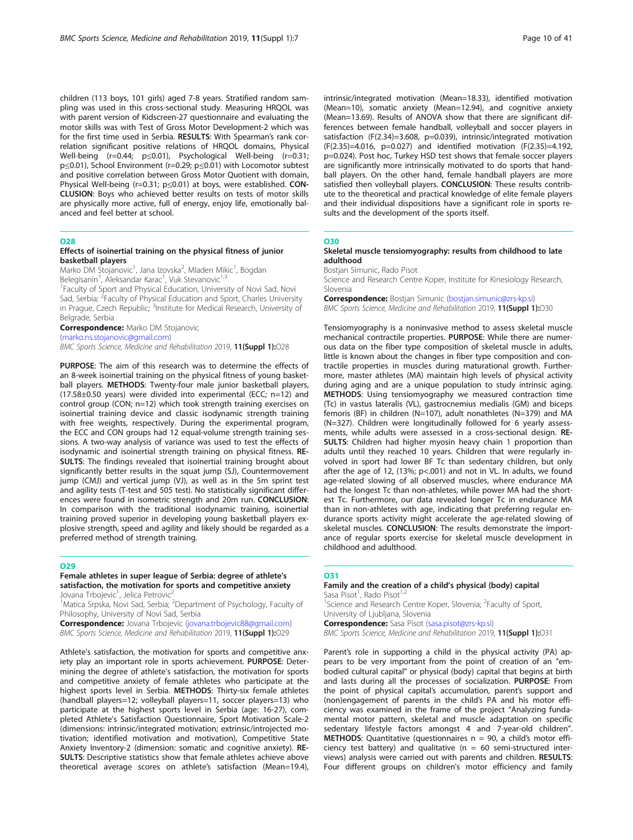children (113 boys, 101 girls) aged 7-8 years. Stratified random sampling was used in this cross-sectional study. Measuring HRQOL was with parent version of Kidscreen-27 questionnaire and evaluating the motor skills was with Test of Gross Motor Development-2 which was for the first time used in Serbia. RESULTS: With Spearman's rank correlation significant positive relations of HRQOL domains, Physical Well-being (r=0.44; p≤0.01), Psychological Well-being (r=0.31; p≤0.01), School Environment (r=0.29; p≤0.01) with Locomotor subtest and positive correlation between Gross Motor Quotient with domain, Physical Well-being (r=0.31; p≤0.01) at boys, were established. CON-CLUSION: Boys who achieved better results on tests of motor skills are physically more active, full of energy, enjoy life, emotionally balanced and feel better at school.

## O<sub>28</sub>

#### Effects of isoinertial training on the physical fitness of junior basketball players

Marko DM Stojanovic<sup>1</sup>, Jana Izovska<sup>2</sup>, Mladen Mikic<sup>1</sup>, Bogdan Belegisanin<sup>1</sup>, Aleksandar Karac<sup>1</sup>, Vuk Stevanovic<sup>1,3</sup>

<sup>1</sup> Faculty of Sport and Physical Education, University of Novi Sad, Novi Sad, Serbia; <sup>2</sup>Faculty of Physical Education and Sport, Charles University in Prague, Czech Republic; <sup>3</sup>Institute for Medical Research, University of Belgrade, Serbia

**Correspondence: Marko DM Stojanovic** 

(<marko.ns.stojanovic@gmail.com>)

BMC Sports Science, Medicine and Rehabilitation 2019, 11(Suppl 1):O28

PURPOSE: The aim of this research was to determine the effects of an 8-week isoinertial training on the physical fitness of young basketball players. METHODS: Twenty-four male junior basketball players, (17.58±0.50 years) were divided into experimental (ECC; n=12) and control group (CON; n=12) which took strength training exercises on isoinertial training device and classic isodynamic strength training with free weights, respectively. During the experimental program, the ECC and CON groups had 12 equal-volume strength training sessions. A two-way analysis of variance was used to test the effects of isodynamic and isoinertial strength training on physical fitness. RE-SULTS: The findings revealed that isoinertial training brought about significantly better results in the squat jump (SJ), Countermovement jump (CMJ) and vertical jump (VJ), as well as in the 5m sprint test and agility tests (T-test and 505 test). No statistically significant differences were found in isometric strength and 20m run. CONCLUSION: In comparison with the traditional isodynamic training, isoinertial training proved superior in developing young basketball players explosive strength, speed and agility and likely should be regarded as a preferred method of strength training.

## O29

## Female athletes in super league of Serbia: degree of athlete's satisfaction, the motivation for sports and competitive anxiety Jovana Trbojevic<sup>1</sup>, Jelica Petrovic<sup>2</sup>

<sup>1</sup>Matica Srpska, Novi Sad, Serbia; <sup>2</sup>Department of Psychology, Faculty of Philosophy, University of Novi Sad, Serbia

Correspondence: Jovana Trbojevic [\(jovana.trbojevic88@gmail.com\)](jovana.trbojevic88@gmail.com) BMC Sports Science, Medicine and Rehabilitation 2019, 11(Suppl 1):O29

Athlete's satisfaction, the motivation for sports and competitive anxiety play an important role in sports achievement. PURPOSE: Determining the degree of athlete's satisfaction, the motivation for sports and competitive anxiety of female athletes who participate at the highest sports level in Serbia. METHODS: Thirty-six female athletes (handball players=12; volleyball players=11, soccer players=13) who participate at the highest sports level in Serbia (age: 16-27), completed Athlete's Satisfaction Questionnaire, Sport Motivation Scale-2 (dimensions: intrinsic/integrated motivation; extrinsic/introjected motivation; identified motivation and motivation), Competitive State Anxiety Inventory-2 (dimension: somatic and cognitive anxiety). RE-SULTS: Descriptive statistics show that female athletes achieve above theoretical average scores on athlete's satisfaction (Mean=19.4),

intrinsic/integrated motivation (Mean=18.33), identified motivation (Mean=10), somatic anxiety (Mean=12.94), and cognitive anxiety (Mean=13.69). Results of ANOVA show that there are significant differences between female handball, volleyball and soccer players in satisfaction (F(2.34)=3.608, p=0.039), intrinsic/integrated motivation (F(2.35)=4.016, p=0.027) and identified motivation (F(2.35)=4.192, p=0.024). Post hoc, Turkey HSD test shows that female soccer players are significantly more intrinsically motivated to do sports that handball players. On the other hand, female handball players are more satisfied then volleyball players. CONCLUSION: These results contribute to the theoretical and practical knowledge of elite female players and their individual dispositions have a significant role in sports results and the development of the sports itself.

#### O30

Skeletal muscle tensiomyography: results from childhood to late adulthood

Bostjan Simunic, Rado Pisot

Science and Research Centre Koper, Institute for Kinesiology Research, Slovenia

Correspondence: Bostjan Simunic [\(bostjan.simunic@zrs-kp.si\)](bostjan.simunic@zrs-kp.si)

BMC Sports Science, Medicine and Rehabilitation 2019, 11(Suppl 1):030

Tensiomyography is a noninvasive method to assess skeletal muscle mechanical contractile properties. PURPOSE: While there are numerous data on the fiber type composition of skeletal muscle in adults, little is known about the changes in fiber type composition and contractile properties in muscles during maturational growth. Furthermore, master athletes (MA) maintain high levels of physical activity during aging and are a unique population to study intrinsic aging. METHODS: Using tensiomyography we measured contraction time (Tc) in vastus lateralis (VL), gastrocnemius medialis (GM) and biceps femoris (BF) in children (N=107), adult nonathletes (N=379) and MA (N=327). Children were longitudinally followed for 6 yearly assessments, while adults were assessed in a cross-sectional design. RE-SULTS: Children had higher myosin heavy chain 1 proportion than adults until they reached 10 years. Children that were regularly involved in sport had lower BF Tc than sedentary children, but only after the age of 12, (13%;  $p<0.001$ ) and not in VL. In adults, we found age-related slowing of all observed muscles, where endurance MA had the longest Tc than non-athletes, while power MA had the shortest Tc. Furthermore, our data revealed longer Tc in endurance MA than in non-athletes with age, indicating that preferring regular endurance sports activity might accelerate the age-related slowing of skeletal muscles. CONCLUSION: The results demonstrate the importance of regular sports exercise for skeletal muscle development in childhood and adulthood.

#### O31

## Family and the creation of a child's physical (body) capital Sasa Pisot<sup>1</sup>, Rado Pisot<sup>1,2</sup>

<sup>1</sup>Science and Research Centre Koper, Slovenia; <sup>2</sup>Faculty of Sport University of Ljubljana, Slovenia Correspondence: Sasa Pisot [\(sasa.pisot@zrs-kp.si\)](sasa.pisot@zrs-kp.si)

BMC Sports Science, Medicine and Rehabilitation 2019, 11(Suppl 1):031

Parent's role in supporting a child in the physical activity (PA) appears to be very important from the point of creation of an "embodied cultural capital" or physical (body) capital that begins at birth and lasts during all the processes of socialization. PURPOSE: From the point of physical capital's accumulation, parent's support and (non)engagement of parents in the child's PA and his motor efficiency was examined in the frame of the project "Analyzing fundamental motor pattern, skeletal and muscle adaptation on specific sedentary lifestyle factors amongst 4 and 7-year-old children". **METHODS:** Quantitative (questionnaires  $n = 90$ , a child's motor efficiency test battery) and qualitative ( $n = 60$  semi-structured interviews) analysis were carried out with parents and children. RESULTS: Four different groups on children's motor efficiency and family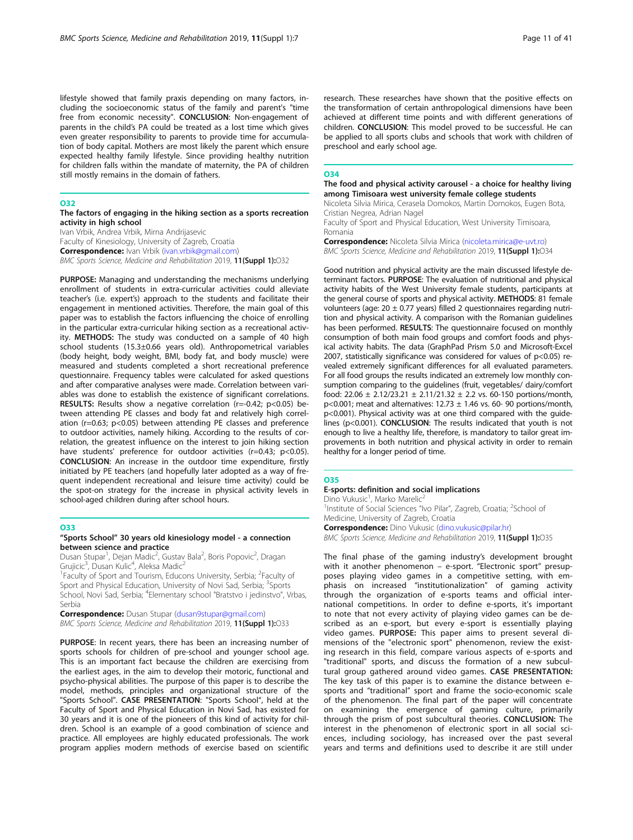lifestyle showed that family praxis depending on many factors, including the socioeconomic status of the family and parent's "time free from economic necessity". CONCLUSION: Non-engagement of parents in the child's PA could be treated as a lost time which gives even greater responsibility to parents to provide time for accumulation of body capital. Mothers are most likely the parent which ensure expected healthy family lifestyle. Since providing healthy nutrition for children falls within the mandate of maternity, the PA of children still mostly remains in the domain of fathers.

#### O32

## The factors of engaging in the hiking section as a sports recreation activity in high school

Ivan Vrbik, Andrea Vrbik, Mirna Andrijasevic Faculty of Kinesiology, University of Zagreb, Croatia **Correspondence:** Ivan Vrbik [\(ivan.vrbik@gmail.com\)](ivan.vrbik@gmail.com) BMC Sports Science, Medicine and Rehabilitation 2019, 11(Suppl 1):032

PURPOSE: Managing and understanding the mechanisms underlying enrollment of students in extra-curricular activities could alleviate teacher's (i.e. expert's) approach to the students and facilitate their engagement in mentioned activities. Therefore, the main goal of this paper was to establish the factors influencing the choice of enrolling in the particular extra-curricular hiking section as a recreational activity. METHODS: The study was conducted on a sample of 40 high school students (15.3±0.66 years old). Anthropometrical variables (body height, body weight, BMI, body fat, and body muscle) were measured and students completed a short recreational preference questionnaire. Frequency tables were calculated for asked questions and after comparative analyses were made. Correlation between variables was done to establish the existence of significant correlations. RESULTS: Results show a negative correlation (r=-0.42; p<0.05) between attending PE classes and body fat and relatively high correlation (r=0.63; p<0.05) between attending PE classes and preference to outdoor activities, namely hiking. According to the results of correlation, the greatest influence on the interest to join hiking section have students' preference for outdoor activities (r=0.43; p<0.05). CONCLUSION: An increase in the outdoor time expenditure, firstly initiated by PE teachers (and hopefully later adopted as a way of frequent independent recreational and leisure time activity) could be the spot-on strategy for the increase in physical activity levels in school-aged children during after school hours.

#### O33

## "Sports School" 30 years old kinesiology model - a connection between science and practice

Dusan Stupar<sup>1</sup>, Dejan Madic<sup>2</sup>, Gustav Bala<sup>2</sup>, Boris Popovic<sup>2</sup>, Dragan Grujicic<sup>3</sup>, Dusan Kulic<sup>4</sup>, Aleksa Madic<sup>2</sup>

<sup>1</sup> Faculty of Sport and Tourism, Educons University, Serbia; <sup>2</sup> Faculty of Sport and Physical Education, University of Novi Sad, Serbia; <sup>3</sup>Sports School, Novi Sad, Serbia; <sup>4</sup>Elementary school "Bratstvo i jedinstvo", Vrbas, Serbia

Correspondence: Dusan Stupar [\(dusan9stupar@gmail.com\)](dusan9stupar@gmail.com) BMC Sports Science, Medicine and Rehabilitation 2019, 11(Suppl 1):O33

PURPOSE: In recent years, there has been an increasing number of sports schools for children of pre-school and younger school age. This is an important fact because the children are exercising from the earliest ages, in the aim to develop their motoric, functional and psycho-physical abilities. The purpose of this paper is to describe the model, methods, principles and organizational structure of the "Sports School". CASE PRESENTATION: "Sports School", held at the Faculty of Sport and Physical Education in Novi Sad, has existed for 30 years and it is one of the pioneers of this kind of activity for children. School is an example of a good combination of science and practice. All employees are highly educated professionals. The work program applies modern methods of exercise based on scientific

research. These researches have shown that the positive effects on the transformation of certain anthropological dimensions have been achieved at different time points and with different generations of children. CONCLUSION: This model proved to be successful. He can be applied to all sports clubs and schools that work with children of preschool and early school age.

#### O34

The food and physical activity carousel - a choice for healthy living among Timisoara west university female college students

Nicoleta Silvia Mirica, Cerasela Domokos, Martin Domokos, Eugen Bota, Cristian Negrea, Adrian Nagel

Faculty of Sport and Physical Education, West University Timisoara, Romania

Correspondence: Nicoleta Silvia Mirica [\(nicoleta.mirica@e-uvt.ro\)](nicoleta.mirica@e-uvt.ro) BMC Sports Science, Medicine and Rehabilitation 2019, 11(Suppl 1):034

Good nutrition and physical activity are the main discussed lifestyle determinant factors. PURPOSE: The evaluation of nutritional and physical activity habits of the West University female students, participants at the general course of sports and physical activity. METHODS: 81 female volunteers (age:  $20 \pm 0.77$  years) filled 2 questionnaires regarding nutrition and physical activity. A comparison with the Romanian guidelines has been performed. RESULTS: The questionnaire focused on monthly consumption of both main food groups and comfort foods and physical activity habits. The data (GraphPad Prism 5.0 and Microsoft-Excel 2007, statistically significance was considered for values of p<0.05) revealed extremely significant differences for all evaluated parameters. For all food groups the results indicated an extremely low monthly consumption comparing to the guidelines (fruit, vegetables/ dairy/comfort food:  $22.06 \pm 2.12/23.21 \pm 2.11/21.32 \pm 2.2$  vs. 60-150 portions/month, p<0.001; meat and alternatives:  $12.73 \pm 1.46$  vs. 60-90 portions/month, p<0.001). Physical activity was at one third compared with the guidelines (p<0.001). CONCLUSION: The results indicated that youth is not enough to live a healthy life, therefore, is mandatory to tailor great improvements in both nutrition and physical activity in order to remain healthy for a longer period of time.

#### O35

#### E-sports: definition and social implications

Dino Vukusic<sup>1</sup>, Marko Marelic<sup>2</sup>

<sup>1</sup>Institute of Social Sciences "Ivo Pilar", Zagreb, Croatia; <sup>2</sup>School of Medicine, University of Zagreb, Croatia

Correspondence: Dino Vukusic [\(dino.vukusic@pilar.hr](dino.vukusic@pilar.hr))

BMC Sports Science, Medicine and Rehabilitation 2019, 11(Suppl 1):035

The final phase of the gaming industry's development brought with it another phenomenon – e-sport. "Electronic sport" presupposes playing video games in a competitive setting, with emphasis on increased "institutionalization" of gaming activity through the organization of e-sports teams and official international competitions. In order to define e-sports, it's important to note that not every activity of playing video games can be described as an e-sport, but every e-sport is essentially playing video games. PURPOSE: This paper aims to present several dimensions of the "electronic sport" phenomenon, review the existing research in this field, compare various aspects of e-sports and "traditional" sports, and discuss the formation of a new subcultural group gathered around video games. CASE PRESENTATION: The key task of this paper is to examine the distance between esports and "traditional" sport and frame the socio-economic scale of the phenomenon. The final part of the paper will concentrate on examining the emergence of gaming culture, primarily through the prism of post subcultural theories. CONCLUSION: The interest in the phenomenon of electronic sport in all social sciences, including sociology, has increased over the past several years and terms and definitions used to describe it are still under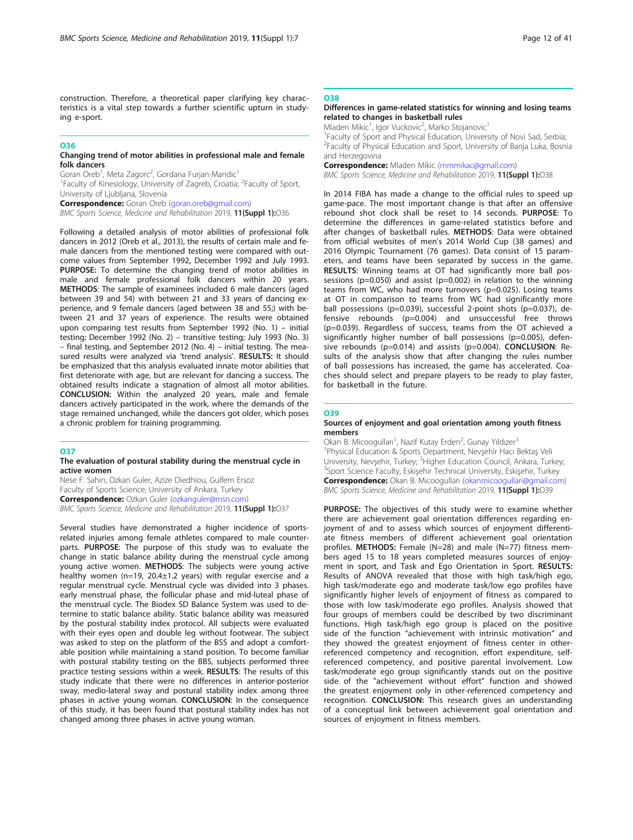construction. Therefore, a theoretical paper clarifying key characteristics is a vital step towards a further scientific upturn in studying e-sport.

## O36

#### Changing trend of motor abilities in professional male and female folk dancers

Goran Oreb<sup>1</sup>, Meta Zagorc<sup>2</sup>, Gordana Furjan-Mandic<sup>1</sup>

<sup>1</sup> Faculty of Kinesiology, University of Zagreb, Croatia; <sup>2</sup> Faculty of Sport, University of Ljubljana, Slovenia

Correspondence: Goran Oreb (<goran.oreb@gmail.com>)

BMC Sports Science, Medicine and Rehabilitation 2019, 11(Suppl 1):036

Following a detailed analysis of motor abilities of professional folk dancers in 2012 (Oreb et al., 2013), the results of certain male and female dancers from the mentioned testing were compared with outcome values from September 1992, December 1992 and July 1993. PURPOSE: To determine the changing trend of motor abilities in male and female professional folk dancers within 20 years. METHODS: The sample of examinees included 6 male dancers (aged between 39 and 54) with between 21 and 33 years of dancing experience, and 9 female dancers (aged between 38 and 55;) with between 21 and 37 years of experience. The results were obtained upon comparing test results from September 1992 (No. 1) – initial testing; December 1992 (No. 2) – transitive testing; July 1993 (No. 3) – final testing, and September 2012 (No. 4) – initial testing. The measured results were analyzed via 'trend analysis'. RESULTS: It should be emphasized that this analysis evaluated innate motor abilities that first deteriorate with age, but are relevant for dancing a success. The obtained results indicate a stagnation of almost all motor abilities. CONCLUSION: Within the analyzed 20 years, male and female dancers actively participated in the work, where the demands of the stage remained unchanged, while the dancers got older, which poses a chronic problem for training programming.

#### O37

#### The evaluation of postural stability during the menstrual cycle in active women

Nese F. Sahin, Ozkan Guler, Azize Diedhiou, Gulfem Ersoz Faculty of Sports Science, University of Ankara, Turkey Correspondence: Ozkan Guler [\(ozkanguler@msn.com\)](ozkanguler@msn.com) BMC Sports Science, Medicine and Rehabilitation 2019, 11(Suppl 1):037

Several studies have demonstrated a higher incidence of sportsrelated injuries among female athletes compared to male counterparts. PURPOSE: The purpose of this study was to evaluate the change in static balance ability during the menstrual cycle among young active women. METHODS: The subjects were young active healthy women (n=19, 20.4±1.2 years) with regular exercise and a regular menstrual cycle. Menstrual cycle was divided into 3 phases. early menstrual phase, the follicular phase and mid-luteal phase of the menstrual cycle. The Biodex SD Balance System was used to determine to static balance ability. Static balance ability was measured by the postural stability index protocol. All subjects were evaluated with their eyes open and double leg without footwear. The subject was asked to step on the platform of the BSS and adopt a comfortable position while maintaining a stand position. To become familiar with postural stability testing on the BBS, subjects performed three practice testing sessions within a week. RESULTS: The results of this study indicate that there were no differences in anterior-posterior sway, medio-lateral sway and postural stability index among three phases in active young woman. CONCLUSION: In the consequence of this study, it has been found that postural stability index has not changed among three phases in active young woman.

## O38

## Differences in game-related statistics for winning and losing teams related to changes in basketball rules

Mladen Mikic<sup>1</sup>, Igor Vuckovic<sup>2</sup>, Marko Stojanovic<sup>1</sup> <sup>1</sup> Faculty of Sport and Physical Education, University of Novi Sad, Serbia; <sup>2</sup> Faculty of Physical Education and Sport, University of Banja Luka, Bosnia and Herzegovina

Correspondence: Mladen Mikic [\(mmmikac@gmail.com](mmmikac@gmail.com)) BMC Sports Science, Medicine and Rehabilitation 2019, 11(Suppl 1):O38

In 2014 FIBA has made a change to the official rules to speed up game-pace. The most important change is that after an offensive rebound shot clock shall be reset to 14 seconds. PURPOSE: To determine the differences in game-related statistics before and after changes of basketball rules. METHODS: Data were obtained from official websites of men's 2014 World Cup (38 games) and 2016 Olympic Tournament (76 games). Data consist of 15 parameters, and teams have been separated by success in the game. RESULTS: Winning teams at OT had significantly more ball possessions ( $p=0.050$ ) and assist ( $p=0.002$ ) in relation to the winning teams from WC, who had more turnovers (p=0.025). Losing teams at OT in comparison to teams from WC had significantly more ball possessions (p=0.039), successful 2-point shots (p=0.037), defensive rebounds (p=0.004) and unsuccessful free throws (p=0.039). Regardless of success, teams from the OT achieved a significantly higher number of ball possessions (p=0.005), defensive rebounds (p=0.014) and assists (p=0.004). CONCLUSION: Results of the analysis show that after changing the rules number of ball possessions has increased, the game has accelerated. Coaches should select and prepare players to be ready to play faster, for basketball in the future.

#### O39

## Sources of enjoyment and goal orientation among youth fitness members

Okan B. Micoogulları<sup>1</sup>, Nazif Kutay Erden<sup>2</sup>, Gunay Yıldızer<sup>3</sup> 1 Physical Education & Sports Department, Nevşehir Hacı Bektaş Veli University, Nevşehir, Turkey; <sup>2</sup> Higher Education Council, Ankara, Turkey;<br><sup>3</sup>Sport Science Faculty, Eskisobir Tochnical University, Eskisobir, Turkey. <sup>3</sup>Sport Science Faculty, Eskişehir Technical University, Eskişehir, Turkey Correspondence: Okan B. Micoogulları [\(okanmicoogullari@gmail.com](okanmicoogullari@gmail.com)) BMC Sports Science, Medicine and Rehabilitation 2019, 11(Suppl 1):O39

PURPOSE: The objectives of this study were to examine whether there are achievement goal orientation differences regarding enjoyment of and to assess which sources of enjoyment differentiate fitness members of different achievement goal orientation profiles. METHODS: Female (N=28) and male (N=77) fitness members aged 15 to 18 years completed measures sources of enjoyment in sport, and Task and Ego Orientation in Sport. RESULTS: Results of ANOVA revealed that those with high task/high ego, high task/moderate ego and moderate task/low ego profiles have significantly higher levels of enjoyment of fitness as compared to those with low task/moderate ego profiles. Analysis showed that four groups of members could be described by two discriminant functions. High task/high ego group is placed on the positive side of the function "achievement with intrinsic motivation" and they showed the greatest enjoyment of fitness center in otherreferenced competency and recognition, effort expenditure, selfreferenced competency, and positive parental involvement. Low task/moderate ego group significantly stands out on the positive side of the "achievement without effort" function and showed the greatest enjoyment only in other-referenced competency and recognition. CONCLUSION: This research gives an understanding of a conceptual link between achievement goal orientation and sources of enjoyment in fitness members.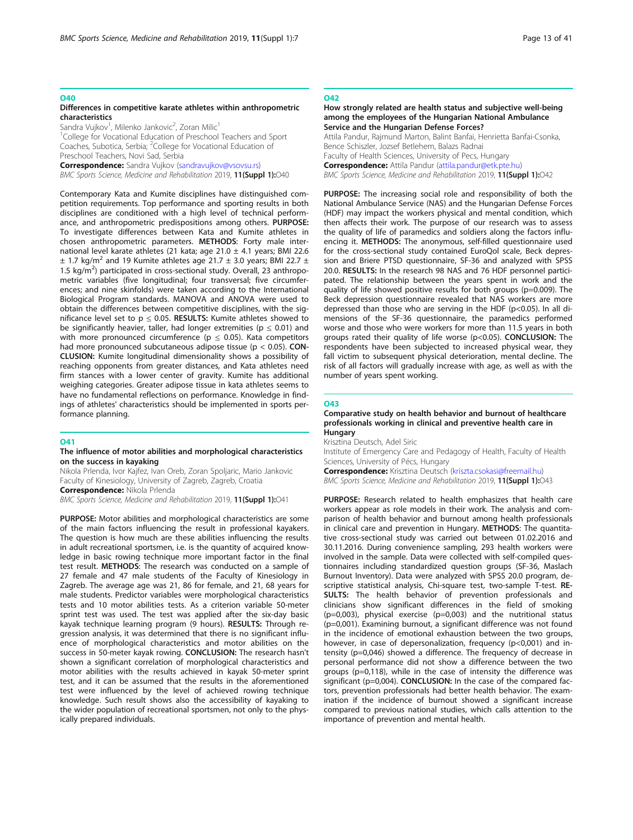## Differences in competitive karate athletes within anthropometric characteristics

Sandra Vujkov<sup>1</sup>, Milenko Jankovic<sup>2</sup>, Zoran Milic<sup>1</sup> <sup>1</sup>College for Vocational Education of Preschool Teachers and Sport Coaches, Subotica, Serbia; <sup>2</sup>College for Vocational Education of Preschool Teachers, Novi Sad, Serbia

**Correspondence:** Sandra Vujkov [\(sandravujkov@vsovsu.rs](sandravujkov@vsovsu.rs))

BMC Sports Science, Medicine and Rehabilitation 2019, 11(Suppl 1):040

Contemporary Kata and Kumite disciplines have distinguished competition requirements. Top performance and sporting results in both disciplines are conditioned with a high level of technical performance, and anthropometric predispositions among others. PURPOSE: To investigate differences between Kata and Kumite athletes in chosen anthropometric parameters. METHODS: Forty male international level karate athletes (21 kata; age  $21.0 \pm 4.1$  years; BMI 22.6  $\pm$  1.7 kg/m<sup>2</sup> and 19 Kumite athletes age 21.7  $\pm$  3.0 years; BMI 22.7  $\pm$ 1.5 kg/m<sup>2</sup>) participated in cross-sectional study. Overall, 23 anthropometric variables (five longitudinal; four transversal; five circumferences; and nine skinfolds) were taken according to the International Biological Program standards. MANOVA and ANOVA were used to obtain the differences between competitive disciplines, with the significance level set to  $p \le 0.05$ . RESULTS: Kumite athletes showed to be significantly heavier, taller, had longer extremities ( $p \le 0.01$ ) and with more pronounced circumference ( $p \le 0.05$ ). Kata competitors had more pronounced subcutaneous adipose tissue ( $p < 0.05$ ). CON-CLUSION: Kumite longitudinal dimensionality shows a possibility of reaching opponents from greater distances, and Kata athletes need firm stances with a lower center of gravity. Kumite has additional weighing categories. Greater adipose tissue in kata athletes seems to have no fundamental reflections on performance. Knowledge in findings of athletes' characteristics should be implemented in sports performance planning.

## O41

## The influence of motor abilities and morphological characteristics on the success in kayaking

Nikola Prlenda, Ivor Kajfez, Ivan Oreb, Zoran Spoljaric, Mario Jankovic Faculty of Kinesiology, University of Zagreb, Zagreb, Croatia Correspondence: Nikola Prlenda

BMC Sports Science, Medicine and Rehabilitation 2019, 11(Suppl 1):041

PURPOSE: Motor abilities and morphological characteristics are some of the main factors influencing the result in professional kayakers. The question is how much are these abilities influencing the results in adult recreational sportsmen, i.e. is the quantity of acquired knowledge in basic rowing technique more important factor in the final test result. METHODS: The research was conducted on a sample of 27 female and 47 male students of the Faculty of Kinesiology in Zagreb. The average age was 21, 86 for female, and 21, 68 years for male students. Predictor variables were morphological characteristics tests and 10 motor abilities tests. As a criterion variable 50-meter sprint test was used. The test was applied after the six-day basic kayak technique learning program (9 hours). RESULTS: Through regression analysis, it was determined that there is no significant influence of morphological characteristics and motor abilities on the success in 50-meter kayak rowing. CONCLUSION: The research hasn't shown a significant correlation of morphological characteristics and motor abilities with the results achieved in kayak 50-meter sprint test, and it can be assumed that the results in the aforementioned test were influenced by the level of achieved rowing technique knowledge. Such result shows also the accessibility of kayaking to the wider population of recreational sportsmen, not only to the physically prepared individuals.

## O42

## How strongly related are health status and subjective well-being among the employees of the Hungarian National Ambulance Service and the Hungarian Defense Forces?

Attila Pandur, Rajmund Marton, Balint Banfai, Henrietta Banfai-Csonka, Bence Schiszler, Jozsef Betlehem, Balazs Radnai Faculty of Health Sciences, University of Pecs, Hungary Correspondence: Attila Pandur [\(attila.pandur@etk.pte.hu](attila.pandur@etk.pte.hu)) BMC Sports Science, Medicine and Rehabilitation 2019, 11(Suppl 1):042

PURPOSE: The increasing social role and responsibility of both the National Ambulance Service (NAS) and the Hungarian Defense Forces (HDF) may impact the workers physical and mental condition, which then affects their work. The purpose of our research was to assess the quality of life of paramedics and soldiers along the factors influencing it. METHODS: The anonymous, self-filled questionnaire used for the cross-sectional study contained EuroQol scale, Beck depression and Briere PTSD questionnaire, SF-36 and analyzed with SPSS 20.0. RESULTS: In the research 98 NAS and 76 HDF personnel participated. The relationship between the years spent in work and the quality of life showed positive results for both groups (p=0.009). The Beck depression questionnaire revealed that NAS workers are more depressed than those who are serving in the HDF (p<0.05). In all dimensions of the SF-36 questionnaire, the paramedics performed worse and those who were workers for more than 11.5 years in both groups rated their quality of life worse (p<0.05). CONCLUSION: The respondents have been subjected to increased physical wear, they fall victim to subsequent physical deterioration, mental decline. The risk of all factors will gradually increase with age, as well as with the number of years spent working.

#### O43

## Comparative study on health behavior and burnout of healthcare professionals working in clinical and preventive health care in Hungary

Krisztina Deutsch, Adel Siric Institute of Emergency Care and Pedagogy of Health, Faculty of Health Sciences, University of Pécs, Hungary Correspondence: Krisztina Deutsch [\(kriszta.csokasi@freemail.hu\)](kriszta.csokasi@freemail.hu) BMC Sports Science, Medicine and Rehabilitation 2019, 11(Suppl 1):043

PURPOSE: Research related to health emphasizes that health care workers appear as role models in their work. The analysis and comparison of health behavior and burnout among health professionals in clinical care and prevention in Hungary. METHODS: The quantitative cross-sectional study was carried out between 01.02.2016 and 30.11.2016. During convenience sampling, 293 health workers were involved in the sample. Data were collected with self-compiled questionnaires including standardized question groups (SF-36, Maslach Burnout Inventory). Data were analyzed with SPSS 20.0 program, descriptive statistical analysis, Chi-square test, two-sample T-test. RE-SULTS: The health behavior of prevention professionals and clinicians show significant differences in the field of smoking (p=0,003), physical exercise (p=0,003) and the nutritional status (p=0,001). Examining burnout, a significant difference was not found in the incidence of emotional exhaustion between the two groups, however, in case of depersonalization, frequency (p<0,001) and intensity (p=0,046) showed a difference. The frequency of decrease in personal performance did not show a difference between the two groups (p=0,118), while in the case of intensity the difference was significant (p=0,004). **CONCLUSION:** In the case of the compared factors, prevention professionals had better health behavior. The examination if the incidence of burnout showed a significant increase compared to previous national studies, which calls attention to the importance of prevention and mental health.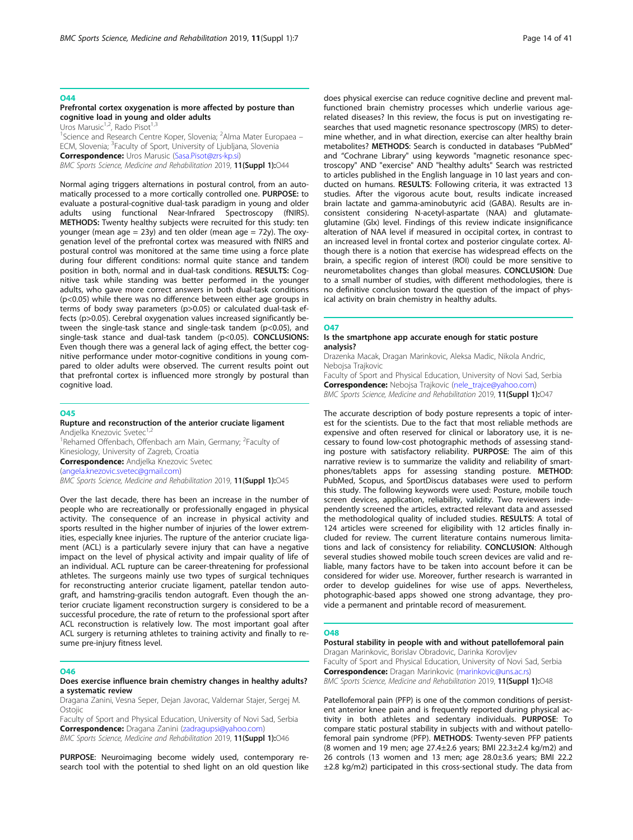## Prefrontal cortex oxygenation is more affected by posture than cognitive load in young and older adults

Uros Marusic $1,2$ , Rado Pisot $1,3$ <sup>1</sup>Science and Research Centre Koper, Slovenia; <sup>2</sup>Alma Mater Europaea -ECM, Slovenia; <sup>3</sup>Faculty of Sport, University of Ljubljana, Slovenia Correspondence: Uros Marusic ([Sasa.Pisot@zrs-kp.si\)](Sasa.Pisot@zrs-kp.si)

BMC Sports Science, Medicine and Rehabilitation 2019, 11(Suppl 1):044

Normal aging triggers alternations in postural control, from an automatically processed to a more cortically controlled one. PURPOSE: to evaluate a postural-cognitive dual-task paradigm in young and older adults using functional Near-Infrared Spectroscopy (fNIRS). METHODS: Twenty healthy subjects were recruited for this study: ten younger (mean age  $= 23y$ ) and ten older (mean age  $= 72y$ ). The oxygenation level of the prefrontal cortex was measured with fNIRS and postural control was monitored at the same time using a force plate during four different conditions: normal quite stance and tandem position in both, normal and in dual-task conditions. RESULTS: Cognitive task while standing was better performed in the younger adults, who gave more correct answers in both dual-task conditions (p<0.05) while there was no difference between either age groups in terms of body sway parameters (p>0.05) or calculated dual-task effects (p>0.05). Cerebral oxygenation values increased significantly between the single-task stance and single-task tandem (p<0.05), and single-task stance and dual-task tandem (p<0.05). CONCLUSIONS: Even though there was a general lack of aging effect, the better cognitive performance under motor-cognitive conditions in young compared to older adults were observed. The current results point out that prefrontal cortex is influenced more strongly by postural than cognitive load.

#### O45

## Rupture and reconstruction of the anterior cruciate ligament Andjelka Knezovic Svetec<sup>1</sup>

<sup>1</sup>Rehamed Offenbach, Offenbach am Main, Germany; <sup>2</sup>Faculty of Kinesiology, University of Zagreb, Croatia **Correspondence:** Andjelka Knezovic Svetec ([angela.knezovic.svetec@gmail.com\)](angela.knezovic.svetec@gmail.com)

BMC Sports Science, Medicine and Rehabilitation 2019, 11(Suppl 1):045

Over the last decade, there has been an increase in the number of people who are recreationally or professionally engaged in physical activity. The consequence of an increase in physical activity and sports resulted in the higher number of injuries of the lower extremities, especially knee injuries. The rupture of the anterior cruciate ligament (ACL) is a particularly severe injury that can have a negative impact on the level of physical activity and impair quality of life of an individual. ACL rupture can be career-threatening for professional athletes. The surgeons mainly use two types of surgical techniques for reconstructing anterior cruciate ligament, patellar tendon autograft, and hamstring-gracilis tendon autograft. Even though the anterior cruciate ligament reconstruction surgery is considered to be a successful procedure, the rate of return to the professional sport after ACL reconstruction is relatively low. The most important goal after ACL surgery is returning athletes to training activity and finally to resume pre-injury fitness level.

#### O46

#### Does exercise influence brain chemistry changes in healthy adults? a systematic review

Dragana Zanini, Vesna Seper, Dejan Javorac, Valdemar Stajer, Sergej M. **Ostojic** 

Faculty of Sport and Physical Education, University of Novi Sad, Serbia Correspondence: Dragana Zanini [\(zadragupsi@yahoo.com](zadragupsi@yahoo.com)) BMC Sports Science, Medicine and Rehabilitation 2019, 11(Suppl 1):046

PURPOSE: Neuroimaging become widely used, contemporary research tool with the potential to shed light on an old question like does physical exercise can reduce cognitive decline and prevent malfunctioned brain chemistry processes which underlie various agerelated diseases? In this review, the focus is put on investigating researches that used magnetic resonance spectroscopy (MRS) to determine whether, and in what direction, exercise can alter healthy brain metabolites? METHODS: Search is conducted in databases "PubMed" and "Cochrane Library" using keywords "magnetic resonance spectroscopy" AND "exercise" AND "healthy adults" Search was restricted to articles published in the English language in 10 last years and conducted on humans. RESULTS: Following criteria, it was extracted 13 studies. After the vigorous acute bout, results indicate increased brain lactate and gamma-aminobutyric acid (GABA). Results are inconsistent considering N-acetyl-aspartate (NAA) and glutamateglutamine (Glx) level. Findings of this review indicate insignificance alteration of NAA level if measured in occipital cortex, in contrast to an increased level in frontal cortex and posterior cingulate cortex. Although there is a notion that exercise has widespread effects on the brain, a specific region of interest (ROI) could be more sensitive to neurometabolites changes than global measures. CONCLUSION: Due to a small number of studies, with different methodologies, there is no definitive conclusion toward the question of the impact of physical activity on brain chemistry in healthy adults.

#### **O47**

#### Is the smartphone app accurate enough for static posture analysis?

Drazenka Macak, Dragan Marinkovic, Aleksa Madic, Nikola Andric, Nebojsa Trajkovic

Faculty of Sport and Physical Education, University of Novi Sad, Serbia **Correspondence:** Nebojsa Trajkovic [\(nele\\_trajce@yahoo.com\)](nele_trajce@yahoo.com) BMC Sports Science, Medicine and Rehabilitation 2019, 11(Suppl 1):047

The accurate description of body posture represents a topic of interest for the scientists. Due to the fact that most reliable methods are expensive and often reserved for clinical or laboratory use, it is necessary to found low-cost photographic methods of assessing standing posture with satisfactory reliability. PURPOSE: The aim of this narrative review is to summarize the validity and reliability of smartphones/tablets apps for assessing standing posture. METHOD: PubMed, Scopus, and SportDiscus databases were used to perform this study. The following keywords were used: Posture, mobile touch screen devices, application, reliability, validity. Two reviewers independently screened the articles, extracted relevant data and assessed the methodological quality of included studies. RESULTS: A total of 124 articles were screened for eligibility with 12 articles finally included for review. The current literature contains numerous limitations and lack of consistency for reliability. CONCLUSION: Although several studies showed mobile touch screen devices are valid and reliable, many factors have to be taken into account before it can be considered for wider use. Moreover, further research is warranted in order to develop guidelines for wise use of apps. Nevertheless, photographic-based apps showed one strong advantage, they provide a permanent and printable record of measurement.

#### O48

Postural stability in people with and without patellofemoral pain Dragan Marinkovic, Borislav Obradovic, Darinka Korovljev Faculty of Sport and Physical Education, University of Novi Sad, Serbia **Correspondence:** Dragan Marinkovic [\(marinkovic@uns.ac.rs\)](marinkovic@uns.ac.rs)

BMC Sports Science, Medicine and Rehabilitation 2019, 11(Suppl 1):048

Patellofemoral pain (PFP) is one of the common conditions of persistent anterior knee pain and is frequently reported during physical activity in both athletes and sedentary individuals. PURPOSE: To compare static postural stability in subjects with and without patellofemoral pain syndrome (PFP). METHODS: Twenty-seven PFP patients (8 women and 19 men; age 27.4±2.6 years; BMI 22.3±2.4 kg/m2) and 26 controls (13 women and 13 men; age 28.0±3.6 years; BMI 22.2 ±2.8 kg/m2) participated in this cross-sectional study. The data from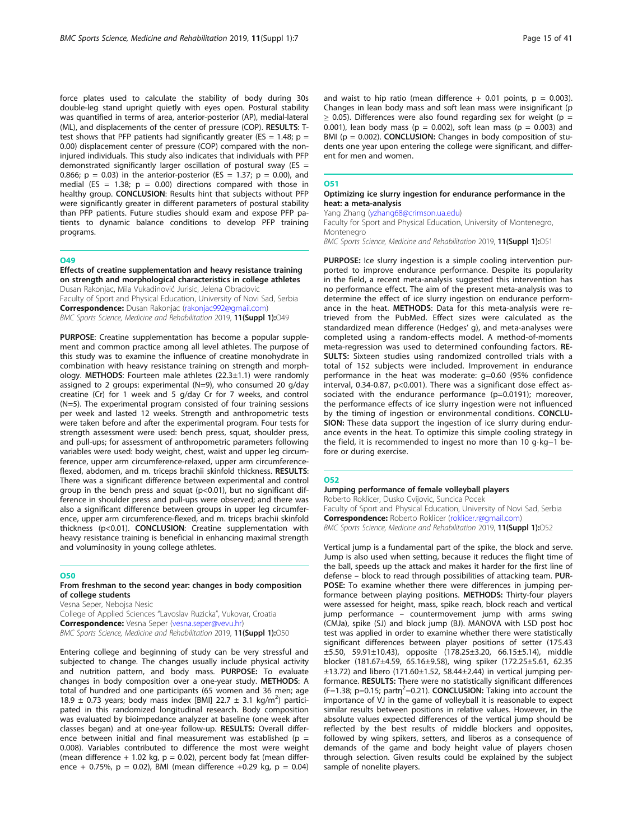force plates used to calculate the stability of body during 30s double-leg stand upright quietly with eyes open. Postural stability was quantified in terms of area, anterior-posterior (AP), medial-lateral (ML), and displacements of the center of pressure (COP). RESULTS: Ttest shows that PFP patients had significantly greater (ES = 1.48;  $p =$ 0.00) displacement center of pressure (COP) compared with the noninjured individuals. This study also indicates that individuals with PFP demonstrated significantly larger oscillation of postural sway (ES  $=$ 0.866;  $p = 0.03$ ) in the anterior-posterior (ES = 1.37;  $p = 0.00$ ), and medial (ES = 1.38;  $p = 0.00$ ) directions compared with those in healthy group. CONCLUSION: Results hint that subjects without PFP were significantly greater in different parameters of postural stability than PFP patients. Future studies should exam and expose PFP patients to dynamic balance conditions to develop PFP training programs.

## O49

Effects of creatine supplementation and heavy resistance training on strength and morphological characteristics in college athletes Dusan Rakonjac, Mila Vukadinović Jurisic, Jelena Obradovic Faculty of Sport and Physical Education, University of Novi Sad, Serbia Correspondence: Dusan Rakonjac ([rakonjac992@gmail.com\)](rakonjac992@gmail.com) BMC Sports Science, Medicine and Rehabilitation 2019, 11(Suppl 1):049

PURPOSE: Creatine supplementation has become a popular supplement and common practice among all level athletes. The purpose of this study was to examine the influence of creatine monohydrate in combination with heavy resistance training on strength and morphology. METHODS: Fourteen male athletes (22.3±1.1) were randomly assigned to 2 groups: experimental (N=9), who consumed 20 g/day creatine (Cr) for 1 week and 5 g/day Cr for 7 weeks, and control (N=5). The experimental program consisted of four training sessions per week and lasted 12 weeks. Strength and anthropometric tests were taken before and after the experimental program. Four tests for strength assessment were used: bench press, squat, shoulder press, and pull-ups; for assessment of anthropometric parameters following variables were used: body weight, chest, waist and upper leg circumference, upper arm circumference-relaxed, upper arm circumferenceflexed, abdomen, and m. triceps brachii skinfold thickness. RESULTS: There was a significant difference between experimental and control group in the bench press and squat (p<0.01), but no significant difference in shoulder press and pull-ups were observed; and there was also a significant difference between groups in upper leg circumference, upper arm circumference-flexed, and m. triceps brachii skinfold thickness (p<0.01). CONCLUSION: Creatine supplementation with heavy resistance training is beneficial in enhancing maximal strength and voluminosity in young college athletes.

#### O50

#### From freshman to the second year: changes in body composition of college students

Vesna Seper, Nebojsa Nesic

College of Applied Sciences "Lavoslav Ruzicka", Vukovar, Croatia Correspondence: Vesna Seper [\(vesna.seper@vevu.hr\)](vesna.seper@vevu.hr) BMC Sports Science, Medicine and Rehabilitation 2019, 11(Suppl 1):050

Entering college and beginning of study can be very stressful and subjected to change. The changes usually include physical activity and nutrition pattern, and body mass. PURPOSE: To evaluate changes in body composition over a one-year study. METHODS: A total of hundred and one participants (65 women and 36 men; age 18.9  $\pm$  0.73 years; body mass index [BMI] 22.7  $\pm$  3.1 kg/m<sup>2</sup>) participated in this randomized longitudinal research. Body composition was evaluated by bioimpedance analyzer at baseline (one week after classes began) and at one-year follow-up. RESULTS: Overall difference between initial and final measurement was established ( $p =$ 0.008). Variables contributed to difference the most were weight (mean difference + 1.02 kg,  $p = 0.02$ ), percent body fat (mean difference + 0.75%,  $p = 0.02$ ), BMI (mean difference +0.29 kg,  $p = 0.04$ )

and waist to hip ratio (mean difference  $+$  0.01 points,  $p = 0.003$ ). Changes in lean body mass and soft lean mass were insignificant (p  $\geq$  0.05). Differences were also found regarding sex for weight (p = 0.001), lean body mass ( $p = 0.002$ ), soft lean mass ( $p = 0.003$ ) and BMI (p = 0.002). CONCLUSION: Changes in body composition of students one year upon entering the college were significant, and different for men and women.

#### O51

#### Optimizing ice slurry ingestion for endurance performance in the heat: a meta-analysis

Yang Zhang [\(yzhang68@crimson.ua.edu\)](yzhang68@crimson.ua.edu)

Faculty for Sport and Physical Education, University of Montenegro, Montenegro

BMC Sports Science, Medicine and Rehabilitation 2019, 11(Suppl 1):051

PURPOSE: Ice slurry ingestion is a simple cooling intervention purported to improve endurance performance. Despite its popularity in the field, a recent meta-analysis suggested this intervention has no performance effect. The aim of the present meta-analysis was to determine the effect of ice slurry ingestion on endurance performance in the heat. METHODS: Data for this meta-analysis were retrieved from the PubMed. Effect sizes were calculated as the standardized mean difference (Hedges' g), and meta-analyses were completed using a random-effects model. A method-of-moments meta-regression was used to determined confounding factors. RE-SULTS: Sixteen studies using randomized controlled trials with a total of 152 subjects were included. Improvement in endurance performance in the heat was moderate: g=0.60 (95% confidence interval, 0.34-0.87, p<0.001). There was a significant dose effect associated with the endurance performance (p=0.0191); moreover, the performance effects of ice slurry ingestion were not influenced by the timing of ingestion or environmental conditions. CONCLU-SION: These data support the ingestion of ice slurry during endurance events in the heat. To optimize this simple cooling strategy in the field, it is recommended to ingest no more than 10 g⋅kg−1 before or during exercise.

#### O52

Jumping performance of female volleyball players

Roberto Roklicer, Dusko Cvijovic, Suncica Pocek Faculty of Sport and Physical Education, University of Novi Sad, Serbia Correspondence: Roberto Roklicer (<roklicer.r@gmail.com>) BMC Sports Science, Medicine and Rehabilitation 2019, 11(Suppl 1):052

Vertical jump is a fundamental part of the spike, the block and serve. Jump is also used when setting, because it reduces the flight time of the ball, speeds up the attack and makes it harder for the first line of defense – block to read through possibilities of attacking team. PUR-POSE: To examine whether there were differences in jumping performance between playing positions. METHODS: Thirty-four players were assessed for height, mass, spike reach, block reach and vertical jump performance – countermovement jump with arms swing (CMJa), spike (SJ) and block jump (BJ). MANOVA with LSD post hoc test was applied in order to examine whether there were statistically significant differences between player positions of setter (175.43 ±5.50, 59.91±10.43), opposite (178.25±3.20, 66.15±5.14), middle blocker (181.67±4.59, 65.16±9.58), wing spiker (172.25±5.61, 62.35  $\pm$ 13.72) and libero (171.60 $\pm$ 1.52, 58.44 $\pm$ 2.44) in vertical jumping performance. RESULTS: There were no statistically significant differences  $(F=1.38; p=0.15; part \eta^2=0.21)$ . CONCLUSION: Taking into account the importance of VJ in the game of volleyball it is reasonable to expect similar results between positions in relative values. However, in the absolute values expected differences of the vertical jump should be reflected by the best results of middle blockers and opposites, followed by wing spikers, setters, and liberos as a consequence of demands of the game and body height value of players chosen through selection. Given results could be explained by the subject sample of nonelite players.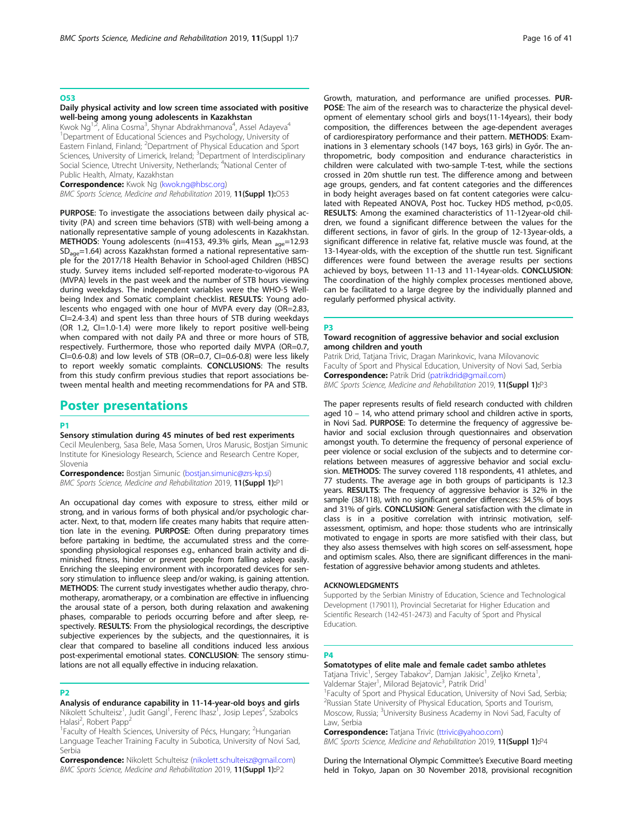#### Daily physical activity and low screen time associated with positive well-being among young adolescents in Kazakhstan

Kwok Ng<sup>1,2</sup>, Alina Cosma<sup>3</sup>, Shynar Abdrakhmanova<sup>4</sup>, Assel Adayeva<sup>4</sup> <sup>1</sup>Department of Educational Sciences and Psychology, University of Eastern Finland, Finland; <sup>2</sup>Department of Physical Education and Sport Sciences, University of Limerick, Ireland; <sup>3</sup>Department of Interdisciplinary Social Science, Utrecht University, Netherlands; <sup>4</sup>National Center of Public Health, Almaty, Kazakhstan

Correspondence: Kwok Ng [\(kwok.ng@hbsc.org\)](kwok.ng@hbsc.org)

BMC Sports Science, Medicine and Rehabilitation 2019, 11(Suppl 1):053

PURPOSE: To investigate the associations between daily physical activity (PA) and screen time behaviors (STB) with well-being among a nationally representative sample of young adolescents in Kazakhstan. METHODS: Young adolescents (n=4153, 49.3% girls, Mean <sub>age</sub>=12.93  $SD<sub>ace</sub>=1.64$ ) across Kazakhstan formed a national representative sample for the 2017/18 Health Behavior in School-aged Children (HBSC) study. Survey items included self-reported moderate-to-vigorous PA (MVPA) levels in the past week and the number of STB hours viewing during weekdays. The independent variables were the WHO-5 Wellbeing Index and Somatic complaint checklist. RESULTS: Young adolescents who engaged with one hour of MVPA every day (OR=2.83, CI=2.4-3.4) and spent less than three hours of STB during weekdays (OR 1.2, CI=1.0-1.4) were more likely to report positive well-being when compared with not daily PA and three or more hours of STB, respectively. Furthermore, those who reported daily MVPA (OR=0.7, CI=0.6-0.8) and low levels of STB (OR=0.7, CI=0.6-0.8) were less likely to report weekly somatic complaints. CONCLUSIONS: The results from this study confirm previous studies that report associations between mental health and meeting recommendations for PA and STB.

## Poster presentations

## P1

#### Sensory stimulation during 45 minutes of bed rest experiments

Cecil Meulenberg, Sasa Bele, Masa Somen, Uros Marusic, Bostjan Simunic Institute for Kinesiology Research, Science and Research Centre Koper, Slovenia

Correspondence: Bostjan Simunic [\(bostjan.simunic@zrs-kp.si](bostjan.simunic@zrs-kp.si)) BMC Sports Science, Medicine and Rehabilitation 2019, 11(Suppl 1):P1

An occupational day comes with exposure to stress, either mild or strong, and in various forms of both physical and/or psychologic character. Next, to that, modern life creates many habits that require attention late in the evening. PURPOSE: Often during preparatory times before partaking in bedtime, the accumulated stress and the corresponding physiological responses e.g., enhanced brain activity and diminished fitness, hinder or prevent people from falling asleep easily. Enriching the sleeping environment with incorporated devices for sensory stimulation to influence sleep and/or waking, is gaining attention. METHODS: The current study investigates whether audio therapy, chromotherapy, aromatherapy, or a combination are effective in influencing the arousal state of a person, both during relaxation and awakening phases, comparable to periods occurring before and after sleep, respectively. RESULTS: From the physiological recordings, the descriptive subjective experiences by the subjects, and the questionnaires, it is clear that compared to baseline all conditions induced less anxious post-experimental emotional states. CONCLUSION: The sensory stimulations are not all equally effective in inducing relaxation.

## P2

Analysis of endurance capability in 11-14-year-old boys and girls Nikolett Schulteisz<sup>1</sup>, Judit Gangl<sup>1</sup>, Ferenc Ihasz<sup>1</sup>, Josip Lepes<sup>2</sup>, Szabolcs Halasi<sup>2</sup>, Robert Papp<sup>2</sup>

<sup>1</sup> Faculty of Health Sciences, University of Pécs, Hungary; <sup>2</sup> Hungarian Language Teacher Training Faculty in Subotica, University of Novi Sad, Serbia

Correspondence: Nikolett Schulteisz ([nikolett.schulteisz@gmail.com\)](nikolett.schulteisz@gmail.com) BMC Sports Science, Medicine and Rehabilitation 2019, 11(Suppl 1):P2

Growth, maturation, and performance are unified processes. PUR-POSE: The aim of the research was to characterize the physical development of elementary school girls and boys(11-14years), their body composition, the differences between the age-dependent averages of cardiorespiratory performance and their pattern. METHODS: Examinations in 3 elementary schools (147 boys, 163 girls) in Győr. The anthropometric, body composition and endurance characteristics in children were calculated with two-sample T-test, while the sections crossed in 20m shuttle run test. The difference among and between age groups, genders, and fat content categories and the differences in body height averages based on fat content categories were calculated with Repeated ANOVA, Post hoc. Tuckey HDS method, p<0,05. RESULTS: Among the examined characteristics of 11-12year-old children, we found a significant difference between the values for the different sections, in favor of girls. In the group of 12-13year-olds, a significant difference in relative fat, relative muscle was found, at the 13-14year-olds, with the exception of the shuttle run test. Significant differences were found between the average results per sections achieved by boys, between 11-13 and 11-14year-olds. CONCLUSION: The coordination of the highly complex processes mentioned above, can be facilitated to a large degree by the individually planned and regularly performed physical activity.

#### P3

#### Toward recognition of aggressive behavior and social exclusion among children and youth

Patrik Drid, Tatjana Trivic, Dragan Marinkovic, Ivana Milovanovic Faculty of Sport and Physical Education, University of Novi Sad, Serbia Correspondence: Patrik Drid ([patrikdrid@gmail.com\)](patrikdrid@gmail.com) BMC Sports Science, Medicine and Rehabilitation 2019, 11(Suppl 1):P3

The paper represents results of field research conducted with children aged 10 – 14, who attend primary school and children active in sports, in Novi Sad. PURPOSE: To determine the frequency of aggressive behavior and social exclusion through questionnaires and observation amongst youth. To determine the frequency of personal experience of peer violence or social exclusion of the subjects and to determine correlations between measures of aggressive behavior and social exclusion. METHODS: The survey covered 118 respondents, 41 athletes, and 77 students. The average age in both groups of participants is 12.3 years. RESULTS: The frequency of aggressive behavior is 32% in the sample (38/118), with no significant gender differences: 34.5% of boys and 31% of girls. CONCLUSION: General satisfaction with the climate in class is in a positive correlation with intrinsic motivation, selfassessment, optimism, and hope: those students who are intrinsically motivated to engage in sports are more satisfied with their class, but they also assess themselves with high scores on self-assessment, hope and optimism scales. Also, there are significant differences in the manifestation of aggressive behavior among students and athletes.

#### ACKNOWLEDGMENTS

Supported by the Serbian Ministry of Education, Science and Technological Development (179011), Provincial Secretariat for Higher Education and Scientific Research (142-451-2473) and Faculty of Sport and Physical Education.

#### P4

## Somatotypes of elite male and female cadet sambo athletes

Tatjana Trivic<sup>1</sup>, Sergey Tabakov<sup>2</sup>, Damjan Jakisic<sup>1</sup>, Zeljko Krneta<sup>1</sup> Valdemar Stajer<sup>1</sup>, Milorad Bejatovic<sup>3</sup>, Patrik Drid<sup>1</sup>

<sup>1</sup> Faculty of Sport and Physical Education, University of Novi Sad, Serbia; <sup>2</sup>Russian State University of Physical Education, Sports and Tourism, Moscow, Russia; <sup>3</sup>University Business Academy in Novi Sad, Faculty of Law, Serbia

,

Correspondence: Tatjana Trivic [\(ttrivic@yahoo.com\)](ttrivic@yahoo.com) BMC Sports Science, Medicine and Rehabilitation 2019, 11(Suppl 1):P4

During the International Olympic Committee's Executive Board meeting held in Tokyo, Japan on 30 November 2018, provisional recognition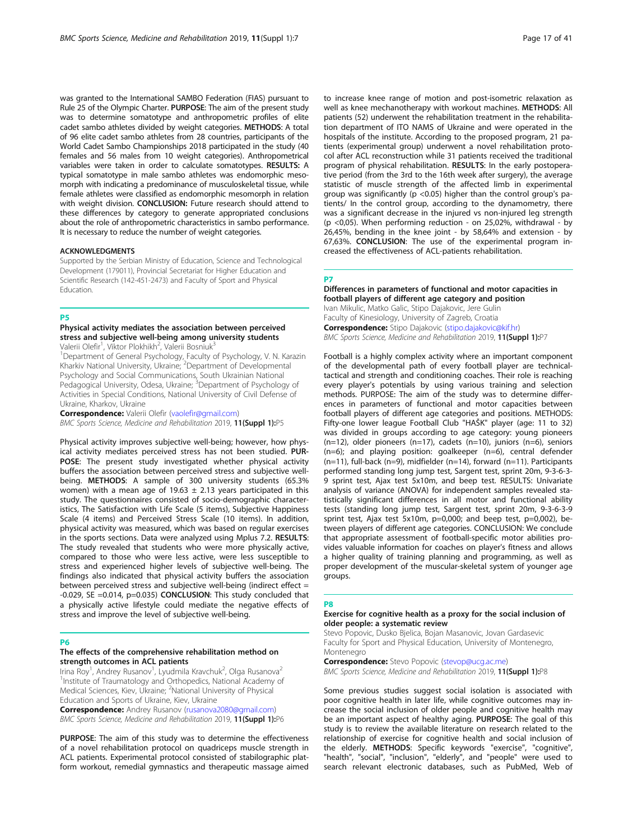was granted to the International SAMBO Federation (FIAS) pursuant to Rule 25 of the Olympic Charter. PURPOSE: The aim of the present study was to determine somatotype and anthropometric profiles of elite cadet sambo athletes divided by weight categories. METHODS: A total of 96 elite cadet sambo athletes from 28 countries, participants of the World Cadet Sambo Championships 2018 participated in the study (40 females and 56 males from 10 weight categories). Anthropometrical variables were taken in order to calculate somatotypes. RESULTS: A typical somatotype in male sambo athletes was endomorphic mesomorph with indicating a predominance of musculoskeletal tissue, while female athletes were classified as endomorphic mesomorph in relation with weight division. CONCLUSION: Future research should attend to these differences by category to generate appropriated conclusions about the role of anthropometric characteristics in sambo performance. It is necessary to reduce the number of weight categories.

#### ACKNOWLEDGMENTS

Supported by the Serbian Ministry of Education, Science and Technological Development (179011), Provincial Secretariat for Higher Education and Scientific Research (142-451-2473) and Faculty of Sport and Physical Education.

## **D5**

## Physical activity mediates the association between perceived stress and subjective well-being among university students Valerii Olefir<sup>1</sup>, Viktor Plokhikh<sup>2</sup>, Valerii Bosniuk<sup>3</sup>

<sup>1</sup>Department of General Psychology, Faculty of Psychology, V. N. Karazin Kharkiv National University, Ukraine; <sup>2</sup>Department of Developmental Psychology and Social Communications, South Ukrainian National<br>Pedagogical University, Odesa, Ukraine; <sup>3</sup>Department of Psychology of Activities in Special Conditions, National University of Civil Defense of Ukraine, Kharkov, Ukraine

Correspondence: Valerii Olefir [\(vaolefir@gmail.com](vaolefir@gmail.com)) BMC Sports Science, Medicine and Rehabilitation 2019, 11(Suppl 1):P5

Physical activity improves subjective well-being; however, how phys-

ical activity mediates perceived stress has not been studied. PUR-POSE: The present study investigated whether physical activity buffers the association between perceived stress and subjective wellbeing. METHODS: A sample of 300 university students (65.3% women) with a mean age of 19.63  $\pm$  2.13 years participated in this study. The questionnaires consisted of socio-demographic characteristics, The Satisfaction with Life Scale (5 items), Subjective Happiness Scale (4 items) and Perceived Stress Scale (10 items). In addition, physical activity was measured, which was based on regular exercises in the sports sections. Data were analyzed using Mplus 7.2. RESULTS: The study revealed that students who were more physically active, compared to those who were less active, were less susceptible to stress and experienced higher levels of subjective well-being. The findings also indicated that physical activity buffers the association between perceived stress and subjective well-being (indirect effect  $=$ -0.029, SE =0.014, p=0.035) CONCLUSION: This study concluded that a physically active lifestyle could mediate the negative effects of stress and improve the level of subjective well-being.

#### P6

## The effects of the comprehensive rehabilitation method on strength outcomes in ACL patients

Irina Roy<sup>1</sup>, Andrey Rusanov<sup>1</sup>, Lyudmila Kravchuk<sup>2</sup>, Olga Rusanova<sup>2</sup> <sup>1</sup>Institute of Traumatology and Orthopedics, National Academy of Medical Sciences, Kiev, Ukraine; <sup>2</sup>National University of Physical Education and Sports of Ukraine, Kiev, Ukraine

Correspondence: Andrey Rusanov [\(rusanova2080@gmail.com](rusanova2080@gmail.com)) BMC Sports Science, Medicine and Rehabilitation 2019, 11(Suppl 1):P6

PURPOSE: The aim of this study was to determine the effectiveness of a novel rehabilitation protocol on quadriceps muscle strength in ACL patients. Experimental protocol consisted of stabilographic platform workout, remedial gymnastics and therapeutic massage aimed to increase knee range of motion and post-isometric relaxation as well as knee mechanotherapy with workout machines. METHODS: All patients (52) underwent the rehabilitation treatment in the rehabilitation department of ITO NAMS of Ukraine and were operated in the hospitals of the institute. According to the proposed program, 21 patients (experimental group) underwent a novel rehabilitation protocol after ACL reconstruction while 31 patients received the traditional program of physical rehabilitation. RESULTS: In the early postoperative period (from the 3rd to the 16th week after surgery), the average statistic of muscle strength of the affected limb in experimental group was significantly ( $p$  <0.05) higher than the control group's patients/ In the control group, according to the dynamometry, there was a significant decrease in the injured vs non-injured leg strength (p <0,05). When performing reduction - on 25,02%, withdrawal - by 26,45%, bending in the knee joint - by 58,64% and extension - by 67,63%. CONCLUSION: The use of the experimental program increased the effectiveness of ACL-patients rehabilitation.

## P7

#### Differences in parameters of functional and motor capacities in football players of different age category and position

Ivan Mikulic, Matko Galic, Stipo Dajakovic, Jere Gulin Faculty of Kinesiology, University of Zagreb, Croatia **Correspondence:** Stipo Dajakovic ([stipo.dajakovic@kif.hr\)](stipo.dajakovic@kif.hr) BMC Sports Science, Medicine and Rehabilitation 2019, 11(Suppl 1):P7

Football is a highly complex activity where an important component of the developmental path of every football player are technicaltactical and strength and conditioning coaches. Their role is reaching every player's potentials by using various training and selection methods. PURPOSE: The aim of the study was to determine differences in parameters of functional and motor capacities between football players of different age categories and positions. METHODS: Fifty-one lower league Football Club "HAŠK" player (age: 11 to 32) was divided in groups according to age category: young pioneers  $(n=12)$ , older pioneers  $(n=17)$ , cadets  $(n=10)$ , juniors  $(n=6)$ , seniors (n=6); and playing position: goalkeeper (n=6), central defender (n=11), full-back (n=9), midfielder (n=14), forward (n=11). Participants performed standing long jump test, Sargent test, sprint 20m, 9-3-6-3- 9 sprint test, Ajax test 5x10m, and beep test. RESULTS: Univariate analysis of variance (ANOVA) for independent samples revealed statistically significant differences in all motor and functional ability tests (standing long jump test, Sargent test, sprint 20m, 9-3-6-3-9 sprint test, Ajax test 5x10m, p=0,000; and beep test, p=0,002), between players of different age categories. CONCLUSION: We conclude that appropriate assessment of football-specific motor abilities provides valuable information for coaches on player's fitness and allows a higher quality of training planning and programming, as well as proper development of the muscular-skeletal system of younger age groups.

## P8

#### Exercise for cognitive health as a proxy for the social inclusion of older people: a systematic review

Stevo Popovic, Dusko Bjelica, Bojan Masanovic, Jovan Gardasevic Faculty for Sport and Physical Education, University of Montenegro, Montenegro

**Correspondence:** Stevo Popovic [\(stevop@ucg.ac.me](stevop@ucg.ac.me)) BMC Sports Science, Medicine and Rehabilitation 2019, 11(Suppl 1):P8

Some previous studies suggest social isolation is associated with poor cognitive health in later life, while cognitive outcomes may increase the social inclusion of older people and cognitive health may be an important aspect of healthy aging. PURPOSE: The goal of this study is to review the available literature on research related to the relationship of exercise for cognitive health and social inclusion of the elderly. METHODS: Specific keywords "exercise", "cognitive", "health", "social", "inclusion", "elderly", and "people" were used to search relevant electronic databases, such as PubMed, Web of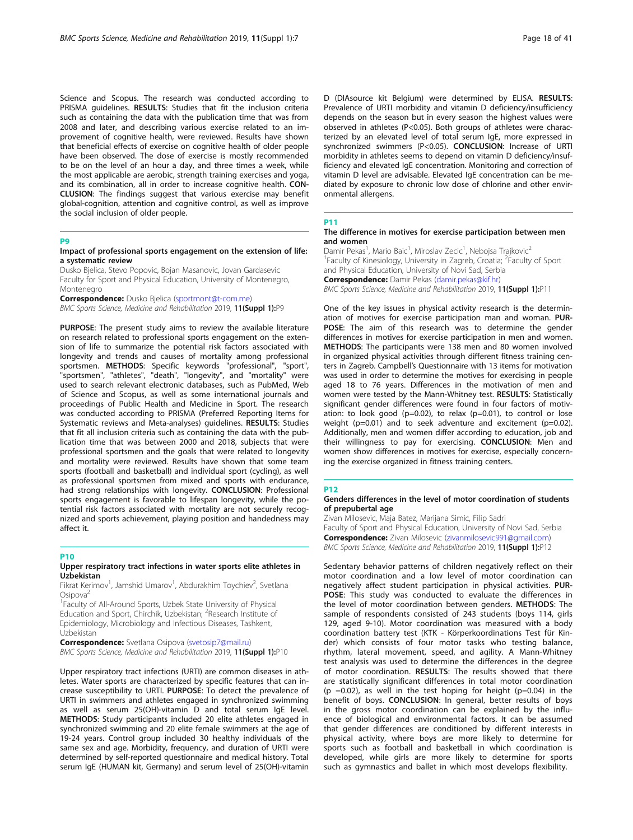Science and Scopus. The research was conducted according to PRISMA guidelines. RESULTS: Studies that fit the inclusion criteria such as containing the data with the publication time that was from 2008 and later, and describing various exercise related to an improvement of cognitive health, were reviewed. Results have shown that beneficial effects of exercise on cognitive health of older people have been observed. The dose of exercise is mostly recommended to be on the level of an hour a day, and three times a week, while the most applicable are aerobic, strength training exercises and yoga, and its combination, all in order to increase cognitive health. CON-CLUSION: The findings suggest that various exercise may benefit global-cognition, attention and cognitive control, as well as improve the social inclusion of older people.

#### **DQ**

#### Impact of professional sports engagement on the extension of life: a systematic review

Dusko Bjelica, Stevo Popovic, Bojan Masanovic, Jovan Gardasevic Faculty for Sport and Physical Education, University of Montenegro, Montenegro

Correspondence: Dusko Bjelica [\(sportmont@t-com.me](sportmont@t-com.me))

BMC Sports Science, Medicine and Rehabilitation 2019, 11(Suppl 1):P9

PURPOSE: The present study aims to review the available literature on research related to professional sports engagement on the extension of life to summarize the potential risk factors associated with longevity and trends and causes of mortality among professional sportsmen. METHODS: Specific keywords "professional", "sport", "sportsmen", "athletes", "death", "longevity", and "mortality" were used to search relevant electronic databases, such as PubMed, Web of Science and Scopus, as well as some international journals and proceedings of Public Health and Medicine in Sport. The research was conducted according to PRISMA (Preferred Reporting Items for Systematic reviews and Meta-analyses) guidelines. RESULTS: Studies that fit all inclusion criteria such as containing the data with the publication time that was between 2000 and 2018, subjects that were professional sportsmen and the goals that were related to longevity and mortality were reviewed. Results have shown that some team sports (football and basketball) and individual sport (cycling), as well as professional sportsmen from mixed and sports with endurance, had strong relationships with longevity. CONCLUSION: Professional sports engagement is favorable to lifespan longevity, while the potential risk factors associated with mortality are not securely recognized and sports achievement, playing position and handedness may affect it.

## P10

#### Upper respiratory tract infections in water sports elite athletes in Uzbekistan

Fikrat Kerimov<sup>1</sup>, Jamshid Umarov<sup>1</sup>, Abdurakhim Toychiev<sup>2</sup>, Svetlana Osipova<sup>2</sup>

<sup>1</sup> Faculty of All-Around Sports, Uzbek State University of Physical Education and Sport, Chirchik, Uzbekistan; <sup>2</sup>Research Institute of Epidemiology, Microbiology and Infectious Diseases, Tashkent, Uzbekistan

Correspondence: Svetlana Osipova (<svetosip7@mail.ru>)

BMC Sports Science, Medicine and Rehabilitation 2019, 11(Suppl 1):P10

Upper respiratory tract infections (URTI) are common diseases in athletes. Water sports are characterized by specific features that can increase susceptibility to URTI. PURPOSE: To detect the prevalence of URTI in swimmers and athletes engaged in synchronized swimming as well as serum 25(OH)-vitamin D and total serum IgE level. METHODS: Study participants included 20 elite athletes engaged in synchronized swimming and 20 elite female swimmers at the age of 19-24 years. Control group included 30 healthy individuals of the same sex and age. Morbidity, frequency, and duration of URTI were determined by self-reported questionnaire and medical history. Total serum IgE (HUMAN kit, Germany) and serum level of 25(OH)-vitamin

D (DIAsource kit Belgium) were determined by ELISA. RESULTS: Prevalence of URTI morbidity and vitamin D deficiency/insufficiency depends on the season but in every season the highest values were observed in athletes (P<0.05). Both groups of athletes were characterized by an elevated level of total serum IgE, more expressed in synchronized swimmers (P<0.05). CONCLUSION: Increase of URTI morbidity in athletes seems to depend on vitamin D deficiency/insufficiency and elevated IgE concentration. Monitoring and correction of vitamin D level are advisable. Elevated IgE concentration can be mediated by exposure to chronic low dose of chlorine and other environmental allergens.

#### P11

#### The difference in motives for exercise participation between men and women

Damir Pekas<sup>1</sup>, Mario Baic<sup>1</sup>, Miroslav Zecic<sup>1</sup>, Nebojsa Trajkovic<sup>2</sup> <sup>1</sup> Faculty of Kinesiology, University in Zagreb, Croatia; <sup>2</sup> Faculty of Sport and Physical Education, University of Novi Sad, Serbia Correspondence: Damir Pekas (<damir.pekas@kif.hr>) BMC Sports Science, Medicine and Rehabilitation 2019, 11(Suppl 1):P11

One of the key issues in physical activity research is the determination of motives for exercise participation man and woman. PUR-POSE: The aim of this research was to determine the gender differences in motives for exercise participation in men and women. METHODS: The participants were 138 men and 80 women involved in organized physical activities through different fitness training centers in Zagreb. Campbell's Questionnaire with 13 items for motivation was used in order to determine the motives for exercising in people aged 18 to 76 years. Differences in the motivation of men and women were tested by the Mann-Whitney test. RESULTS: Statistically significant gender differences were found in four factors of motivation: to look good ( $p=0.02$ ), to relax ( $p=0.01$ ), to control or lose weight ( $p=0.01$ ) and to seek adventure and excitement ( $p=0.02$ ). Additionally, men and women differ according to education, job and their willingness to pay for exercising. CONCLUSION: Men and women show differences in motives for exercise, especially concerning the exercise organized in fitness training centers.

#### P12

#### Genders differences in the level of motor coordination of students of prepubertal age

Zivan Milosevic, Maja Batez, Marijana Simic, Filip Sadri Faculty of Sport and Physical Education, University of Novi Sad, Serbia Correspondence: Zivan Milosevic ([zivanmilosevic991@gmail.com\)](zivanmilosevic991@gmail.com) BMC Sports Science, Medicine and Rehabilitation 2019, 11(Suppl 1):P12

Sedentary behavior patterns of children negatively reflect on their motor coordination and a low level of motor coordination can negatively affect student participation in physical activities. PUR-POSE: This study was conducted to evaluate the differences in the level of motor coordination between genders. METHODS: The sample of respondents consisted of 243 students (boys 114, girls 129, aged 9-10). Motor coordination was measured with a body coordination battery test (KTK - Körperkoordinations Test für Kinder) which consists of four motor tasks who testing balance, rhythm, lateral movement, speed, and agility. A Mann-Whitney test analysis was used to determine the differences in the degree of motor coordination. RESULTS: The results showed that there are statistically significant differences in total motor coordination ( $p = 0.02$ ), as well in the test hoping for height ( $p=0.04$ ) in the benefit of boys. CONCLUSION: In general, better results of boys in the gross motor coordination can be explained by the influence of biological and environmental factors. It can be assumed that gender differences are conditioned by different interests in physical activity, where boys are more likely to determine for sports such as football and basketball in which coordination is developed, while girls are more likely to determine for sports such as gymnastics and ballet in which most develops flexibility.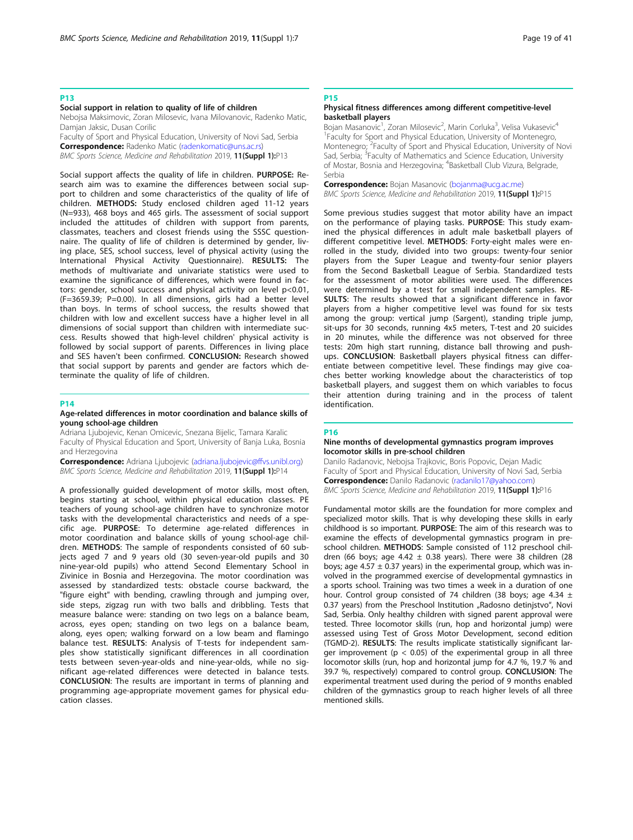## Social support in relation to quality of life of children

Nebojsa Maksimovic, Zoran Milosevic, Ivana Milovanovic, Radenko Matic, Damjan Jaksic, Dusan Corilic

Faculty of Sport and Physical Education, University of Novi Sad, Serbia Correspondence: Radenko Matic ([radenkomatic@uns.ac.rs\)](radenkomatic@uns.ac.rs) BMC Sports Science, Medicine and Rehabilitation 2019, 11(Suppl 1):P13

Social support affects the quality of life in children. PURPOSE: Research aim was to examine the differences between social support to children and some characteristics of the quality of life of children. METHODS: Study enclosed children aged 11-12 years (N=933), 468 boys and 465 girls. The assessment of social support included the attitudes of children with support from parents, classmates, teachers and closest friends using the SSSC questionnaire. The quality of life of children is determined by gender, living place, SES, school success, level of physical activity (using the International Physical Activity Questionnaire). RESULTS: The methods of multivariate and univariate statistics were used to examine the significance of differences, which were found in factors: gender, school success and physical activity on level p<0.01, (F=3659.39; P=0.00). In all dimensions, girls had a better level than boys. In terms of school success, the results showed that children with low and excellent success have a higher level in all dimensions of social support than children with intermediate success. Results showed that high-level children' physical activity is followed by social support of parents. Differences in living place and SES haven't been confirmed. CONCLUSION: Research showed that social support by parents and gender are factors which determinate the quality of life of children.

#### P14

#### Age-related differences in motor coordination and balance skills of young school-age children

Adriana Ljubojevic, Kenan Omicevic, Snezana Bijelic, Tamara Karalic Faculty of Physical Education and Sport, University of Banja Luka, Bosnia and Herzegovina

Correspondence: Adriana Ljubojevic [\(adriana.ljubojevic@ffvs.unibl.org](adriana.ljubojevic@ffvs.unibl.org)) BMC Sports Science, Medicine and Rehabilitation 2019, 11(Suppl 1):P14

A professionally guided development of motor skills, most often, begins starting at school, within physical education classes. PE teachers of young school-age children have to synchronize motor tasks with the developmental characteristics and needs of a specific age. PURPOSE: To determine age-related differences in motor coordination and balance skills of young school-age children. METHODS: The sample of respondents consisted of 60 subjects aged 7 and 9 years old (30 seven-year-old pupils and 30 nine-year-old pupils) who attend Second Elementary School in Zivinice in Bosnia and Herzegovina. The motor coordination was assessed by standardized tests: obstacle course backward, the "figure eight" with bending, crawling through and jumping over, side steps, zigzag run with two balls and dribbling. Tests that measure balance were: standing on two legs on a balance beam, across, eyes open; standing on two legs on a balance beam, along, eyes open; walking forward on a low beam and flamingo balance test. RESULTS: Analysis of T-tests for independent samples show statistically significant differences in all coordination tests between seven-year-olds and nine-year-olds, while no significant age-related differences were detected in balance tests. CONCLUSION: The results are important in terms of planning and programming age-appropriate movement games for physical education classes.

## P15

#### Physical fitness differences among different competitive-level basketball players

Bojan Masanovic<sup>1</sup>, Zoran Milosevic<sup>2</sup>, Marin Corluka<sup>3</sup>, Velisa Vukasevic<sup>4</sup> <sup>1</sup> Faculty for Sport and Physical Education, University of Montenegro Montenegro; <sup>2</sup>Faculty of Sport and Physical Education, University of Novi Sad, Serbia; <sup>3</sup>Faculty of Mathematics and Science Education, University of Mostar, Bosnia and Herzegovina; <sup>4</sup>Basketball Club Vizura, Belgrade, Serbia

**Correspondence:** Bojan Masanovic [\(bojanma@ucg.ac.me\)](bojanma@ucg.ac.me) BMC Sports Science, Medicine and Rehabilitation 2019, 11(Suppl 1):P15

Some previous studies suggest that motor ability have an impact on the performance of playing tasks. PURPOSE: This study examined the physical differences in adult male basketball players of different competitive level. METHODS: Forty-eight males were enrolled in the study, divided into two groups: twenty-four senior players from the Super League and twenty-four senior players from the Second Basketball League of Serbia. Standardized tests for the assessment of motor abilities were used. The differences were determined by a t-test for small independent samples. RE-SULTS: The results showed that a significant difference in favor players from a higher competitive level was found for six tests among the group: vertical jump (Sargent), standing triple jump, sit-ups for 30 seconds, running 4x5 meters, T-test and 20 suicides in 20 minutes, while the difference was not observed for three tests: 20m high start running, distance ball throwing and pushups. CONCLUSION: Basketball players physical fitness can differentiate between competitive level. These findings may give coaches better working knowledge about the characteristics of top basketball players, and suggest them on which variables to focus their attention during training and in the process of talent identification.

#### P16

## Nine months of developmental gymnastics program improves locomotor skills in pre-school children

Danilo Radanovic, Nebojsa Trajkovic, Boris Popovic, Dejan Madic Faculty of Sport and Physical Education, University of Novi Sad, Serbia Correspondence: Danilo Radanovic [\(radanilo17@yahoo.com](radanilo17@yahoo.com)) BMC Sports Science, Medicine and Rehabilitation 2019, 11(Suppl 1):P16

Fundamental motor skills are the foundation for more complex and specialized motor skills. That is why developing these skills in early childhood is so important. PURPOSE: The aim of this research was to examine the effects of developmental gymnastics program in preschool children. METHODS: Sample consisted of 112 preschool children (66 boys; age 4.42  $\pm$  0.38 years). There were 38 children (28 boys; age 4.57  $\pm$  0.37 years) in the experimental group, which was involved in the programmed exercise of developmental gymnastics in a sports school. Training was two times a week in a duration of one hour. Control group consisted of 74 children (38 boys; age 4.34 ± 0.37 years) from the Preschool Institution "Radosno detinjstvo", Novi Sad, Serbia. Only healthy children with signed parent approval were tested. Three locomotor skills (run, hop and horizontal jump) were assessed using Test of Gross Motor Development, second edition (TGMD-2). RESULTS: The results implicate statistically significant larger improvement ( $p < 0.05$ ) of the experimental group in all three locomotor skills (run, hop and horizontal jump for 4.7 %, 19.7 % and 39.7 %, respectively) compared to control group. CONCLUSION: The experimental treatment used during the period of 9 months enabled children of the gymnastics group to reach higher levels of all three mentioned skills.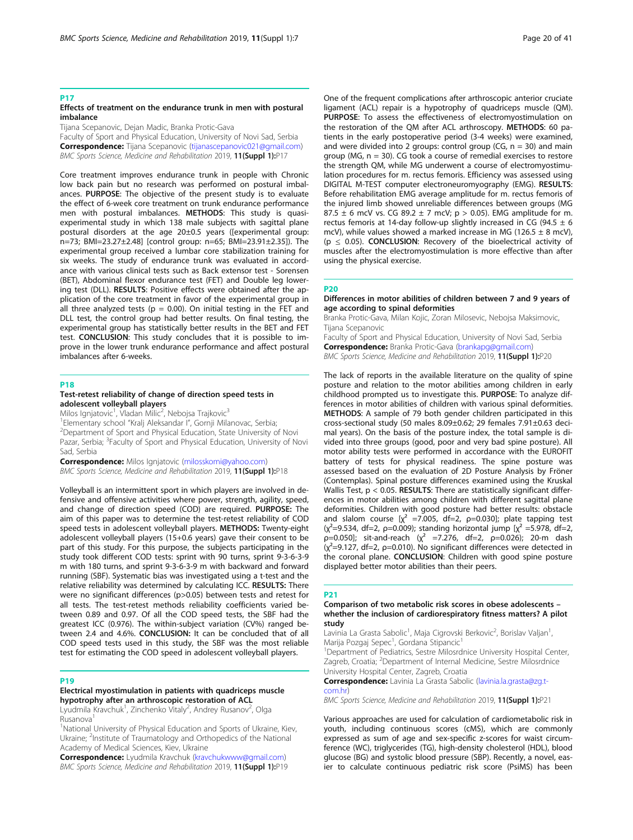#### Effects of treatment on the endurance trunk in men with postural imbalance

Tijana Scepanovic, Dejan Madic, Branka Protic-Gava Faculty of Sport and Physical Education, University of Novi Sad, Serbia Correspondence: Tijana Scepanovic [\(tijanascepanovic021@gmail.com](tijanascepanovic021@gmail.com)) BMC Sports Science, Medicine and Rehabilitation 2019, 11(Suppl 1):P17

Core treatment improves endurance trunk in people with Chronic low back pain but no research was performed on postural imbalances. PURPOSE: The objective of the present study is to evaluate the effect of 6-week core treatment on trunk endurance performance men with postural imbalances. METHODS: This study is quasiexperimental study in which 138 male subjects with sagittal plane postural disorders at the age 20±0.5 years ([experimental group: n=73; BMI=23.27±2.48] [control group: n=65; BMI=23.91±2.35]). The experimental group received a lumbar core stabilization training for six weeks. The study of endurance trunk was evaluated in accordance with various clinical tests such as Back extensor test - Sorensen (BET), Abdominal flexor endurance test (FET) and Double leg lowering test (DLL). RESULTS: Positive effects were obtained after the application of the core treatment in favor of the experimental group in all three analyzed tests ( $p = 0.00$ ). On initial testing in the FET and DLL test, the control group had better results. On final testing, the experimental group has statistically better results in the BET and FET test. CONCLUSION: This study concludes that it is possible to improve in the lower trunk endurance performance and affect postural imbalances after 6-weeks.

#### P18

## Test-retest reliability of change of direction speed tests in adolescent volleyball players

Milos Ignjatovic<sup>1</sup>, Vladan Milic<sup>2</sup>, Nebojsa Trajkovic<sup>3</sup> <sup>1</sup> Elementary school "Kralj Aleksandar I", Gornji Milanovac, Serbia;<br><sup>2</sup> Department of Sport and Physical Education, State University <sup>2</sup>Department of Sport and Physical Education, State University of Novi Pazar, Serbia; <sup>3</sup>Faculty of Sport and Physical Education, University of Novi Sad, Serbia

Correspondence: Milos Ignjatovic [\(milosskomi@yahoo.com\)](milosskomi@yahoo.com) BMC Sports Science, Medicine and Rehabilitation 2019, 11(Suppl 1):P18

Volleyball is an intermittent sport in which players are involved in defensive and offensive activities where power, strength, agility, speed, and change of direction speed (COD) are required. PURPOSE: The aim of this paper was to determine the test-retest reliability of COD speed tests in adolescent volleyball players. METHODS: Twenty-eight adolescent volleyball players (15+0.6 years) gave their consent to be part of this study. For this purpose, the subjects participating in the study took different COD tests: sprint with 90 turns, sprint 9-3-6-3-9 m with 180 turns, and sprint 9-3-6-3-9 m with backward and forward running (SBF). Systematic bias was investigated using a t-test and the relative reliability was determined by calculating ICC. RESULTS: There were no significant differences (p>0.05) between tests and retest for all tests. The test-retest methods reliability coefficients varied between 0.89 and 0.97. Of all the COD speed tests, the SBF had the greatest ICC (0.976). The within-subject variation (CV%) ranged between 2.4 and 4.6%. CONCLUSION: It can be concluded that of all COD speed tests used in this study, the SBF was the most reliable test for estimating the COD speed in adolescent volleyball players.

## P19

#### Electrical myostimulation in patients with quadriceps muscle hypotrophy after an arthroscopic restoration of ACL

Lyudmila Kravchuk<sup>1</sup>, Zinchenko Vitaly<sup>2</sup>, Andrey Rusanov<sup>2</sup>, Olga Rusanova1

<sup>1</sup>National University of Physical Education and Sports of Ukraine, Kiev, Ukraine; <sup>2</sup>Institute of Traumatology and Orthopedics of the National Academy of Medical Sciences, Kiev, Ukraine

Correspondence: Lyudmila Kravchuk [\(kravchukwww@gmail.com](kravchukwww@gmail.com)) BMC Sports Science, Medicine and Rehabilitation 2019, 11(Suppl 1):P19 One of the frequent complications after arthroscopic anterior cruciate ligament (ACL) repair is a hypotrophy of quadriceps muscle (QM). PURPOSE: To assess the effectiveness of electromyostimulation on the restoration of the QM after ACL arthroscopy. METHODS: 60 patients in the early postoperative period (3-4 weeks) were examined, and were divided into 2 groups: control group (CG,  $n = 30$ ) and main group (MG, n = 30). CG took a course of remedial exercises to restore the strength QM, while MG underwent a course of electromyostimulation procedures for m. rectus femoris. Efficiency was assessed using DIGITAL M-TEST computer electroneuromyography (EMG). RESULTS: Before rehabilitation EMG average amplitude for m. rectus femoris of the injured limb showed unreliable differences between groups (MG 87.5  $\pm$  6 mcV vs. CG 89.2  $\pm$  7 mcV; p > 0.05). EMG amplitude for m. rectus femoris at 14-day follow-up slightly increased in CG (94.5  $\pm$  6 mcV), while values showed a marked increase in MG (126.5  $\pm$  8 mcV), ( $p \le 0.05$ ). CONCLUSION: Recovery of the bioelectrical activity of muscles after the electromyostimulation is more effective than after using the physical exercise.

#### P20

#### Differences in motor abilities of children between 7 and 9 years of age according to spinal deformities

Branka Protic-Gava, Milan Kojic, Zoran Milosevic, Nebojsa Maksimovic, Tijana Scepanovic

Faculty of Sport and Physical Education, University of Novi Sad, Serbia Correspondence: Branka Protic-Gava [\(brankapg@gmail.com](brankapg@gmail.com)) BMC Sports Science, Medicine and Rehabilitation 2019, 11(Suppl 1):P20

The lack of reports in the available literature on the quality of spine posture and relation to the motor abilities among children in early childhood prompted us to investigate this. PURPOSE: To analyze differences in motor abilities of children with various spinal deformities. METHODS: A sample of 79 both gender children participated in this cross-sectional study (50 males 8.09±0.62; 29 females 7.91±0.63 decimal years). On the basis of the posture index, the total sample is divided into three groups (good, poor and very bad spine posture). All motor ability tests were performed in accordance with the EUROFIT battery of tests for physical readiness. The spine posture was assessed based on the evaluation of 2D Posture Analysis by Fröner (Contemplas). Spinal posture differences examined using the Kruskal Wallis Test,  $p < 0.05$ . RESULTS: There are statistically significant differences in motor abilities among children with different sagittal plane deformities. Children with good posture had better results: obstacle and slalom course  $[\chi^2 = 7.005, df = 2, \rho = 0.030]$ ; plate tapping test  $(x^2=9.534, df=2, p=0.009)$ ; standing horizontal jump  $[x^2 = 5.978, df=2,$  $p=0.050$ ]; sit-and-reach ( $\chi^2$  =7.276, df=2,  $p=0.026$ ); 20-m dash  $(x^2=9.127, df=2, p=0.010)$ . No significant differences were detected in the coronal plane. CONCLUSION: Children with good spine posture displayed better motor abilities than their peers.

#### P21

#### Comparison of two metabolic risk scores in obese adolescents – whether the inclusion of cardiorespiratory fitness matters? A pilot study

Lavinia La Grasta Sabolic<sup>1</sup>, Maja Cigrovski Berkovic<sup>2</sup>, Borislav Valjan<sup>1</sup> , Marija Pozgaj Sepec<sup>1</sup>, Gordana Stipancic<sup>1</sup>

<sup>1</sup>Department of Pediatrics, Sestre Milosrdnice University Hospital Center, Zagreb, Croatia; <sup>2</sup>Department of Internal Medicine, Sestre Milosrdnice University Hospital Center, Zagreb, Croatia

Correspondence: Lavinia La Grasta Sabolic [\(lavinia.la.grasta@zg.t](lavinia.la.grasta@zg.t-com.hr)[com.hr\)](lavinia.la.grasta@zg.t-com.hr)

BMC Sports Science, Medicine and Rehabilitation 2019, 11(Suppl 1):P21

Various approaches are used for calculation of cardiometabolic risk in youth, including continuous scores (cMS), which are commonly expressed as sum of age and sex-specific z-scores for waist circumference (WC), triglycerides (TG), high-density cholesterol (HDL), blood glucose (BG) and systolic blood pressure (SBP). Recently, a novel, easier to calculate continuous pediatric risk score (PsiMS) has been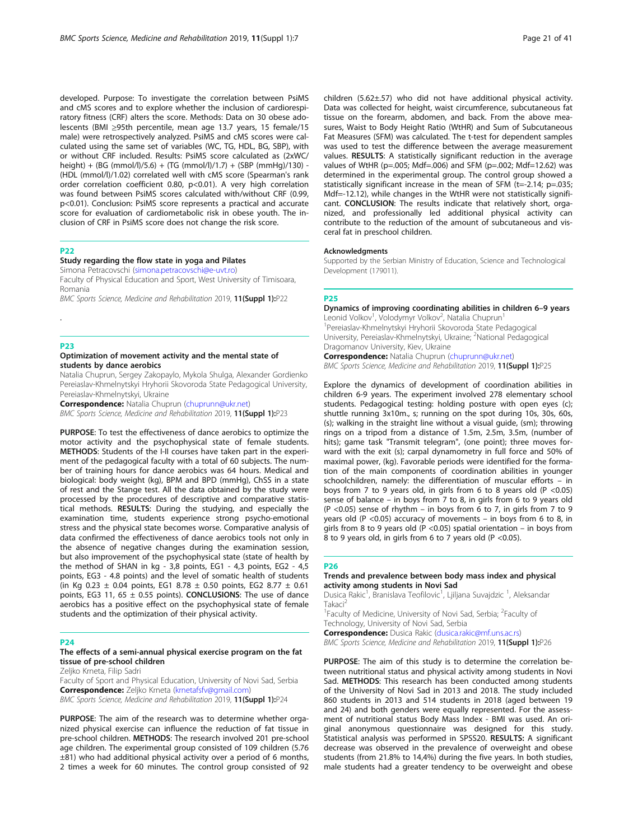developed. Purpose: To investigate the correlation between PsiMS and cMS scores and to explore whether the inclusion of cardiorespiratory fitness (CRF) alters the score. Methods: Data on 30 obese adolescents (BMI ≥95th percentile, mean age 13.7 years, 15 female/15 male) were retrospectively analyzed. PsiMS and cMS scores were calculated using the same set of variables (WC, TG, HDL, BG, SBP), with or without CRF included. Results: PsiMS score calculated as (2xWC/ height) + (BG (mmol/l)/5.6) + (TG (mmol/l)/1.7) + (SBP (mmHg)/130) -(HDL (mmol/l)/1.02) correlated well with cMS score (Spearman's rank order correlation coefficient 0.80, p<0.01). A very high correlation was found between PsiMS scores calculated with/without CRF (0.99, p<0.01). Conclusion: PsiMS score represents a practical and accurate score for evaluation of cardiometabolic risk in obese youth. The inclusion of CRF in PsiMS score does not change the risk score.

## P22

## Study regarding the flow state in yoga and Pilates

Simona Petracovschi (<simona.petracovschi@e-uvt.ro>) Faculty of Physical Education and Sport, West University of Timisoara, Romania

BMC Sports Science, Medicine and Rehabilitation 2019, 11(Suppl 1):P22

#### P23

.

#### Optimization of movement activity and the mental state of students by dance aerobics

Natalia Chuprun, Sergey Zakopaylo, Mykola Shulga, Alexander Gordienko Pereiaslav-Khmelnytskyi Hryhorii Skovoroda State Pedagogical University, Pereiaslav-Khmelnytskyi, Ukraine

Correspondence: Natalia Chuprun [\(chuprunn@ukr.net\)](chuprunn@ukr.net)

BMC Sports Science, Medicine and Rehabilitation 2019, 11(Suppl 1):P23

PURPOSE: To test the effectiveness of dance aerobics to optimize the motor activity and the psychophysical state of female students. METHODS: Students of the I-II courses have taken part in the experiment of the pedagogical faculty with a total of 60 subjects. The number of training hours for dance aerobics was 64 hours. Medical and biological: body weight (kg), BPM and BPD (mmHg), ChSS in a state of rest and the Stange test. All the data obtained by the study were processed by the procedures of descriptive and comparative statistical methods. RESULTS: During the studying, and especially the examination time, students experience strong psycho-emotional stress and the physical state becomes worse. Comparative analysis of data confirmed the effectiveness of dance aerobics tools not only in the absence of negative changes during the examination session, but also improvement of the psychophysical state (state of health by the method of SHAN in kg - 3,8 points, EG1 - 4,3 points, EG2 - 4,5 points, ЕG3 - 4.8 points) and the level of somatic health of students (in Kg 0.23  $\pm$  0.04 points, EG1 8.78  $\pm$  0.50 points, EG2 8.77  $\pm$  0.61 points, EG3 11, 65  $\pm$  0.55 points). CONCLUSIONS: The use of dance aerobics has a positive effect on the psychophysical state of female students and the optimization of their physical activity.

#### P24

## The effects of a semi-annual physical exercise program on the fat tissue of pre-school children

Zeljko Krneta, Filip Sadri

Faculty of Sport and Physical Education, University of Novi Sad, Serbia Correspondence: Zeljko Krneta [\(krnetafsfv@gmail.com](krnetafsfv@gmail.com)) BMC Sports Science, Medicine and Rehabilitation 2019, 11(Suppl 1):P24

PURPOSE: The aim of the research was to determine whether organized physical exercise can influence the reduction of fat tissue in pre-school children. METHODS: The research involved 201 pre-school age children. The experimental group consisted of 109 children (5.76 ±81) who had additional physical activity over a period of 6 months, 2 times a week for 60 minutes. The control group consisted of 92 children (5.62±.57) who did not have additional physical activity. Data was collected for height, waist circumference, subcutaneous fat tissue on the forearm, abdomen, and back. From the above measures, Waist to Body Height Ratio (WtHR) and Sum of Subcutaneous Fat Measures (SFM) was calculated. The t-test for dependent samples was used to test the difference between the average measurement values. RESULTS: A statistically significant reduction in the average values of WtHR (p=.005; Mdf=.006) and SFM (p=.002; Mdf=12.62) was determined in the experimental group. The control group showed a statistically significant increase in the mean of SFM (t=-2.14; p=.035; Mdf=-12.12), while changes in the WtHR were not statistically significant. CONCLUSION: The results indicate that relatively short, organized, and professionally led additional physical activity can contribute to the reduction of the amount of subcutaneous and visceral fat in preschool children.

#### Acknowledgments

Supported by the Serbian Ministry of Education, Science and Technological Development (179011).

#### P25

Dynamics of improving coordinating abilities in children 6–9 years Leonid Volkov<sup>1</sup>, Volodymyr Volkov<sup>2</sup>, Natalia Chuprun<sup>1</sup> 1 Pereiaslav-Khmelnytskyi Hryhorii Skovoroda State Pedagogical University, Pereiaslav-Khmelnytskyi, Ukraine; <sup>2</sup>National Pedagogical Dragomanov University, Kiev, Ukraine Correspondence: Natalia Chuprun ([chuprunn@ukr.net\)](chuprunn@ukr.net)

BMC Sports Science, Medicine and Rehabilitation 2019, 11(Suppl 1):P25

Explore the dynamics of development of coordination abilities in children 6-9 years. The experiment involved 278 elementary school students. Pedagogical testing: holding posture with open eyes (c); shuttle running 3x10m., s; running on the spot during 10s, 30s, 60s, (s); walking in the straight line without a visual guide, (sm); throwing rings on a tripod from a distance of 1.5m, 2.5m, 3.5m, (number of hits); game task "Transmit telegram", (one point); three moves forward with the exit (s); carpal dynamometry in full force and 50% of maximal power, (kg). Favorable periods were identified for the formation of the main components of coordination abilities in younger schoolchildren, namely: the differentiation of muscular efforts – in boys from 7 to 9 years old, in girls from 6 to 8 years old (P < 0.05) sense of balance – in boys from 7 to 8, in girls from 6 to 9 years old (P <0.05) sense of rhythm – in boys from  $6$  to 7, in girls from 7 to 9 years old (P <0.05) accuracy of movements – in boys from 6 to 8, in girls from 8 to 9 years old (P < 0.05) spatial orientation – in boys from 8 to 9 years old, in girls from 6 to 7 years old (P <0.05).

#### P26

#### Trends and prevalence between body mass index and physical activity among students in Novi Sad

Dusica Rakic<sup>1</sup>, Branislava Teofilovic<sup>1</sup>, Ljiljana Suvajdzic<sup>1</sup>, Aleksandar Takaci<sup>2</sup>

<sup>1</sup>Faculty of Medicine, University of Novi Sad, Serbia; <sup>2</sup>Faculty of Technology, University of Novi Sad, Serbia

Correspondence: Dusica Rakic [\(dusica.rakic@mf.uns.ac.rs\)](dusica.rakic@mf.uns.ac.rs)

BMC Sports Science, Medicine and Rehabilitation 2019, 11(Suppl 1):P26

PURPOSE: The aim of this study is to determine the correlation between nutritional status and physical activity among students in Novi Sad. METHODS: This research has been conducted among students of the University of Novi Sad in 2013 and 2018. The study included 860 students in 2013 and 514 students in 2018 (aged between 19 and 24) and both genders were equally represented. For the assessment of nutritional status Body Mass Index - BMI was used. An original anonymous questionnaire was designed for this study. Statistical analysis was performed in SPSS20. RESULTS: A significant decrease was observed in the prevalence of overweight and obese students (from 21.8% to 14,4%) during the five years. In both studies, male students had a greater tendency to be overweight and obese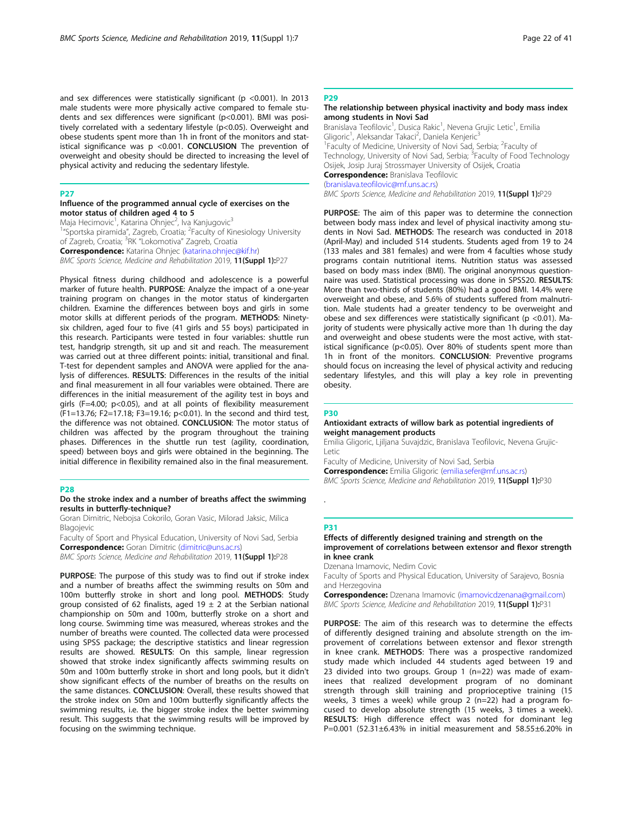and sex differences were statistically significant ( $p$  <0.001). In 2013 male students were more physically active compared to female students and sex differences were significant (p<0.001). BMI was positively correlated with a sedentary lifestyle (p<0.05). Overweight and obese students spent more than 1h in front of the monitors and statistical significance was  $p < 0.001$ . CONCLUSION The prevention of overweight and obesity should be directed to increasing the level of physical activity and reducing the sedentary lifestyle.

## P27

## Influence of the programmed annual cycle of exercises on the motor status of children aged 4 to 5

Maja Hecimovic<sup>1</sup>, Katarina Ohnjec<sup>2</sup>, Iva Kanjugovic<sup>3</sup> <sup>1</sup>"Sportska piramida", Zagreb, Croatia; <sup>2</sup>Faculty of Kinesiology University of Zagreb, Croatia; <sup>3</sup>RK "Lokomotiva" Zagreb, Croatia Correspondence: Katarina Ohnjec (<katarina.ohnjec@kif.hr>) BMC Sports Science, Medicine and Rehabilitation 2019, 11(Suppl 1):P27

Physical fitness during childhood and adolescence is a powerful marker of future health. PURPOSE: Analyze the impact of a one-year training program on changes in the motor status of kindergarten children. Examine the differences between boys and girls in some motor skills at different periods of the program. METHODS: Ninetysix children, aged four to five (41 girls and 55 boys) participated in this research. Participants were tested in four variables: shuttle run test, handgrip strength, sit up and sit and reach. The measurement was carried out at three different points: initial, transitional and final. T-test for dependent samples and ANOVA were applied for the analysis of differences. RESULTS: Differences in the results of the initial and final measurement in all four variables were obtained. There are differences in the initial measurement of the agility test in boys and girls (F=4.00; p<0.05), and at all points of flexibility measurement (F1=13.76; F2=17.18; F3=19.16; p<0.01). In the second and third test, the difference was not obtained. CONCLUSION: The motor status of children was affected by the program throughout the training phases. Differences in the shuttle run test (agility, coordination, speed) between boys and girls were obtained in the beginning. The initial difference in flexibility remained also in the final measurement.

#### P28

#### Do the stroke index and a number of breaths affect the swimming results in butterfly-technique?

Goran Dimitric, Nebojsa Cokorilo, Goran Vasic, Milorad Jaksic, Milica Blagojevic

Faculty of Sport and Physical Education, University of Novi Sad, Serbia Correspondence: Goran Dimitric ([dimitric@uns.ac.rs\)](dimitric@uns.ac.rs)

BMC Sports Science, Medicine and Rehabilitation 2019, 11(Suppl 1):P28

PURPOSE: The purpose of this study was to find out if stroke index and a number of breaths affect the swimming results on 50m and 100m butterfly stroke in short and long pool. METHODS: Study group consisted of 62 finalists, aged 19  $\pm$  2 at the Serbian national championship on 50m and 100m, butterfly stroke on a short and long course. Swimming time was measured, whereas strokes and the number of breaths were counted. The collected data were processed using SPSS package; the descriptive statistics and linear regression results are showed. RESULTS: On this sample, linear regression showed that stroke index significantly affects swimming results on 50m and 100m butterfly stroke in short and long pools, but it didn't show significant effects of the number of breaths on the results on the same distances. CONCLUSION: Overall, these results showed that the stroke index on 50m and 100m butterfly significantly affects the swimming results, i.e. the bigger stroke index the better swimming result. This suggests that the swimming results will be improved by focusing on the swimming technique.

## P29

## The relationship between physical inactivity and body mass index among students in Novi Sad

Branislava Teofilovic<sup>1</sup>, Dusica Rakic<sup>1</sup>, Nevena Grujic Letic<sup>1</sup>, Emilia Gligoric<sup>1</sup>, Aleksandar Takaci<sup>2</sup>, Daniela Kenjeric<sup>3</sup> <sup>1</sup> Faculty of Medicine, University of Novi Sad, Serbia; <sup>2</sup> Faculty of Technology, University of Novi Sad, Serbia; <sup>3</sup>Faculty of Food Technology Osijek, Josip Juraj Strossmayer University of Osijek, Croatia **Correspondence: Branislava Teofilovic** 

(<branislava.teofilovic@mf.uns.ac.rs>)

BMC Sports Science, Medicine and Rehabilitation 2019, 11(Suppl 1):P29

PURPOSE: The aim of this paper was to determine the connection between body mass index and level of physical inactivity among students in Novi Sad. METHODS: The research was conducted in 2018 (April-May) and included 514 students. Students aged from 19 to 24 (133 males and 381 females) and were from 4 faculties whose study programs contain nutritional items. Nutrition status was assessed based on body mass index (BMI). The original anonymous questionnaire was used. Statistical processing was done in SPSS20. RESULTS: More than two-thirds of students (80%) had a good BMI. 14.4% were overweight and obese, and 5.6% of students suffered from malnutrition. Male students had a greater tendency to be overweight and obese and sex differences were statistically significant (p <0.01). Majority of students were physically active more than 1h during the day and overweight and obese students were the most active, with statistical significance (p<0.05). Over 80% of students spent more than 1h in front of the monitors. CONCLUSION: Preventive programs should focus on increasing the level of physical activity and reducing sedentary lifestyles, and this will play a key role in preventing obesity.

#### P30

## Antioxidant extracts of willow bark as potential ingredients of weight management products

Emilia Gligoric, Ljiljana Suvajdzic, Branislava Teofilovic, Nevena Grujic-Letic

Faculty of Medicine, University of Novi Sad, Serbia

Correspondence: Emilia Gligoric [\(emilia.sefer@mf.uns.ac.rs\)](emilia.sefer@mf.uns.ac.rs) BMC Sports Science, Medicine and Rehabilitation 2019, 11(Suppl 1):P30

## P31

.

## Effects of differently designed training and strength on the improvement of correlations between extensor and flexor strength in knee crank

Dzenana Imamovic, Nedim Covic

Faculty of Sports and Physical Education, University of Sarajevo, Bosnia and Herzegovina

Correspondence: Dzenana Imamovic [\(imamovicdzenana@gmail.com\)](imamovicdzenana@gmail.com) BMC Sports Science, Medicine and Rehabilitation 2019, 11(Suppl 1):P31

PURPOSE: The aim of this research was to determine the effects of differently designed training and absolute strength on the improvement of correlations between extensor and flexor strength in knee crank. METHODS: There was a prospective randomized study made which included 44 students aged between 19 and 23 divided into two groups. Group 1 (n=22) was made of examinees that realized development program of no dominant strength through skill training and proprioceptive training (15 weeks, 3 times a week) while group 2 (n=22) had a program focused to develop absolute strength (15 weeks, 3 times a week). RESULTS: High difference effect was noted for dominant leg P=0.001 (52.31±6.43% in initial measurement and 58.55±6.20% in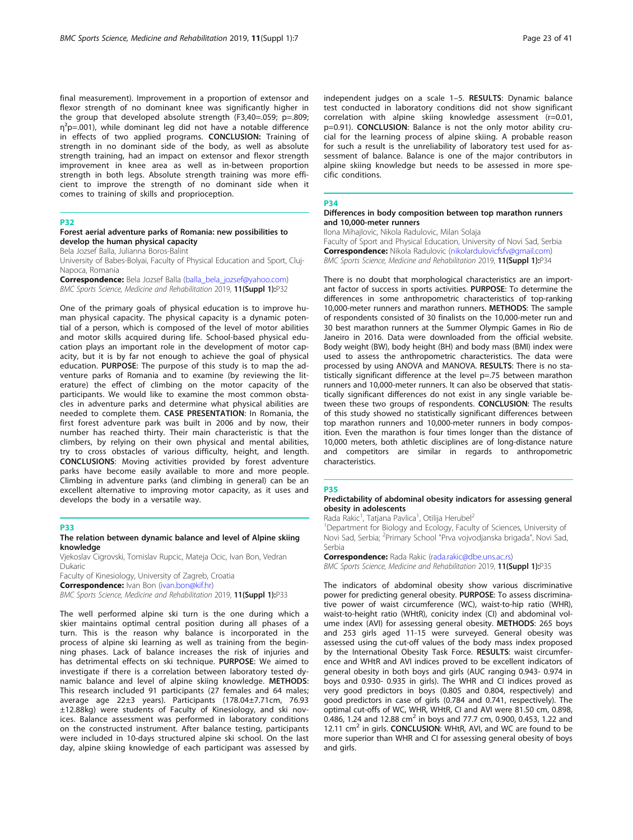final measurement). Improvement in a proportion of extensor and flexor strength of no dominant knee was significantly higher in the group that developed absolute strength (F3,40=.059; p=.809;  $\eta^2$ p=.001), while dominant leg did not have a notable difference in effects of two applied programs. CONCLUSION: Training of strength in no dominant side of the body, as well as absolute strength training, had an impact on extensor and flexor strength improvement in knee area as well as in-between proportion strength in both legs. Absolute strength training was more efficient to improve the strength of no dominant side when it comes to training of skills and proprioception.

#### P32

## Forest aerial adventure parks of Romania: new possibilities to develop the human physical capacity

Bela Jozsef Balla, Julianna Boros-Balint

University of Babes-Bolyai, Faculty of Physical Education and Sport, Cluj-Napoca, Romania

Correspondence: Bela Jozsef Balla ([balla\\_bela\\_jozsef@yahoo.com\)](balla_bela_jozsef@yahoo.com) BMC Sports Science, Medicine and Rehabilitation 2019, 11(Suppl 1):P32

One of the primary goals of physical education is to improve human physical capacity. The physical capacity is a dynamic potential of a person, which is composed of the level of motor abilities and motor skills acquired during life. School-based physical education plays an important role in the development of motor capacity, but it is by far not enough to achieve the goal of physical education. PURPOSE: The purpose of this study is to map the adventure parks of Romania and to examine (by reviewing the literature) the effect of climbing on the motor capacity of the participants. We would like to examine the most common obstacles in adventure parks and determine what physical abilities are needed to complete them. CASE PRESENTATION: In Romania, the first forest adventure park was built in 2006 and by now, their number has reached thirty. Their main characteristic is that the climbers, by relying on their own physical and mental abilities, try to cross obstacles of various difficulty, height, and length. CONCLUSIONS: Moving activities provided by forest adventure parks have become easily available to more and more people. Climbing in adventure parks (and climbing in general) can be an excellent alternative to improving motor capacity, as it uses and develops the body in a versatile way.

## P33

## The relation between dynamic balance and level of Alpine skiing knowledge

Vjekoslav Cigrovski, Tomislav Rupcic, Mateja Ocic, Ivan Bon, Vedran Dukaric

Faculty of Kinesiology, University of Zagreb, Croatia

Correspondence: Ivan Bon [\(ivan.bon@kif.hr](ivan.bon@kif.hr))

BMC Sports Science, Medicine and Rehabilitation 2019, 11(Suppl 1):P33

The well performed alpine ski turn is the one during which a skier maintains optimal central position during all phases of a turn. This is the reason why balance is incorporated in the process of alpine ski learning as well as training from the beginning phases. Lack of balance increases the risk of injuries and has detrimental effects on ski technique. PURPOSE: We aimed to investigate if there is a correlation between laboratory tested dynamic balance and level of alpine skiing knowledge. METHODS: This research included 91 participants (27 females and 64 males; average age 22±3 years). Participants (178.04±7.71cm, 76.93 ±12.88kg) were students of Faculty of Kinesiology, and ski novices. Balance assessment was performed in laboratory conditions on the constructed instrument. After balance testing, participants were included in 10-days structured alpine ski school. On the last day, alpine skiing knowledge of each participant was assessed by

independent judges on a scale 1–5. RESULTS: Dynamic balance test conducted in laboratory conditions did not show significant correlation with alpine skiing knowledge assessment (r=0.01, p=0.91). CONCLUSION: Balance is not the only motor ability crucial for the learning process of alpine skiing. A probable reason for such a result is the unreliability of laboratory test used for assessment of balance. Balance is one of the major contributors in alpine skiing knowledge but needs to be assessed in more specific conditions.

#### P34

#### Differences in body composition between top marathon runners and 10,000-meter runners

Ilona Mihajlovic, Nikola Radulovic, Milan Solaja

Faculty of Sport and Physical Education, University of Novi Sad, Serbia Correspondence: Nikola Radulovic [\(nikolardulovicfsfv@gmail.com\)](nikolardulovicfsfv@gmail.com) BMC Sports Science, Medicine and Rehabilitation 2019, 11(Suppl 1):P34

There is no doubt that morphological characteristics are an important factor of success in sports activities. PURPOSE: To determine the differences in some anthropometric characteristics of top-ranking 10,000-meter runners and marathon runners. METHODS: The sample of respondents consisted of 30 finalists on the 10,000-meter run and 30 best marathon runners at the Summer Olympic Games in Rio de Janeiro in 2016. Data were downloaded from the official website. Body weight (BW), body height (BH) and body mass (BMI) index were used to assess the anthropometric characteristics. The data were processed by using ANOVA and MANOVA. RESULTS: There is no statistically significant difference at the level p=.75 between marathon runners and 10,000-meter runners. It can also be observed that statistically significant differences do not exist in any single variable between these two groups of respondents. CONCLUSION: The results of this study showed no statistically significant differences between top marathon runners and 10,000-meter runners in body composition. Even the marathon is four times longer than the distance of 10,000 meters, both athletic disciplines are of long-distance nature and competitors are similar in regards to anthropometric characteristics.

#### P35

## Predictability of abdominal obesity indicators for assessing general obesity in adolescents

Rada Rakic<sup>1</sup>, Tatjana Pavlica<sup>1</sup>, Otilija Herubel<sup>2</sup>

<sup>1</sup>Department for Biology and Ecology, Faculty of Sciences, University of Novi Sad, Serbia; <sup>2</sup>Primary School "Prva vojvodjanska brigada", Novi Sad, Serbia

Correspondence: Rada Rakic ([rada.rakic@dbe.uns.ac.rs\)](rada.rakic@dbe.uns.ac.rs)

BMC Sports Science, Medicine and Rehabilitation 2019, 11(Suppl 1):P35

The indicators of abdominal obesity show various discriminative power for predicting general obesity. PURPOSE: To assess discriminative power of waist circumference (WC), waist-to-hip ratio (WHR), waist-to-height ratio (WHtR), conicity index (CI) and abdominal volume index (AVI) for assessing general obesity. METHODS: 265 boys and 253 girls aged 11-15 were surveyed. General obesity was assessed using the cut-off values of the body mass index proposed by the International Obesity Task Force. RESULTS: waist circumference and WHtR and AVI indices proved to be excellent indicators of general obesity in both boys and girls (AUC ranging 0.943- 0.974 in boys and 0.930- 0.935 in girls). The WHR and CI indices proved as very good predictors in boys (0.805 and 0.804, respectively) and good predictors in case of girls (0.784 and 0.741, respectively). The optimal cut-offs of WC, WHR, WHtR, CI and AVI were 81.50 cm, 0.898, 0.486, 1.24 and 12.88 cm<sup>2</sup> in boys and 77.7 cm, 0.900, 0.453, 1.22 and 12.11  $\text{cm}^2$  in girls. CONCLUSION: WHtR, AVI, and WC are found to be more superior than WHR and CI for assessing general obesity of boys and girls.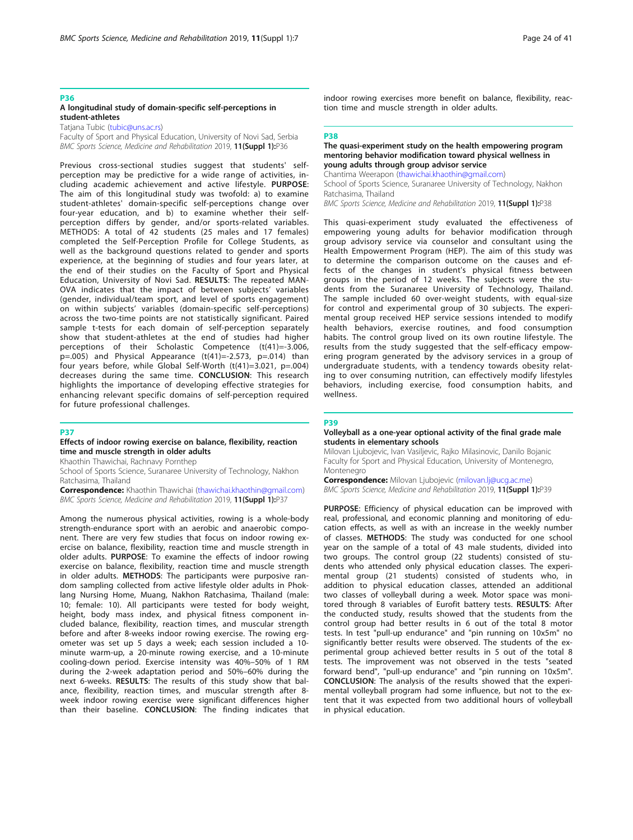#### A longitudinal study of domain-specific self-perceptions in student-athletes

Tatjana Tubic [\(tubic@uns.ac.rs](tubic@uns.ac.rs))

Faculty of Sport and Physical Education, University of Novi Sad, Serbia BMC Sports Science, Medicine and Rehabilitation 2019, 11(Suppl 1):P36

Previous cross-sectional studies suggest that students' selfperception may be predictive for a wide range of activities, including academic achievement and active lifestyle. PURPOSE: The aim of this longitudinal study was twofold: a) to examine student-athletes' domain-specific self-perceptions change over four-year education, and b) to examine whether their selfperception differs by gender, and/or sports-related variables. METHODS: A total of 42 students (25 males and 17 females) completed the Self-Perception Profile for College Students, as well as the background questions related to gender and sports experience, at the beginning of studies and four years later, at the end of their studies on the Faculty of Sport and Physical Education, University of Novi Sad. RESULTS: The repeated MAN-OVA indicates that the impact of between subjects' variables (gender, individual/team sport, and level of sports engagement) on within subjects' variables (domain-specific self-perceptions) across the two-time points are not statistically significant. Paired sample t-tests for each domain of self-perception separately show that student-athletes at the end of studies had higher perceptions of their Scholastic Competence (t(41)=-3.006,  $p=0.005$ ) and Physical Appearance  $(t(41)=-2.573, p=0.014)$  than four years before, while Global Self-Worth (t(41)=3.021, p=.004) decreases during the same time. CONCLUSION: This research highlights the importance of developing effective strategies for enhancing relevant specific domains of self-perception required for future professional challenges.

#### P37

## Effects of indoor rowing exercise on balance, flexibility, reaction time and muscle strength in older adults

Khaothin Thawichai, Rachnavy Pornthep

School of Sports Science, Suranaree University of Technology, Nakhon Ratchasima, Thailand

Correspondence: Khaothin Thawichai [\(thawichai.khaothin@gmail.com\)](thawichai.khaothin@gmail.com) BMC Sports Science, Medicine and Rehabilitation 2019, 11(Suppl 1):P37

Among the numerous physical activities, rowing is a whole-body strength-endurance sport with an aerobic and anaerobic component. There are very few studies that focus on indoor rowing exercise on balance, flexibility, reaction time and muscle strength in older adults. PURPOSE: To examine the effects of indoor rowing exercise on balance, flexibility, reaction time and muscle strength in older adults. METHODS: The participants were purposive random sampling collected from active lifestyle older adults in Phoklang Nursing Home, Muang, Nakhon Ratchasima, Thailand (male: 10; female: 10). All participants were tested for body weight, height, body mass index, and physical fitness component included balance, flexibility, reaction times, and muscular strength before and after 8-weeks indoor rowing exercise. The rowing ergometer was set up 5 days a week; each session included a 10 minute warm-up, a 20-minute rowing exercise, and a 10-minute cooling-down period. Exercise intensity was 40%–50% of 1 RM during the 2-week adaptation period and 50%–60% during the next 6-weeks. RESULTS: The results of this study show that balance, flexibility, reaction times, and muscular strength after 8 week indoor rowing exercise were significant differences higher than their baseline. CONCLUSION: The finding indicates that indoor rowing exercises more benefit on balance, flexibility, reaction time and muscle strength in older adults.

#### P38

## The quasi-experiment study on the health empowering program mentoring behavior modification toward physical wellness in young adults through group advisor service

Chantima Weerapon [\(thawichai.khaothin@gmail.com\)](thawichai.khaothin@gmail.com) School of Sports Science, Suranaree University of Technology, Nakhon Ratchasima, Thailand BMC Sports Science, Medicine and Rehabilitation 2019, 11(Suppl 1):P38

This quasi-experiment study evaluated the effectiveness of empowering young adults for behavior modification through group advisory service via counselor and consultant using the Health Empowerment Program (HEP). The aim of this study was to determine the comparison outcome on the causes and effects of the changes in student's physical fitness between groups in the period of 12 weeks. The subjects were the students from the Suranaree University of Technology, Thailand. The sample included 60 over-weight students, with equal-size for control and experimental group of 30 subjects. The experimental group received HEP service sessions intended to modify health behaviors, exercise routines, and food consumption habits. The control group lived on its own routine lifestyle. The results from the study suggested that the self-efficacy empowering program generated by the advisory services in a group of undergraduate students, with a tendency towards obesity relating to over consuming nutrition, can effectively modify lifestyles behaviors, including exercise, food consumption habits, and wellness.

#### P39

#### Volleyball as a one-year optional activity of the final grade male students in elementary schools

Milovan Ljubojevic, Ivan Vasiljevic, Rajko Milasinovic, Danilo Bojanic Faculty for Sport and Physical Education, University of Montenegro, Montenegro

Correspondence: Milovan Ljubojevic [\(milovan.lj@ucg.ac.me](milovan.lj@ucg.ac.me)) BMC Sports Science, Medicine and Rehabilitation 2019, 11(Suppl 1):P39

PURPOSE: Efficiency of physical education can be improved with real, professional, and economic planning and monitoring of education effects, as well as with an increase in the weekly number of classes. METHODS: The study was conducted for one school year on the sample of a total of 43 male students, divided into two groups. The control group (22 students) consisted of students who attended only physical education classes. The experimental group (21 students) consisted of students who, in addition to physical education classes, attended an additional two classes of volleyball during a week. Motor space was monitored through 8 variables of Eurofit battery tests. RESULTS: After the conducted study, results showed that the students from the control group had better results in 6 out of the total 8 motor tests. In test "pull-up endurance" and "pin running on 10x5m" no significantly better results were observed. The students of the experimental group achieved better results in 5 out of the total 8 tests. The improvement was not observed in the tests "seated forward bend", "pull-up endurance" and "pin running on 10x5m". CONCLUSION: The analysis of the results showed that the experimental volleyball program had some influence, but not to the extent that it was expected from two additional hours of volleyball in physical education.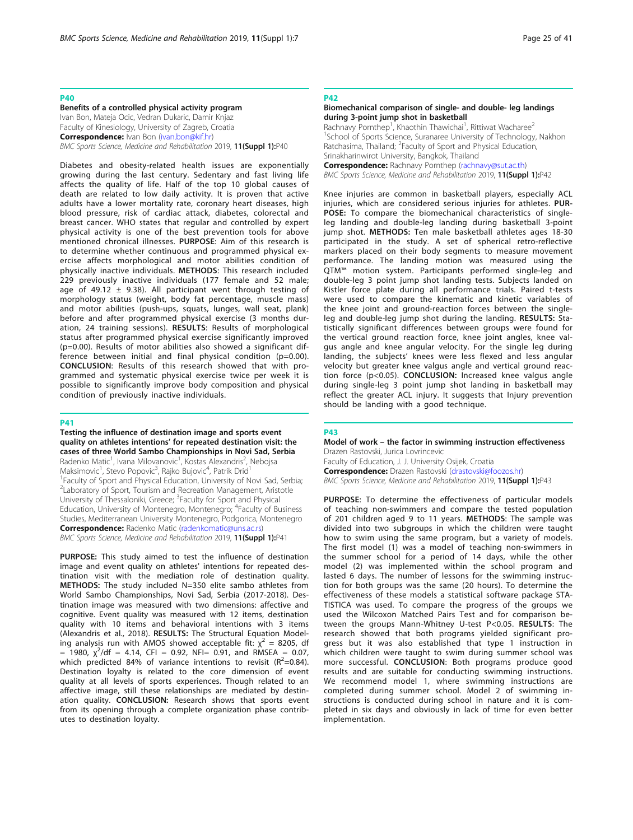## Benefits of a controlled physical activity program

Ivan Bon, Mateja Ocic, Vedran Dukaric, Damir Knjaz Faculty of Kinesiology, University of Zagreb, Croatia Correspondence: Ivan Bon [\(ivan.bon@kif.hr](ivan.bon@kif.hr)) BMC Sports Science, Medicine and Rehabilitation 2019, 11(Suppl 1):P40

Diabetes and obesity-related health issues are exponentially growing during the last century. Sedentary and fast living life affects the quality of life. Half of the top 10 global causes of death are related to low daily activity. It is proven that active adults have a lower mortality rate, coronary heart diseases, high blood pressure, risk of cardiac attack, diabetes, colorectal and breast cancer. WHO states that regular and controlled by expert physical activity is one of the best prevention tools for above mentioned chronical illnesses. PURPOSE: Aim of this research is to determine whether continuous and programmed physical exercise affects morphological and motor abilities condition of physically inactive individuals. METHODS: This research included 229 previously inactive individuals (177 female and 52 male; age of 49.12  $\pm$  9.38). All participant went through testing of morphology status (weight, body fat percentage, muscle mass) and motor abilities (push-ups, squats, lunges, wall seat, plank) before and after programmed physical exercise (3 months duration, 24 training sessions). RESULTS: Results of morphological status after programmed physical exercise significantly improved (p=0.00). Results of motor abilities also showed a significant difference between initial and final physical condition (p=0.00). CONCLUSION: Results of this research showed that with programmed and systematic physical exercise twice per week it is possible to significantly improve body composition and physical condition of previously inactive individuals.

## **P41**

Testing the influence of destination image and sports event quality on athletes intentions' for repeated destination visit: the cases of three World Sambo Championships in Novi Sad, Serbia Radenko Matic<sup>1</sup>, Ivana Milovanovic<sup>1</sup>, Kostas Alexandris<sup>2</sup>, Nebojsa Maksimovic<sup>1</sup>, Stevo Popovic<sup>3</sup>, Rajko Bujovic<sup>4</sup>, Patrik Drid<sup>1</sup> <sup>1</sup> Faculty of Sport and Physical Education, University of Novi Sad, Serbia; 2 Laboratory of Sport, Tourism and Recreation Management, Aristotle University of Thessaloniki, Greece; <sup>3</sup>Faculty for Sport and Physical Education, University of Montenegro, Montenegro; <sup>4</sup>Faculty of Business Studies, Mediterranean University Montenegro, Podgorica, Montenegro **Correspondence:** Radenko Matic ([radenkomatic@uns.ac.rs\)](radenkomatic@uns.ac.rs) BMC Sports Science, Medicine and Rehabilitation 2019, 11(Suppl 1):P41

PURPOSE: This study aimed to test the influence of destination image and event quality on athletes' intentions for repeated destination visit with the mediation role of destination quality. METHODS: The study included N=350 elite sambo athletes from World Sambo Championships, Novi Sad, Serbia (2017-2018). Destination image was measured with two dimensions: affective and cognitive. Event quality was measured with 12 items, destination quality with 10 items and behavioral intentions with 3 items (Alexandris et al., 2018). RESULTS: The Structural Equation Modeling analysis run with AMOS showed acceptable fit:  $\chi^2$  = 8205, df  $= 1980, \chi^2/df = 4.14, \text{ CFI} = 0.92, \text{ NFI} = 0.91, \text{ and RMSEA} = 0.07,$ which predicted 84% of variance intentions to revisit  $(R^2=0.84)$ . Destination loyalty is related to the core dimension of event quality at all levels of sports experiences. Though related to an affective image, still these relationships are mediated by destination quality. CONCLUSION: Research shows that sports event from its opening through a complete organization phase contributes to destination loyalty.

## P4<sub>2</sub>

## Biomechanical comparison of single- and double- leg landings during 3-point jump shot in basketball

Rachnavy Pornthep<sup>1</sup>, Khaothin Thawichai<sup>1</sup>, Rittiwat Wacharee<sup>2</sup> <sup>1</sup>School of Sports Science, Suranaree University of Technology, Nakhon Ratchasima, Thailand; <sup>2</sup>Faculty of Sport and Physical Education Srinakharinwirot University, Bangkok, Thailand

**Correspondence:** Rachnavy Pornthep ([rachnavy@sut.ac.th\)](rachnavy@sut.ac.th) BMC Sports Science, Medicine and Rehabilitation 2019, 11(Suppl 1):P42

Knee injuries are common in basketball players, especially ACL injuries, which are considered serious injuries for athletes. PUR-POSE: To compare the biomechanical characteristics of singleleg landing and double-leg landing during basketball 3-point jump shot. METHODS: Ten male basketball athletes ages 18-30 participated in the study. A set of spherical retro-reflective markers placed on their body segments to measure movement performance. The landing motion was measured using the QTM™ motion system. Participants performed single-leg and double-leg 3 point jump shot landing tests. Subjects landed on Kistler force plate during all performance trials. Paired t-tests were used to compare the kinematic and kinetic variables of the knee joint and ground-reaction forces between the singleleg and double-leg jump shot during the landing. RESULTS: Statistically significant differences between groups were found for the vertical ground reaction force, knee joint angles, knee valgus angle and knee angular velocity. For the single leg during landing, the subjects' knees were less flexed and less angular velocity but greater knee valgus angle and vertical ground reaction force (p<0.05). CONCLUSION: Increased knee valgus angle during single-leg 3 point jump shot landing in basketball may reflect the greater ACL injury. It suggests that Injury prevention should be landing with a good technique.

#### P43

## Model of work – the factor in swimming instruction effectiveness Drazen Rastovski, Jurica Lovrincevic

Faculty of Education, J. J. University Osijek, Croatia Correspondence: Drazen Rastovski ([drastovski@foozos.hr\)](drastovski@foozos.hr) BMC Sports Science, Medicine and Rehabilitation 2019, 11(Suppl 1):P43

PURPOSE: To determine the effectiveness of particular models of teaching non-swimmers and compare the tested population of 201 children aged 9 to 11 years. METHODS: The sample was divided into two subgroups in which the children were taught how to swim using the same program, but a variety of models. The first model (1) was a model of teaching non-swimmers in the summer school for a period of 14 days, while the other model (2) was implemented within the school program and lasted 6 days. The number of lessons for the swimming instruction for both groups was the same (20 hours). To determine the effectiveness of these models a statistical software package STA-TISTICA was used. To compare the progress of the groups we used the Wilcoxon Matched Pairs Test and for comparison between the groups Mann-Whitney U-test P<0.05. RESULTS: The research showed that both programs yielded significant progress but it was also established that type 1 instruction in which children were taught to swim during summer school was more successful. CONCLUSION: Both programs produce good results and are suitable for conducting swimming instructions. We recommend model 1, where swimming instructions are completed during summer school. Model 2 of swimming instructions is conducted during school in nature and it is completed in six days and obviously in lack of time for even better implementation.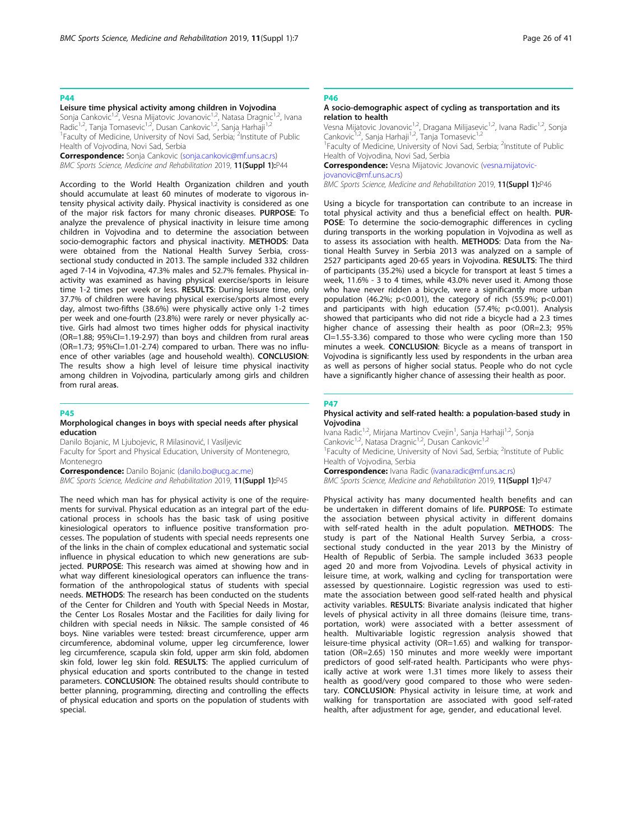## Leisure time physical activity among children in Vojvodina

Sonja Cankovic<sup>1,2</sup>, Vesna Mijatovic Jovanovic<sup>1,2</sup>, Natasa Dragnic<sup>1,2</sup>, Ivana Radic<sup>1,2</sup>, Tanja Tomasevic<sup>1,2</sup>, Dusan Cankovic<sup>1,2</sup>, Sanja Harhaji<sup>1,2</sup> <sup>1</sup> Faculty of Medicine, University of Novi Sad, Serbia; <sup>2</sup>Institute of Public Health of Vojvodina, Novi Sad, Serbia

Correspondence: Sonja Cankovic (<sonja.cankovic@mf.uns.ac.rs>) BMC Sports Science, Medicine and Rehabilitation 2019, 11(Suppl 1):P44

According to the World Health Organization children and youth should accumulate at least 60 minutes of moderate to vigorous intensity physical activity daily. Physical inactivity is considered as one of the major risk factors for many chronic diseases. PURPOSE: To analyze the prevalence of physical inactivity in leisure time among children in Vojvodina and to determine the association between socio-demographic factors and physical inactivity. METHODS: Data were obtained from the National Health Survey Serbia, crosssectional study conducted in 2013. The sample included 332 children aged 7-14 in Vojvodina, 47.3% males and 52.7% females. Physical inactivity was examined as having physical exercise/sports in leisure time 1-2 times per week or less. RESULTS: During leisure time, only 37.7% of children were having physical exercise/sports almost every day, almost two-fifths (38.6%) were physically active only 1-2 times per week and one-fourth (23.8%) were rarely or never physically active. Girls had almost two times higher odds for physical inactivity (OR=1.88; 95%CI=1.19-2.97) than boys and children from rural areas (OR=1.73; 95%Cl=1.01-2.74) compared to urban. There was no influence of other variables (age and household wealth). CONCLUSION: The results show a high level of leisure time physical inactivity among children in Vojvodina, particularly among girls and children from rural areas.

## P45

#### Morphological changes in boys with special needs after physical education

Danilo Bojanic, M Ljubojevic, R Milasinović, I Vasiljevic Faculty for Sport and Physical Education, University of Montenegro, Montenegro Correspondence: Danilo Bojanic [\(danilo.bo@ucg.ac.me](danilo.bo@ucg.ac.me))

BMC Sports Science, Medicine and Rehabilitation 2019, 11(Suppl 1):P45

The need which man has for physical activity is one of the requirements for survival. Physical education as an integral part of the educational process in schools has the basic task of using positive kinesiological operators to influence positive transformation processes. The population of students with special needs represents one of the links in the chain of complex educational and systematic social influence in physical education to which new generations are subjected. PURPOSE: This research was aimed at showing how and in what way different kinesiological operators can influence the transformation of the anthropological status of students with special needs. METHODS: The research has been conducted on the students of the Center for Children and Youth with Special Needs in Mostar, the Center Los Rosales Mostar and the Facilities for daily living for children with special needs in Niksic. The sample consisted of 46 boys. Nine variables were tested: breast circumference, upper arm circumference, abdominal volume, upper leg circumference, lower leg circumference, scapula skin fold, upper arm skin fold, abdomen skin fold, lower leg skin fold. RESULTS: The applied curriculum of physical education and sports contributed to the change in tested parameters. CONCLUSION: The obtained results should contribute to better planning, programming, directing and controlling the effects of physical education and sports on the population of students with special.

## P46

## A socio-demographic aspect of cycling as transportation and its relation to health

Vesna Mijatovic Jovanovic<sup>1,2</sup>, Dragana Milijasevic<sup>1,2</sup>, Ivana Radic<sup>1,2</sup>, Sonja vesna mijatovie sovanovie 7, Bragana miijasev<br>Cankovic<sup>1,2</sup>, Sanja Harhaji<sup>1,2</sup>, Tanja Tomasevic<sup>1,2</sup>

<sup>1</sup> Faculty of Medicine, University of Novi Sad, Serbia; <sup>2</sup>Institute of Public Health of Vojvodina, Novi Sad, Serbia

Correspondence: Vesna Mijatovic Jovanovic ([vesna.mijatovic](vesna.mijatovic-jovanovic@mf.uns.ac.rs)[jovanovic@mf.uns.ac.rs\)](vesna.mijatovic-jovanovic@mf.uns.ac.rs)

BMC Sports Science, Medicine and Rehabilitation 2019, 11(Suppl 1):P46

Using a bicycle for transportation can contribute to an increase in total physical activity and thus a beneficial effect on health. PUR-POSE: To determine the socio-demographic differences in cycling during transports in the working population in Vojvodina as well as to assess its association with health. METHODS: Data from the National Health Survey in Serbia 2013 was analyzed on a sample of 2527 participants aged 20-65 years in Vojvodina. RESULTS: The third of participants (35.2%) used a bicycle for transport at least 5 times a week, 11.6% - 3 to 4 times, while 43.0% never used it. Among those who have never ridden a bicycle, were a significantly more urban population (46.2%; p<0.001), the category of rich (55.9%; p<0.001) and participants with high education  $(57.4\%; p<0.001)$ . Analysis showed that participants who did not ride a bicycle had a 2.3 times higher chance of assessing their health as poor (OR=2.3; 95% CI=1.55-3.36) compared to those who were cycling more than 150 minutes a week. CONCLUSION: Bicycle as a means of transport in Vojvodina is significantly less used by respondents in the urban area as well as persons of higher social status. People who do not cycle have a significantly higher chance of assessing their health as poor.

#### **P47**

#### Physical activity and self-rated health: a population-based study in Vojvodina

Ivana Radic<sup>1,2</sup>, Mirjana Martinov Cvejin<sup>1</sup>, Sanja Harhaji<sup>1,2</sup>, Sonja Cankovic<sup>1,2</sup>, Natasa Dragnic<sup>1,2</sup>, Dusan Cankovic<sup>1,2</sup> <sup>1</sup> Faculty of Medicine, University of Novi Sad, Serbia; <sup>2</sup>Institute of Public Health of Vojvodina, Serbia Correspondence: Ivana Radic ([ivana.radic@mf.uns.ac.rs\)](ivana.radic@mf.uns.ac.rs)

BMC Sports Science, Medicine and Rehabilitation 2019, 11(Suppl 1):P47

Physical activity has many documented health benefits and can be undertaken in different domains of life. PURPOSE: To estimate the association between physical activity in different domains with self-rated health in the adult population. METHODS: The study is part of the National Health Survey Serbia, a crosssectional study conducted in the year 2013 by the Ministry of Health of Republic of Serbia. The sample included 3633 people aged 20 and more from Vojvodina. Levels of physical activity in leisure time, at work, walking and cycling for transportation were assessed by questionnaire. Logistic regression was used to estimate the association between good self-rated health and physical activity variables. RESULTS: Bivariate analysis indicated that higher levels of physical activity in all three domains (leisure time, transportation, work) were associated with a better assessment of health. Multivariable logistic regression analysis showed that leisure-time physical activity (OR=1.65) and walking for transportation (OR=2.65) 150 minutes and more weekly were important predictors of good self-rated health. Participants who were physically active at work were 1.31 times more likely to assess their health as good/very good compared to those who were sedentary. CONCLUSION: Physical activity in leisure time, at work and walking for transportation are associated with good self-rated health, after adjustment for age, gender, and educational level.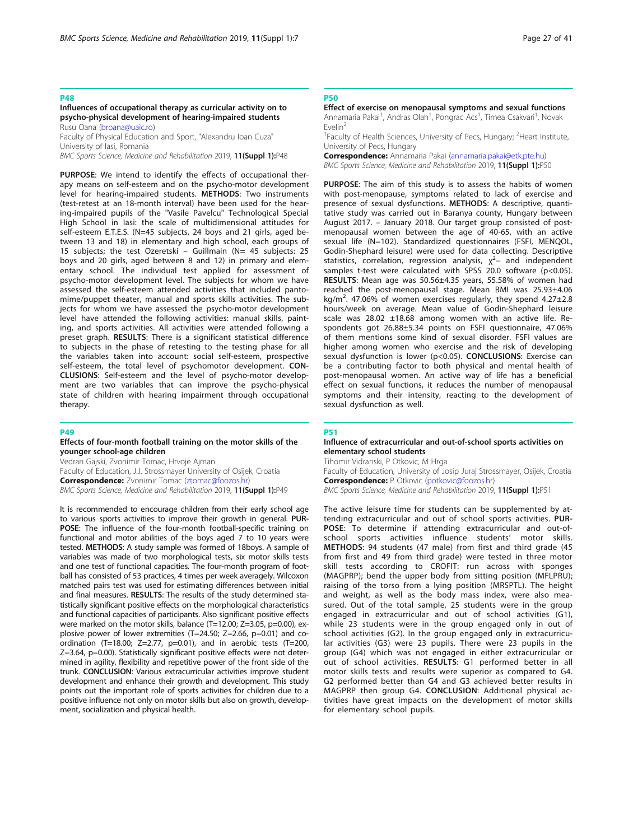#### Influences of occupational therapy as curricular activity on to psycho-physical development of hearing-impaired students Rusu Oana [\(broana@uaic.ro\)](broana@uaic.ro)

Faculty of Physical Education and Sport, "Alexandru Ioan Cuza" University of Iasi, Romania

BMC Sports Science, Medicine and Rehabilitation 2019, 11(Suppl 1):P48

PURPOSE: We intend to identify the effects of occupational therapy means on self-esteem and on the psycho-motor development level for hearing-impaired students. METHODS: Two instruments (test-retest at an 18-month interval) have been used for the hearing-impaired pupils of the "Vasile Pavelcu" Technological Special High School in Iasi: the scale of multidimensional attitudes for self-esteem E.T.E.S. (N=45 subjects, 24 boys and 21 girls, aged between 13 and 18) in elementary and high school, each groups of 15 subjects; the test Ozeretski – Guillmain (N= 45 subjects: 25 boys and 20 girls, aged between 8 and 12) in primary and elementary school. The individual test applied for assessment of psycho-motor development level. The subjects for whom we have assessed the self-esteem attended activities that included pantomime/puppet theater, manual and sports skills activities. The subjects for whom we have assessed the psycho-motor development level have attended the following activities: manual skills, painting, and sports activities. All activities were attended following a preset graph. RESULTS: There is a significant statistical difference to subjects in the phase of retesting to the testing phase for all the variables taken into account: social self-esteem, prospective self-esteem, the total level of psychomotor development. CON-CLUSIONS: Self-esteem and the level of psycho-motor development are two variables that can improve the psycho-physical state of children with hearing impairment through occupational therapy.

#### **D49**

#### Effects of four-month football training on the motor skills of the younger school-age children

Vedran Gajski, Zvonimir Tomac, Hrvoje Ajman Faculty of Education, J.J. Strossmayer University of Osijek, Croatia Correspondence: Zvonimir Tomac (<ztomac@foozos.hr>) BMC Sports Science, Medicine and Rehabilitation 2019, 11(Suppl 1):P49

It is recommended to encourage children from their early school age to various sports activities to improve their growth in general. PUR-POSE: The influence of the four-month football-specific training on functional and motor abilities of the boys aged 7 to 10 years were tested. METHODS: A study sample was formed of 18boys. A sample of variables was made of two morphological tests, six motor skills tests and one test of functional capacities. The four-month program of football has consisted of 53 practices, 4 times per week averagely. Wilcoxon matched pairs test was used for estimating differences between initial and final measures. RESULTS: The results of the study determined statistically significant positive effects on the morphological characteristics and functional capacities of participants. Also significant positive effects were marked on the motor skills, balance (T=12.00; Z=3.05, p=0.00), explosive power of lower extremities (T=24.50; Z=2.66, p=0.01) and coordination (T=18.00; Z=2.77, p=0.01), and in aerobic tests (T=200, Z=3.64, p=0.00). Statistically significant positive effects were not determined in agility, flexibility and repetitive power of the front side of the trunk. CONCLUSION: Various extracurricular activities improve student development and enhance their growth and development. This study points out the important role of sports activities for children due to a positive influence not only on motor skills but also on growth, development, socialization and physical health.

## P50

Effect of exercise on menopausal symptoms and sexual functions Annamaria Pakai<sup>1</sup>, Andras Olah<sup>1</sup>, Pongrac Acs<sup>1</sup>, Timea Csakvari<sup>1</sup>, Novak Evelin2

<sup>1</sup> Faculty of Health Sciences, University of Pecs, Hungary; <sup>2</sup> Heart Institute, University of Pecs, Hungary

Correspondence: Annamaria Pakai (<annamaria.pakai@etk.pte.hu>) BMC Sports Science, Medicine and Rehabilitation 2019, 11(Suppl 1):P50

PURPOSE: The aim of this study is to assess the habits of women with post-menopause, symptoms related to lack of exercise and presence of sexual dysfunctions. METHODS: A descriptive, quantitative study was carried out in Baranya county, Hungary between August 2017. – January 2018. Our target group consisted of postmenopausal women between the age of 40-65, with an active sexual life (N=102). Standardized questionnaires (FSFI, MENQOL, Godin-Shephard leisure) were used for data collecting. Descriptive statistics, correlation, regression analysis,  $\chi^2$  and independent samples t-test were calculated with SPSS 20.0 software (p<0.05). RESULTS: Mean age was 50.56±4.35 years, 55.58% of women had reached the post-menopausal stage. Mean BMI was 25.93±4.06 kg/m<sup>2</sup>. 47.06% of women exercises regularly, they spend 4.27±2.8 hours/week on average. Mean value of Godin-Shephard leisure scale was 28.02 ±18.68 among women with an active life. Respondents got 26.88±5.34 points on FSFI questionnaire, 47.06% of them mentions some kind of sexual disorder. FSFI values are higher among women who exercise and the risk of developing sexual dysfunction is lower (p<0.05). CONCLUSIONS: Exercise can be a contributing factor to both physical and mental health of post-menopausal women. An active way of life has a beneficial effect on sexual functions, it reduces the number of menopausal symptoms and their intensity, reacting to the development of sexual dysfunction as well.

#### P51

#### Influence of extracurricular and out-of-school sports activities on elementary school students

Tihomir Vidranski, P Otkovic, M Hrga Faculty of Education, University of Josip Juraj Strossmayer, Osijek, Croatia Correspondence: P Otkovic [\(potkovic@foozos.hr\)](potkovic@foozos.hr) BMC Sports Science, Medicine and Rehabilitation 2019, 11(Suppl 1):P51

The active leisure time for students can be supplemented by attending extracurricular and out of school sports activities. PUR-POSE: To determine if attending extracurricular and out-ofschool sports activities influence students' motor skills. METHODS: 94 students (47 male) from first and third grade (45 from first and 49 from third grade) were tested in three motor skill tests according to CROFIT: run across with sponges (MAGPRP); bend the upper body from sitting position (MFLPRU); raising of the torso from a lying position (MRSPTL). The height and weight, as well as the body mass index, were also measured. Out of the total sample, 25 students were in the group engaged in extracurricular and out of school activities (G1), while 23 students were in the group engaged only in out of school activities (G2). In the group engaged only in extracurricular activities (G3) were 23 pupils. There were 23 pupils in the group (G4) which was not engaged in either extracurricular or out of school activities. RESULTS: G1 performed better in all motor skills tests and results were superior as compared to G4. G2 performed better than G4 and G3 achieved better results in MAGPRP then group G4. CONCLUSION: Additional physical activities have great impacts on the development of motor skills for elementary school pupils.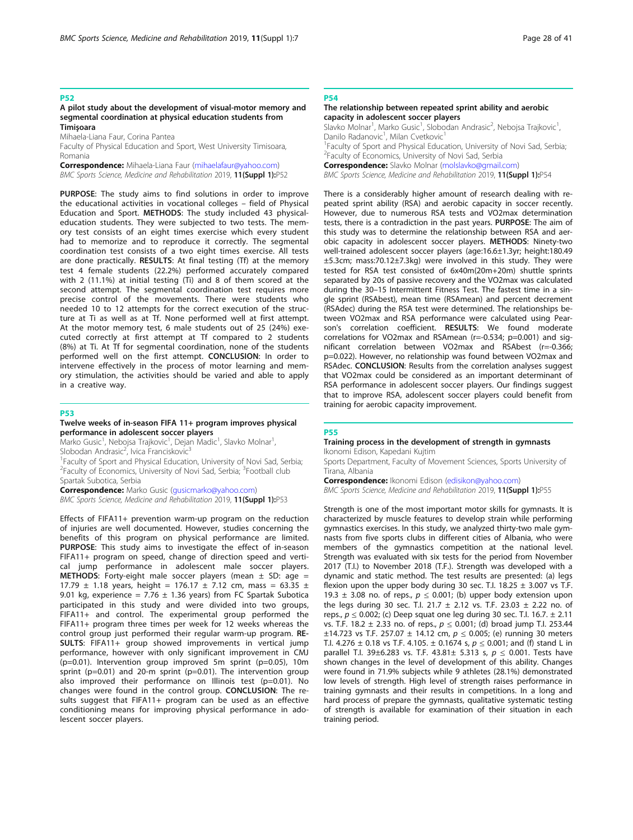A pilot study about the development of visual-motor memory and segmental coordination at physical education students from **Timisoara** 

Mihaela-Liana Faur, Corina Pantea

Faculty of Physical Education and Sport, West University Timisoara, Romania

Correspondence: Mihaela-Liana Faur [\(mihaelafaur@yahoo.com](mihaelafaur@yahoo.com)) BMC Sports Science, Medicine and Rehabilitation 2019, 11(Suppl 1):P52

PURPOSE: The study aims to find solutions in order to improve the educational activities in vocational colleges – field of Physical Education and Sport. METHODS: The study included 43 physicaleducation students. They were subjected to two tests. The memory test consists of an eight times exercise which every student had to memorize and to reproduce it correctly. The segmental coordination test consists of a two eight times exercise. All tests are done practically. RESULTS: At final testing (Tf) at the memory test 4 female students (22.2%) performed accurately compared with 2 (11.1%) at initial testing (Ti) and 8 of them scored at the second attempt. The segmental coordination test requires more precise control of the movements. There were students who needed 10 to 12 attempts for the correct execution of the structure at Ti as well as at Tf. None performed well at first attempt. At the motor memory test, 6 male students out of 25 (24%) executed correctly at first attempt at Tf compared to 2 students (8%) at Ti. At Tf for segmental coordination, none of the students performed well on the first attempt. CONCLUSION: In order to intervene effectively in the process of motor learning and memory stimulation, the activities should be varied and able to apply in a creative way.

## P53

## Twelve weeks of in-season FIFA 11+ program improves physical performance in adolescent soccer players

Marko Gusic<sup>1</sup>, Nebojsa Trajkovic<sup>1</sup>, Dejan Madic<sup>1</sup>, Slavko Molnar<sup>1</sup> , Slobodan Andrasic<sup>2</sup>, Ivica Franciskovic<sup>3</sup>

<sup>1</sup> Faculty of Sport and Physical Education, University of Novi Sad, Serbia; <sup>2</sup> Faculty of Economics, University of Novi Sad, Serbia; <sup>3</sup> Football club Spartak Subotica, Serbia

**Correspondence:** Marko Gusic (qusicmarko@yahoo.com)

BMC Sports Science, Medicine and Rehabilitation 2019, 11(Suppl 1):P53

Effects of FIFA11+ prevention warm-up program on the reduction of injuries are well documented. However, studies concerning the benefits of this program on physical performance are limited. PURPOSE: This study aims to investigate the effect of in-season FIFA11+ program on speed, change of direction speed and vertical jump performance in adolescent male soccer players. **METHODS:** Forty-eight male soccer players (mean  $\pm$  SD: age = 17.79  $\pm$  1.18 years, height = 176.17  $\pm$  7.12 cm, mass = 63.35  $\pm$ 9.01 kg, experience = 7.76  $\pm$  1.36 years) from FC Spartak Subotica participated in this study and were divided into two groups, FIFA11+ and control. The experimental group performed the FIFA11+ program three times per week for 12 weeks whereas the control group just performed their regular warm-up program. RE-SULTS: FIFA11+ group showed improvements in vertical jump performance, however with only significant improvement in CMJ (p=0.01). Intervention group improved 5m sprint (p=0.05), 10m sprint (p=0.01) and 20-m sprint (p=0.01). The intervention group also improved their performance on Illinois test (p=0.01). No changes were found in the control group. CONCLUSION: The results suggest that FIFA11+ program can be used as an effective conditioning means for improving physical performance in adolescent soccer players.

## P54

The relationship between repeated sprint ability and aerobic capacity in adolescent soccer players

Slavko Molnar<sup>1</sup>, Marko Gusic<sup>1</sup>, Slobodan Andrasic<sup>2</sup>, Nebojsa Trajkovic<sup>1</sup> , Danilo Radanovic<sup>1</sup>, Milan Cvetkovic<sup>1</sup>

<sup>1</sup> Faculty of Sport and Physical Education, University of Novi Sad, Serbia; <sup>2</sup>Faculty of Economics, University of Novi Sad, Serbia

Correspondence: Slavko Molnar [\(molslavko@gmail.com\)](molslavko@gmail.com)

BMC Sports Science, Medicine and Rehabilitation 2019, 11(Suppl 1):P54

There is a considerably higher amount of research dealing with repeated sprint ability (RSA) and aerobic capacity in soccer recently. However, due to numerous RSA tests and VO2max determination tests, there is a contradiction in the past years. PURPOSE: The aim of this study was to determine the relationship between RSA and aerobic capacity in adolescent soccer players. METHODS: Ninety-two well-trained adolescent soccer players (age:16.6±1.3yr; height:180.49 ±5.3cm; mass:70.12±7.3kg) were involved in this study. They were tested for RSA test consisted of 6x40m(20m+20m) shuttle sprints separated by 20s of passive recovery and the VO2max was calculated during the 30–15 Intermittent Fitness Test. The fastest time in a single sprint (RSAbest), mean time (RSAmean) and percent decrement (RSAdec) during the RSA test were determined. The relationships between VO2max and RSA performance were calculated using Pearson's correlation coefficient. RESULTS: We found moderate correlations for VO2max and RSAmean (r=-0.534; p=0.001) and significant correlation between VO2max and RSAbest (r=-0.366; p=0.022). However, no relationship was found between VO2max and RSAdec. CONCLUSION: Results from the correlation analyses suggest that VO2max could be considered as an important determinant of RSA performance in adolescent soccer players. Our findings suggest that to improve RSA, adolescent soccer players could benefit from training for aerobic capacity improvement.

#### P55

#### Training process in the development of strength in gymnasts Ikonomi Edison, Kapedani Kujtim

Sports Department, Faculty of Movement Sciences, Sports University of Tirana, Albania

Correspondence: Ikonomi Edison (<edisikon@yahoo.com>) BMC Sports Science, Medicine and Rehabilitation 2019, 11(Suppl 1):P55

Strength is one of the most important motor skills for gymnasts. It is characterized by muscle features to develop strain while performing gymnastics exercises. In this study, we analyzed thirty-two male gymnasts from five sports clubs in different cities of Albania, who were members of the gymnastics competition at the national level. Strength was evaluated with six tests for the period from November 2017 (T.I.) to November 2018 (T.F.). Strength was developed with a dynamic and static method. The test results are presented: (a) legs flexion upon the upper body during 30 sec. T.I.  $18.25 \pm 3.007$  vs T.F. 19.3  $\pm$  3.08 no. of reps.,  $p \le 0.001$ ; (b) upper body extension upon the legs during 30 sec. T.l. 21.7  $\pm$  2.12 vs. T.F. 23.03  $\pm$  2.22 no. of reps.,  $p$  ≤ 0.002; (c) Deep squat one leg during 30 sec. T.I. 16.7. ± 2.11 vs. T.F. 18.2  $\pm$  2.33 no. of reps.,  $p \le 0.001$ ; (d) broad jump T.I. 253.44 ±14.723 vs T.F. 257.07 ± 14.12 cm,  $p \le 0.005$ ; (e) running 30 meters T.I. 4.276  $\pm$  0.18 vs T.F. 4.105.  $\pm$  0.1674 s,  $p \le 0.001$ ; and (f) stand L in parallel T.I. 39±6.283 vs. T.F. 43.81± 5.313 s,  $p \le 0.001$ . Tests have shown changes in the level of development of this ability. Changes were found in 71.9% subjects while 9 athletes (28.1%) demonstrated low levels of strength. High level of strength raises performance in training gymnasts and their results in competitions. In a long and hard process of prepare the gymnasts, qualitative systematic testing of strength is available for examination of their situation in each training period.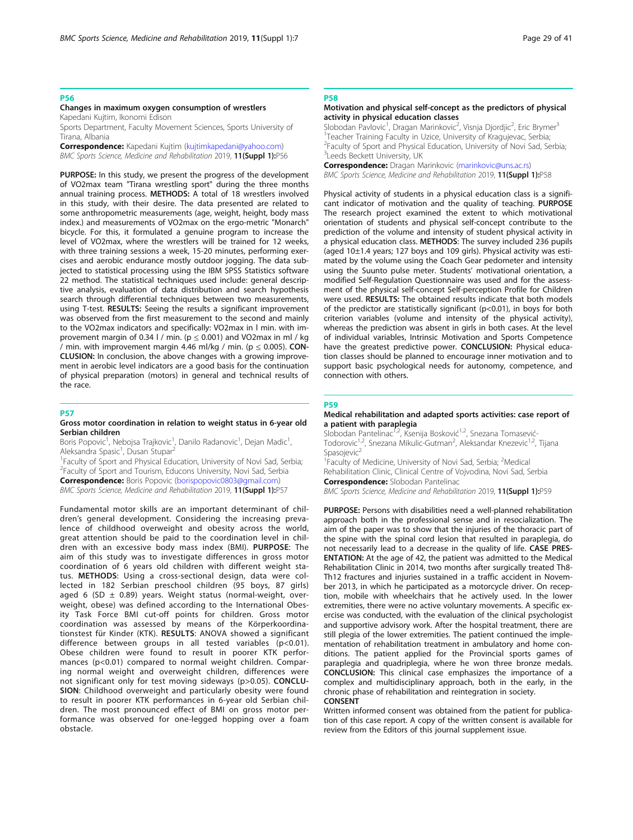#### Changes in maximum oxygen consumption of wrestlers Kapedani Kujtim, Ikonomi Edison

Sports Department, Faculty Movement Sciences, Sports University of Tirana, Albania

Correspondence: Kapedani Kujtim ([kujtimkapedani@yahoo.com\)](kujtimkapedani@yahoo.com) BMC Sports Science, Medicine and Rehabilitation 2019, 11(Suppl 1):P56

PURPOSE: In this study, we present the progress of the development of VO2max team "Tirana wrestling sport" during the three months annual training process. METHODS: A total of 18 wrestlers involved in this study, with their desire. The data presented are related to some anthropometric measurements (age, weight, height, body mass index.) and measurements of VO2max on the ergo-metric "Monarch" bicycle. For this, it formulated a genuine program to increase the level of VO2max, where the wrestlers will be trained for 12 weeks, with three training sessions a week, 15-20 minutes, performing exercises and aerobic endurance mostly outdoor jogging. The data subjected to statistical processing using the IBM SPSS Statistics software 22 method. The statistical techniques used include: general descriptive analysis, evaluation of data distribution and search hypothesis search through differential techniques between two measurements, using T-test. RESULTS: Seeing the results a significant improvement was observed from the first measurement to the second and mainly to the VO2max indicators and specifically: VO2max in l min. with improvement margin of 0.34 l / min. ( $p \le 0.001$ ) and VO2max in ml / kg / min. with improvement margin 4.46 ml/kg / min. ( $p \le 0.005$ ). CON-CLUSION: In conclusion, the above changes with a growing improvement in aerobic level indicators are a good basis for the continuation of physical preparation (motors) in general and technical results of the race.

#### P57

#### Gross motor coordination in relation to weight status in 6-year old Serbian children

Boris Popovic<sup>1</sup>, Nebojsa Trajkovic<sup>1</sup>, Danilo Radanovic<sup>1</sup>, Dejan Madic<sup>1</sup> , Aleksandra Spasic<sup>1</sup>, Dusan Stupar<sup>2</sup>

<sup>1</sup> Faculty of Sport and Physical Education, University of Novi Sad, Serbia; <sup>2</sup> Faculty of Sport and Tourism, Educons University, Novi Sad, Serbia Correspondence: Boris Popovic [\(borispopovic0803@gmail.com\)](borispopovic0803@gmail.com) BMC Sports Science, Medicine and Rehabilitation 2019, 11(Suppl 1):P57

Fundamental motor skills are an important determinant of children's general development. Considering the increasing prevalence of childhood overweight and obesity across the world, great attention should be paid to the coordination level in children with an excessive body mass index (BMI). PURPOSE: The aim of this study was to investigate differences in gross motor coordination of 6 years old children with different weight status. METHODS: Using a cross-sectional design, data were collected in 182 Serbian preschool children (95 boys, 87 girls) aged 6 (SD  $\pm$  0.89) years. Weight status (normal-weight, overweight, obese) was defined according to the International Obesity Task Force BMI cut-off points for children. Gross motor coordination was assessed by means of the Körperkoordinationstest für Kinder (KTK). RESULTS: ANOVA showed a significant difference between groups in all tested variables (p<0.01). Obese children were found to result in poorer KTK performances (p<0.01) compared to normal weight children. Comparing normal weight and overweight children, differences were not significant only for test moving sideways (p>0.05). CONCLU-SION: Childhood overweight and particularly obesity were found to result in poorer KTK performances in 6-year old Serbian children. The most pronounced effect of BMI on gross motor performance was observed for one-legged hopping over a foam obstacle.

## P58

## Motivation and physical self-concept as the predictors of physical activity in physical education classes

Slobodan Pavlovic<sup>1</sup>, Dragan Marinkovic<sup>2</sup>, Visnja Djordjic<sup>2</sup>, Eric Brymer<sup>3</sup> <sup>1</sup>Teacher Training Faculty in Uzice, University of Kragujevac, Serbia; <sup>2</sup> Faculty of Sport and Physical Education, University of Novi Sad, Serbia; 3 Leeds Beckett University, UK

**Correspondence:** Dragan Marinkovic [\(marinkovic@uns.ac.rs\)](marinkovic@uns.ac.rs) BMC Sports Science, Medicine and Rehabilitation 2019, 11(Suppl 1):P58

Physical activity of students in a physical education class is a significant indicator of motivation and the quality of teaching. PURPOSE The research project examined the extent to which motivational orientation of students and physical self-concept contribute to the prediction of the volume and intensity of student physical activity in a physical education class. METHODS: The survey included 236 pupils (aged 10±1.4 years; 127 boys and 109 girls). Physical activity was estimated by the volume using the Coach Gear pedometer and intensity using the Suunto pulse meter. Students' motivational orientation, a modified Self-Regulation Questionnaire was used and for the assessment of the physical self-concept Self-perception Profile for Children were used. RESULTS: The obtained results indicate that both models of the predictor are statistically significant (p<0.01), in boys for both criterion variables (volume and intensity of the physical activity), whereas the prediction was absent in girls in both cases. At the level of individual variables, Intrinsic Motivation and Sports Competence have the greatest predictive power. CONCLUSION: Physical education classes should be planned to encourage inner motivation and to support basic psychological needs for autonomy, competence, and connection with others.

#### P59

#### Medical rehabilitation and adapted sports activities: case report of a patient with paraplegia

Slobodan Pantelinac<sup>1,2</sup>, Ksenija Bosković<sup>1,2</sup>, Snezana Tomasević-Todorovic<sup>1,2</sup>, Snezana Mikulic-Gutman<sup>2</sup>, Aleksandar Knezevic<sup>1,2</sup>, Tijana Spasojevic<sup>2</sup>

<sup>1</sup> Faculty of Medicine, University of Novi Sad, Serbia; <sup>2</sup> Medical Rehabilitation Clinic, Clinical Centre of Vojvodina, Novi Sad, Serbia **Correspondence:** Slobodan Pantelinac BMC Sports Science, Medicine and Rehabilitation 2019, 11(Suppl 1):P59

PURPOSE: Persons with disabilities need a well-planned rehabilitation approach both in the professional sense and in resocialization. The aim of the paper was to show that the injuries of the thoracic part of the spine with the spinal cord lesion that resulted in paraplegia, do not necessarily lead to a decrease in the quality of life. CASE PRES-ENTATION: At the age of 42, the patient was admitted to the Medical Rehabilitation Clinic in 2014, two months after surgically treated Th8- Th12 fractures and injuries sustained in a traffic accident in November 2013, in which he participated as a motorcycle driver. On reception, mobile with wheelchairs that he actively used. In the lower extremities, there were no active voluntary movements. A specific exercise was conducted, with the evaluation of the clinical psychologist and supportive advisory work. After the hospital treatment, there are still plegia of the lower extremities. The patient continued the implementation of rehabilitation treatment in ambulatory and home conditions. The patient applied for the Provincial sports games of paraplegia and quadriplegia, where he won three bronze medals. CONCLUSION: This clinical case emphasizes the importance of a complex and multidisciplinary approach, both in the early, in the chronic phase of rehabilitation and reintegration in society. CONSENT

Written informed consent was obtained from the patient for publication of this case report. A copy of the written consent is available for review from the Editors of this journal supplement issue.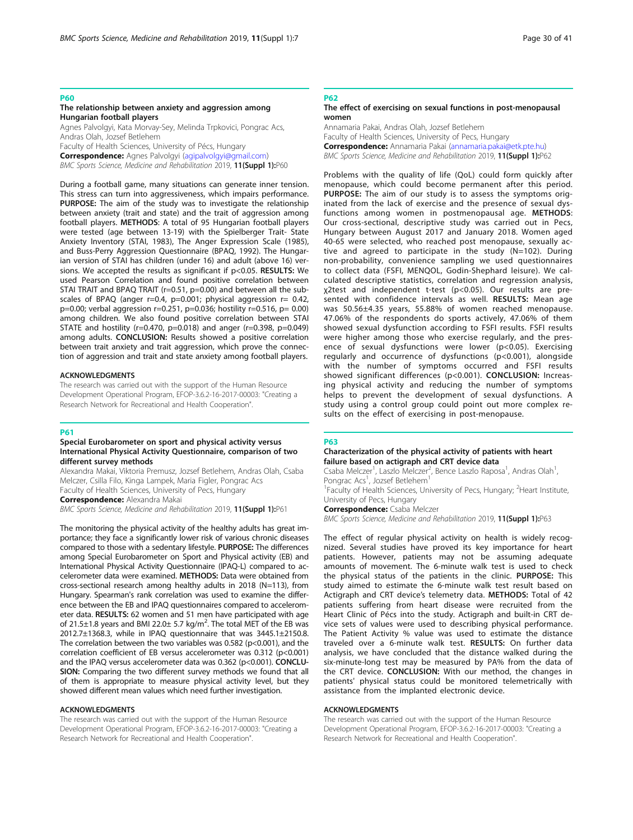#### The relationship between anxiety and aggression among Hungarian football players

Agnes Palvolgyi, Kata Morvay-Sey, Melinda Trpkovici, Pongrac Acs, Andras Olah, Jozsef Betlehem

Faculty of Health Sciences, University of Pécs, Hungary Correspondence: Agnes Palvolgyi ([agipalvolgyi@gmail.com\)](agipalvolgyi@gmail.com) BMC Sports Science, Medicine and Rehabilitation 2019, 11(Suppl 1):P60

During a football game, many situations can generate inner tension. This stress can turn into aggressiveness, which impairs performance. PURPOSE: The aim of the study was to investigate the relationship between anxiety (trait and state) and the trait of aggression among football players. METHODS: A total of 95 Hungarian football players were tested (age between 13-19) with the Spielberger Trait- State Anxiety Inventory (STAI, 1983), The Anger Expression Scale (1985), and Buss-Perry Aggression Questionnaire (BPAQ, 1992). The Hungarian version of STAI has children (under 16) and adult (above 16) versions. We accepted the results as significant if  $p$ <0.05. RESULTS: We used Pearson Correlation and found positive correlation between STAI TRAIT and BPAQ TRAIT (r=0.51, p=0.00) and between all the subscales of BPAQ (anger  $r=0.4$ ,  $p=0.001$ ; physical aggression  $r=0.42$ , p=0.00; verbal aggression r=0.251, p=0.036; hostility r=0.516, p= 0.00) among children. We also found positive correlation between STAI STATE and hostility ( $r=0.470$ ,  $p=0.018$ ) and anger ( $r=0.398$ ,  $p=0.049$ ) among adults. CONCLUSION: Results showed a positive correlation between trait anxiety and trait aggression, which prove the connection of aggression and trait and state anxiety among football players.

## ACKNOWLEDGMENTS

The research was carried out with the support of the Human Resource Development Operational Program, EFOP-3.6.2-16-2017-00003: "Creating a Research Network for Recreational and Health Cooperation".

#### P61

## Special Eurobarometer on sport and physical activity versus International Physical Activity Questionnaire, comparison of two different survey methods

Alexandra Makai, Viktoria Premusz, Jozsef Betlehem, Andras Olah, Csaba Melczer, Csilla Filo, Kinga Lampek, Maria Figler, Pongrac Acs Faculty of Health Sciences, University of Pecs, Hungary Correspondence: Alexandra Makai

BMC Sports Science, Medicine and Rehabilitation 2019, 11(Suppl 1):P61

The monitoring the physical activity of the healthy adults has great importance; they face a significantly lower risk of various chronic diseases compared to those with a sedentary lifestyle. PURPOSE: The differences among Special Eurobarometer on Sport and Physical activity (EB) and International Physical Activity Questionnaire (IPAQ-L) compared to accelerometer data were examined. METHODS: Data were obtained from cross-sectional research among healthy adults in 2018 (N=113), from Hungary. Spearman's rank correlation was used to examine the difference between the EB and IPAQ questionnaires compared to accelerometer data. RESULTS: 62 women and 51 men have participated with age of 21.5 $\pm$ 1.8 years and BMI 22.0 $\pm$  5.7 kg/m<sup>2</sup>. The total MET of the EB was 2012.7±1368.3, while in IPAQ questionnaire that was 3445.1±2150.8. The correlation between the two variables was 0.582 ( $p<0.001$ ), and the correlation coefficient of EB versus accelerometer was 0.312 (p<0.001) and the IPAQ versus accelerometer data was 0.362 (p<0.001). CONCLU-SION: Comparing the two different survey methods we found that all of them is appropriate to measure physical activity level, but they showed different mean values which need further investigation.

#### ACKNOWLEDGMENTS

The research was carried out with the support of the Human Resource Development Operational Program, EFOP-3.6.2-16-2017-00003: "Creating a Research Network for Recreational and Health Cooperation".

## **P62**

## The effect of exercising on sexual functions in post-menopausal women

Annamaria Pakai, Andras Olah, Jozsef Betlehem Faculty of Health Sciences, University of Pecs, Hungary Correspondence: Annamaria Pakai (<annamaria.pakai@etk.pte.hu>) BMC Sports Science, Medicine and Rehabilitation 2019, 11(Suppl 1):P62

Problems with the quality of life (QoL) could form quickly after menopause, which could become permanent after this period. PURPOSE: The aim of our study is to assess the symptoms originated from the lack of exercise and the presence of sexual dysfunctions among women in postmenopausal age. METHODS: Our cross-sectional, descriptive study was carried out in Pecs, Hungary between August 2017 and January 2018. Women aged 40-65 were selected, who reached post menopause, sexually active and agreed to participate in the study (N=102). During non-probability, convenience sampling we used questionnaires to collect data (FSFI, MENQOL, Godin-Shephard leisure). We calculated descriptive statistics, correlation and regression analysis, χ2test and independent t-test (p<0.05). Our results are presented with confidence intervals as well. RESULTS: Mean age was 50.56±4.35 years, 55.88% of women reached menopause. 47.06% of the respondents do sports actively, 47.06% of them showed sexual dysfunction according to FSFI results. FSFI results were higher among those who exercise regularly, and the presence of sexual dysfunctions were lower (p<0.05). Exercising regularly and occurrence of dysfunctions (p<0.001), alongside with the number of symptoms occurred and FSFI results showed significant differences (p<0.001). CONCLUSION: Increasing physical activity and reducing the number of symptoms helps to prevent the development of sexual dysfunctions. A study using a control group could point out more complex results on the effect of exercising in post-menopause.

#### P63

## Characterization of the physical activity of patients with heart failure based on actigraph and CRT device data

Csaba Melczer<sup>1</sup>, Laszlo Melczer<sup>2</sup>, Bence Laszlo Raposa<sup>1</sup>, Andras Olah<sup>1</sup> , Pongrac Acs<sup>1</sup>, Jozsef Betlehem<sup>1</sup>

<sup>1</sup> Faculty of Health Sciences, University of Pecs, Hungary; <sup>2</sup> Heart Institute University of Pecs, Hungary

**Correspondence:** Csaba Melczer

BMC Sports Science, Medicine and Rehabilitation 2019, 11(Suppl 1):P63

The effect of regular physical activity on health is widely recognized. Several studies have proved its key importance for heart patients. However, patients may not be assuming adequate amounts of movement. The 6-minute walk test is used to check the physical status of the patients in the clinic. PURPOSE: This study aimed to estimate the 6-minute walk test result based on Actigraph and CRT device's telemetry data. METHODS: Total of 42 patients suffering from heart disease were recruited from the Heart Clinic of Pécs into the study. Actigraph and built-in CRT device sets of values were used to describing physical performance. The Patient Activity % value was used to estimate the distance traveled over a 6-minute walk test. RESULTS: On further data analysis, we have concluded that the distance walked during the six-minute-long test may be measured by PA% from the data of the CRT device. CONCLUSION: With our method, the changes in patients' physical status could be monitored telemetrically with assistance from the implanted electronic device.

#### ACKNOWLEDGMENTS

The research was carried out with the support of the Human Resource Development Operational Program, EFOP-3.6.2-16-2017-00003: "Creating a Research Network for Recreational and Health Cooperation".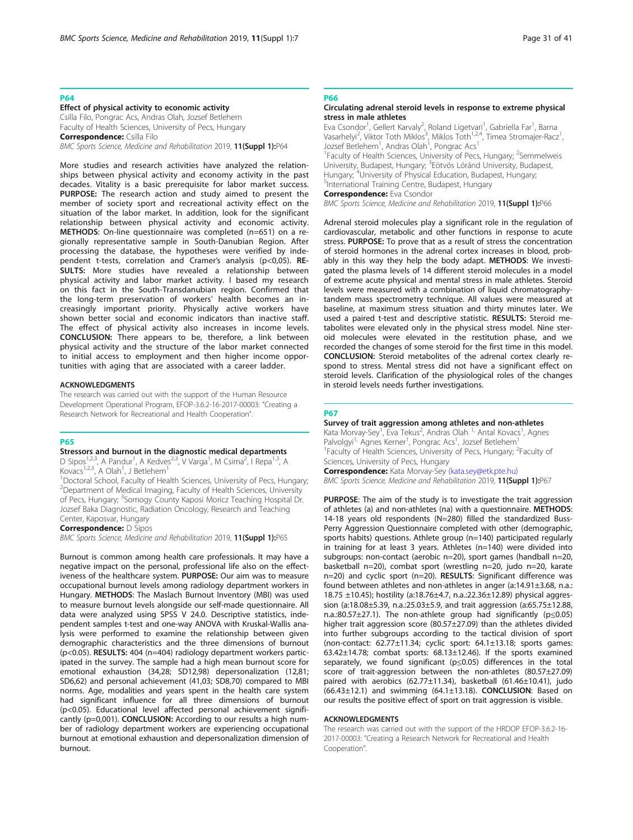#### Effect of physical activity to economic activity Csilla Filo, Pongrac Acs, Andras Olah, Jozsef Betlehem Faculty of Health Sciences, University of Pecs, Hungary Correspondence: Csilla Filo BMC Sports Science, Medicine and Rehabilitation 2019, 11(Suppl 1):P64

More studies and research activities have analyzed the relationships between physical activity and economy activity in the past decades. Vitality is a basic prerequisite for labor market success. PURPOSE: The research action and study aimed to present the member of society sport and recreational activity effect on the situation of the labor market. In addition, look for the significant relationship between physical activity and economic activity. METHODS: On-line questionnaire was completed (n=651) on a regionally representative sample in South-Danubian Region. After processing the database, the hypotheses were verified by independent t-tests, correlation and Cramer's analysis (p<0,05). RE-SULTS: More studies have revealed a relationship between physical activity and labor market activity. I based my research on this fact in the South-Transdanubian region. Confirmed that the long-term preservation of workers' health becomes an increasingly important priority. Physically active workers have shown better social and economic indicators than inactive staff. The effect of physical activity also increases in income levels. CONCLUSION: There appears to be, therefore, a link between physical activity and the structure of the labor market connected to initial access to employment and then higher income opportunities with aging that are associated with a career ladder.

#### ACKNOWLEDGMENTS

The research was carried out with the support of the Human Resource Development Operational Program, EFOP-3.6.2-16-2017-00003: "Creating a Research Network for Recreational and Health Cooperation".

#### P65

## Stressors and burnout in the diagnostic medical departments

D Sipos<sup>1,2,3</sup>, A Pandur<sup>1</sup>, A Kedves<sup>2,3</sup>, V Varga<sup>1</sup>, M Csima<sup>2</sup>, I Repa<sup>1,3</sup>, A Kovacs<sup>1,2,3</sup>, A Olah<sup>1</sup>, J Betlehem<sup>1</sup>

<sup>1</sup>Doctoral School, Faculty of Health Sciences, University of Pecs, Hungary; <sup>2</sup> Department of Medical Imaging, Faculty of Health Sciences, University of Pecs, Hungary; <sup>3</sup>Somogy County Kaposi Moricz Teaching Hospital Dr. Jozsef Baka Diagnostic, Radiation Oncology, Research and Teaching Center, Kaposvar, Hungary

#### Correspondence: D Sipos

BMC Sports Science, Medicine and Rehabilitation 2019, 11(Suppl 1):P65

Burnout is common among health care professionals. It may have a negative impact on the personal, professional life also on the effectiveness of the healthcare system. PURPOSE: Our aim was to measure occupational burnout levels among radiology department workers in Hungary. METHODS: The Maslach Burnout Inventory (MBI) was used to measure burnout levels alongside our self-made questionnaire. All data were analyzed using SPSS V 24.0. Descriptive statistics, independent samples t-test and one-way ANOVA with Kruskal-Wallis analysis were performed to examine the relationship between given demographic characteristics and the three dimensions of burnout  $(p<0.05)$ . RESULTS: 404 (n=404) radiology department workers participated in the survey. The sample had a high mean burnout score for emotional exhaustion (34,28; SD12,98) depersonalization (12,81; SD6,62) and personal achievement (41,03; SD8,70) compared to MBI norms. Age, modalities and years spent in the health care system had significant influence for all three dimensions of burnout (p<0.05). Educational level affected personal achievement significantly (p=0,001). CONCLUSION: According to our results a high number of radiology department workers are experiencing occupational burnout at emotional exhaustion and depersonalization dimension of burnout.

## P66

#### Circulating adrenal steroid levels in response to extreme physical stress in male athletes

Eva Csondor<sup>1</sup>, Gellert Karvaly<sup>2</sup>, Roland Ligetvari<sup>1</sup>, Gabriella Far<sup>1</sup>, Barna Vasarhelyi<sup>2</sup>, Viktor Toth Miklos<sup>3</sup>, Miklos Toth<sup>1,2,4</sup>, Timea Stromajer-Racz<sup>1</sup> , Jozsef Betlehem<sup>1</sup>, Andras Olah<sup>1</sup>, Pongrac Acs<sup>1</sup> <sup>1</sup>Faculty of Health Sciences, University of Pecs, Hungary; <sup>2</sup>Semmelweis

University, Budapest, Hungary; <sup>3</sup>Eötvös Lóránd University, Budapest, Hungary; <sup>4</sup>University of Physical Education, Budapest, Hungary;<br><sup>5</sup>International Training Contre Budapest, Hungary <sup>5</sup>International Training Centre, Budapest, Hungary **Correspondence:** Eva Csondor

BMC Sports Science, Medicine and Rehabilitation 2019, 11(Suppl 1):P66

Adrenal steroid molecules play a significant role in the regulation of cardiovascular, metabolic and other functions in response to acute stress. PURPOSE: To prove that as a result of stress the concentration of steroid hormones in the adrenal cortex increases in blood, probably in this way they help the body adapt. METHODS: We investigated the plasma levels of 14 different steroid molecules in a model of extreme acute physical and mental stress in male athletes. Steroid levels were measured with a combination of liquid chromatographytandem mass spectrometry technique. All values were measured at baseline, at maximum stress situation and thirty minutes later. We used a paired t-test and descriptive statistic. RESULTS: Steroid metabolites were elevated only in the physical stress model. Nine steroid molecules were elevated in the restitution phase, and we recorded the changes of some steroid for the first time in this model. CONCLUSION: Steroid metabolites of the adrenal cortex clearly respond to stress. Mental stress did not have a significant effect on steroid levels. Clarification of the physiological roles of the changes in steroid levels needs further investigations.

#### P67

## Survey of trait aggression among athletes and non-athletes

Kata Morvay-Sey<sup>1</sup>, Eva Tekus<sup>2</sup>, Andras Olah<sup>1,</sup> Antal Kovacs<sup>1</sup>, Agnes Palvolgyi<sup>1,</sup> Agnes Kerner<sup>1</sup>, Pongrac Acs<sup>1</sup>, Jozsef Betlehem<sup>1</sup> <sup>1</sup> Faculty of Health Sciences, University of Pecs, Hungary; <sup>2</sup> Faculty of Sciences, University of Pecs, Hungary Correspondence: Kata Morvay-Sey [\(kata.sey@etk.pte.hu](kata.sey@etk.pte.hu))

BMC Sports Science, Medicine and Rehabilitation 2019, 11(Suppl 1):P67

PURPOSE: The aim of the study is to investigate the trait aggression of athletes (a) and non-athletes (na) with a questionnaire. METHODS: 14-18 years old respondents (N=280) filled the standardized Buss-Perry Aggression Questionnaire completed with other (demographic, sports habits) questions. Athlete group (n=140) participated regularly in training for at least 3 years. Athletes (n=140) were divided into subgroups: non-contact (aerobic n=20), sport games (handball n=20, basketball n=20), combat sport (wrestling n=20, judo n=20, karate n=20) and cyclic sport (n=20). RESULTS: Significant difference was found between athletes and non-athletes in anger (a:14.91±3.68, n.a.: 18.75 ±10.45); hostility (a:18.76±4.7, n.a.:22.36±12.89) physical aggression (a:18.08±5.39, n.a.:25.03±5.9, and trait aggression (a:65.75±12.88, n.a.:80.57±27.1). The non-athlete group had significantly (p≤0.05) higher trait aggression score (80.57±27.09) than the athletes divided into further subgroups according to the tactical division of sport (non-contact: 62.77±11.34; cyclic sport: 64.1±13.18; sports games: 63.42±14.78; combat sports: 68.13±12.46). If the sports examined separately, we found significant (p≤0.05) differences in the total score of trait-aggression between the non-athletes (80.57±27.09) paired with aerobics (62.77±11.34), basketball (61.46±10.41), judo (66.43±12.1) and swimming (64.1±13.18). CONCLUSION: Based on our results the positive effect of sport on trait aggression is visible.

## ACKNOWLEDGMENTS

The research was carried out with the support of the HRDOP EFOP-3.6.2-16- 2017-00003: "Creating a Research Network for Recreational and Health Cooperation".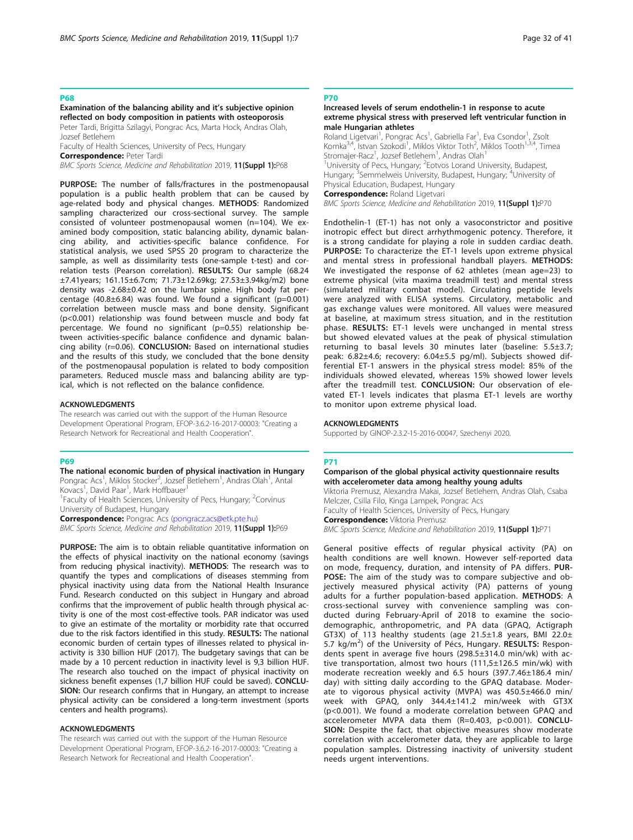## Examination of the balancing ability and it's subjective opinion reflected on body composition in patients with osteoporosis

Peter Tardi, Brigitta Szilagyi, Pongrac Acs, Marta Hock, Andras Olah, Jozsef Betlehem Faculty of Health Sciences, University of Pecs, Hungary

Correspondence: Peter Tardi

BMC Sports Science, Medicine and Rehabilitation 2019, 11(Suppl 1):P68

PURPOSE: The number of falls/fractures in the postmenopausal population is a public health problem that can be caused by age-related body and physical changes. METHODS: Randomized sampling characterized our cross-sectional survey. The sample consisted of volunteer postmenopausal women (n=104). We examined body composition, static balancing ability, dynamic balancing ability, and activities-specific balance confidence. For statistical analysis, we used SPSS 20 program to characterize the sample, as well as dissimilarity tests (one-sample t-test) and correlation tests (Pearson correlation). RESULTS: Our sample (68.24 ±7.41years; 161.15±6.7cm; 71.73±12.69kg; 27.53±3.94kg/m2) bone density was -2.68±0.42 on the lumbar spine. High body fat percentage (40.8±6.84) was found. We found a significant (p=0.001) correlation between muscle mass and bone density. Significant (p<0.001) relationship was found between muscle and body fat percentage. We found no significant (p=0.55) relationship between activities-specific balance confidence and dynamic balancing ability (r=0.06). CONCLUSION: Based on international studies and the results of this study, we concluded that the bone density of the postmenopausal population is related to body composition parameters. Reduced muscle mass and balancing ability are typical, which is not reflected on the balance confidence.

## ACKNOWLEDGMENTS

The research was carried out with the support of the Human Resource Development Operational Program, EFOP-3.6.2-16-2017-00003: "Creating a Research Network for Recreational and Health Cooperation".

## P69

The national economic burden of physical inactivation in Hungary Pongrac Acs<sup>1</sup>, Miklos Stocker<sup>2</sup>, Jozsef Betlehem<sup>1</sup>, Andras Olah<sup>1</sup>, Antal Kovacs<sup>1</sup>, David Paar<sup>1</sup>, Mark Hoffbauer<sup>1</sup>

<sup>1</sup> Faculty of Health Sciences, University of Pecs, Hungary; <sup>2</sup> Corvinus University of Budapest, Hungary

Correspondence: Pongrac Acs [\(pongracz.acs@etk.pte.hu\)](pongracz.acs@etk.pte.hu)

BMC Sports Science, Medicine and Rehabilitation 2019, 11(Suppl 1):P69

PURPOSE: The aim is to obtain reliable quantitative information on the effects of physical inactivity on the national economy (savings from reducing physical inactivity). METHODS: The research was to quantify the types and complications of diseases stemming from physical inactivity using data from the National Health Insurance Fund. Research conducted on this subject in Hungary and abroad confirms that the improvement of public health through physical activity is one of the most cost-effective tools. PAR indicator was used to give an estimate of the mortality or morbidity rate that occurred due to the risk factors identified in this study. RESULTS: The national economic burden of certain types of illnesses related to physical inactivity is 330 billion HUF (2017). The budgetary savings that can be made by a 10 percent reduction in inactivity level is 9,3 billion HUF. The research also touched on the impact of physical inactivity on sickness benefit expenses (1,7 billion HUF could be saved). CONCLU-SION: Our research confirms that in Hungary, an attempt to increase physical activity can be considered a long-term investment (sports centers and health programs).

## ACKNOWLEDGMENTS

The research was carried out with the support of the Human Resource Development Operational Program, EFOP-3.6.2-16-2017-00003: "Creating a Research Network for Recreational and Health Cooperation".

## P70

## Increased levels of serum endothelin-1 in response to acute extreme physical stress with preserved left ventricular function in male Hungarian athletes

Roland Ligetvari<sup>1</sup>, Pongrac Acs<sup>1</sup>, Gabriella Far<sup>1</sup>, Eva Csondor<sup>1</sup>, Zsolt Komka<sup>3,4</sup>, Istvan Szokodi<sup>1</sup>, Miklos Viktor Toth<sup>2</sup>, Miklos Tooth<sup>1,3,4</sup>, Timea Stromajer-Racz<sup>1</sup>, Jozsef Betlehem<sup>1</sup>, Andras Olah<sup>1</sup> <sup>1</sup>University of Pecs, Hungary; <sup>2</sup>Eotvos Lorand University, Budapest,

Hungary; <sup>3</sup>Semmelweis University, Budapest, Hungary; <sup>4</sup>University of Physical Education, Budapest, Hungary **Correspondence: Roland Ligetvari** 

BMC Sports Science, Medicine and Rehabilitation 2019, 11(Suppl 1):P70

Endothelin-1 (ET-1) has not only a vasoconstrictor and positive inotropic effect but direct arrhythmogenic potency. Therefore, it is a strong candidate for playing a role in sudden cardiac death. PURPOSE: To characterize the ET-1 levels upon extreme physical and mental stress in professional handball players. METHODS: We investigated the response of 62 athletes (mean age=23) to extreme physical (vita maxima treadmill test) and mental stress (simulated military combat model). Circulating peptide levels were analyzed with ELISA systems. Circulatory, metabolic and gas exchange values were monitored. All values were measured at baseline, at maximum stress situation, and in the restitution phase. RESULTS: ET-1 levels were unchanged in mental stress but showed elevated values at the peak of physical stimulation returning to basal levels 30 minutes later (baseline: 5.5±3.7; peak: 6.82±4.6; recovery: 6.04±5.5 pg/ml). Subjects showed differential ET-1 answers in the physical stress model: 85% of the individuals showed elevated, whereas 15% showed lower levels after the treadmill test. CONCLUSION: Our observation of elevated ET-1 levels indicates that plasma ET-1 levels are worthy to monitor upon extreme physical load.

#### ACKNOWLEDGMENTS

Supported by GINOP-2.3.2-15-2016-00047, Szechenyi 2020.

## P71

Comparison of the global physical activity questionnaire results with accelerometer data among healthy young adults Viktoria Premusz, Alexandra Makai, Jozsef Betlehem, Andras Olah, Csaba

Melczer, Csilla Filo, Kinga Lampek, Pongrac Acs Faculty of Health Sciences, University of Pecs, Hungary **Correspondence:** Viktoria Premusz

BMC Sports Science, Medicine and Rehabilitation 2019, 11(Suppl 1):P71

General positive effects of regular physical activity (PA) on health conditions are well known. However self-reported data on mode, frequency, duration, and intensity of PA differs. PUR-POSE: The aim of the study was to compare subjective and objectively measured physical activity (PA) patterns of young adults for a further population-based application. METHODS: A cross-sectional survey with convenience sampling was conducted during February-April of 2018 to examine the sociodemographic, anthropometric, and PA data (GPAQ, Actigraph GT3X) of 113 healthy students (age 21.5±1.8 years, BMI 22.0± 5.7 kg/m<sup>2</sup>) of the University of Pécs, Hungary. RESULTS: Respondents spent in average five hours (298.5±314.0 min/wk) with active transportation, almost two hours (111,5±126.5 min/wk) with moderate recreation weekly and 6.5 hours (397.7.46±186.4 min/ day) with sitting daily according to the GPAQ database. Moderate to vigorous physical activity (MVPA) was 450.5±466.0 min/ week with GPAQ, only 344.4±141.2 min/week with GT3X (p<0.001). We found a moderate correlation between GPAQ and accelerometer MVPA data them  $(R=0.403, p<0.001)$ . **CONCLU-**SION: Despite the fact, that objective measures show moderate correlation with accelerometer data, they are applicable to large population samples. Distressing inactivity of university student needs urgent interventions.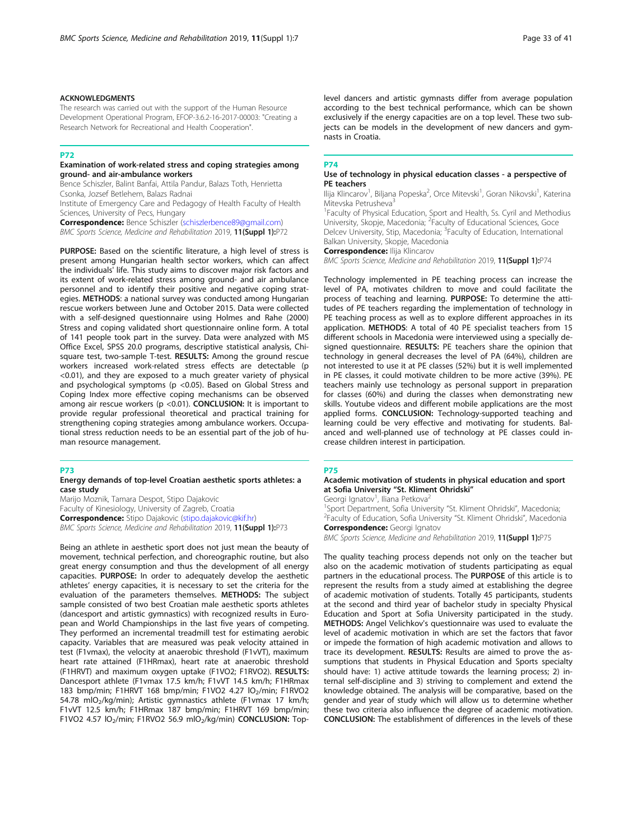## ACKNOWLEDGMENTS

The research was carried out with the support of the Human Resource Development Operational Program, EFOP-3.6.2-16-2017-00003: "Creating a Research Network for Recreational and Health Cooperation".

#### **P72**

#### Examination of work-related stress and coping strategies among ground- and air-ambulance workers

Bence Schiszler, Balint Banfai, Attila Pandur, Balazs Toth, Henrietta Csonka, Jozsef Betlehem, Balazs Radnai

Institute of Emergency Care and Pedagogy of Health Faculty of Health Sciences, University of Pecs, Hungary

Correspondence: Bence Schiszler [\(schiszlerbence89@gmail.com](schiszlerbence89@gmail.com)) BMC Sports Science, Medicine and Rehabilitation 2019, 11(Suppl 1):P72

PURPOSE: Based on the scientific literature, a high level of stress is

present among Hungarian health sector workers, which can affect the individuals' life. This study aims to discover major risk factors and its extent of work-related stress among ground- and air ambulance personnel and to identify their positive and negative coping strategies. METHODS: a national survey was conducted among Hungarian rescue workers between June and October 2015. Data were collected with a self-designed questionnaire using Holmes and Rahe (2000) Stress and coping validated short questionnaire online form. A total of 141 people took part in the survey. Data were analyzed with MS Office Excel, SPSS 20.0 programs, descriptive statistical analysis, Chisquare test, two-sample T-test. RESULTS: Among the ground rescue workers increased work-related stress effects are detectable (p <0.01), and they are exposed to a much greater variety of physical and psychological symptoms (p <0.05). Based on Global Stress and Coping Index more effective coping mechanisms can be observed among air rescue workers ( $p < 0.01$ ). CONCLUSION: It is important to provide regular professional theoretical and practical training for strengthening coping strategies among ambulance workers. Occupational stress reduction needs to be an essential part of the job of human resource management.

#### P73

#### Energy demands of top-level Croatian aesthetic sports athletes: a case study

Marijo Moznik, Tamara Despot, Stipo Dajakovic Faculty of Kinesiology, University of Zagreb, Croatia **Correspondence:** Stipo Dajakovic [\(stipo.dajakovic@kif.hr](stipo.dajakovic@kif.hr)) BMC Sports Science, Medicine and Rehabilitation 2019, 11(Suppl 1):P73

Being an athlete in aesthetic sport does not just mean the beauty of movement, technical perfection, and choreographic routine, but also great energy consumption and thus the development of all energy capacities. PURPOSE: In order to adequately develop the aesthetic athletes' energy capacities, it is necessary to set the criteria for the evaluation of the parameters themselves. METHODS: The subject sample consisted of two best Croatian male aesthetic sports athletes (dancesport and artistic gymnastics) with recognized results in European and World Championships in the last five years of competing. They performed an incremental treadmill test for estimating aerobic capacity. Variables that are measured was peak velocity attained in test (F1vmax), the velocity at anaerobic threshold (F1vVT), maximum heart rate attained (F1HRmax), heart rate at anaerobic threshold (F1HRVT) and maximum oxygen uptake (F1VO2; F1RVO2). RESULTS: Dancesport athlete (F1vmax 17.5 km/h; F1vVT 14.5 km/h; F1HRmax 183 bmp/min; F1HRVT 168 bmp/min; F1VO2 4.27 lO<sub>2</sub>/min; F1RVO2 54.78 mlO<sub>2</sub>/kg/min); Artistic gymnastics athlete (F1vmax 17 km/h; F1vVT 12.5 km/h; F1HRmax 187 bmp/min; F1HRVT 169 bmp/min; F1VO2 4.57 lO<sub>2</sub>/min; F1RVO2 56.9 mlO<sub>2</sub>/kg/min) CONCLUSION: Toplevel dancers and artistic gymnasts differ from average population according to the best technical performance, which can be shown exclusively if the energy capacities are on a top level. These two subjects can be models in the development of new dancers and gymnasts in Croatia.

#### P74

#### Use of technology in physical education classes - a perspective of PE teachers

Ilija Klincarov<sup>1</sup>, Biljana Popeska<sup>2</sup>, Orce Mitevski<sup>1</sup>, Goran Nikovski<sup>1</sup>, Katerina Mitevska Petrusheva<sup>3</sup>

<sup>1</sup> Faculty of Physical Education, Sport and Health, Ss. Cyril and Methodius<br>University, Skopje, Macedonia; <sup>2</sup> Faculty of Educational Sciences, Goce Delcev University, Stip, Macedonia; <sup>3</sup> Faculty of Education, International Balkan University, Skopje, Macedonia

**Correspondence: Ilija Klincarov** 

BMC Sports Science, Medicine and Rehabilitation 2019, 11(Suppl 1):P74

Technology implemented in PE teaching process can increase the level of PA, motivates children to move and could facilitate the process of teaching and learning. PURPOSE: To determine the attitudes of PE teachers regarding the implementation of technology in PE teaching process as well as to explore different approaches in its application. METHODS: A total of 40 PE specialist teachers from 15 different schools in Macedonia were interviewed using a specially designed questionnaire. RESULTS: PE teachers share the opinion that technology in general decreases the level of PA (64%), children are not interested to use it at PE classes (52%) but it is well implemented in PE classes, it could motivate children to be more active (39%). PE teachers mainly use technology as personal support in preparation for classes (60%) and during the classes when demonstrating new skills. Youtube videos and different mobile applications are the most applied forms. CONCLUSION: Technology-supported teaching and learning could be very effective and motivating for students. Balanced and well-planned use of technology at PE classes could increase children interest in participation.

#### P75

## Academic motivation of students in physical education and sport at Sofia University "St. Kliment Ohridski"

Georgi Ignatov<sup>1</sup>, Iliana Petkova<sup>2</sup>

<sup>1</sup> Sport Department, Sofia University "St. Kliment Ohridski", Macedonia<br><sup>2</sup> Eaculty of Education, Sofia University "St. Kliment Ohridski", Macedon <sup>2</sup>Faculty of Education, Sofia University "St. Kliment Ohridski", Macedonia **Correspondence:** Georgi Ignatov

BMC Sports Science, Medicine and Rehabilitation 2019, 11(Suppl 1):P75

The quality teaching process depends not only on the teacher but also on the academic motivation of students participating as equal partners in the educational process. The PURPOSE of this article is to represent the results from a study aimed at establishing the degree of academic motivation of students. Totally 45 participants, students at the second and third year of bachelor study in specialty Physical Education and Sport at Sofia University participated in the study. METHODS: Angel Velichkov's questionnaire was used to evaluate the level of academic motivation in which are set the factors that favor or impede the formation of high academic motivation and allows to trace its development. RESULTS: Results are aimed to prove the assumptions that students in Physical Education and Sports specialty should have: 1) active attitude towards the learning process; 2) internal self-discipline and 3) striving to complement and extend the knowledge obtained. The analysis will be comparative, based on the gender and year of study which will allow us to determine whether these two criteria also influence the degree of academic motivation. CONCLUSION: The establishment of differences in the levels of these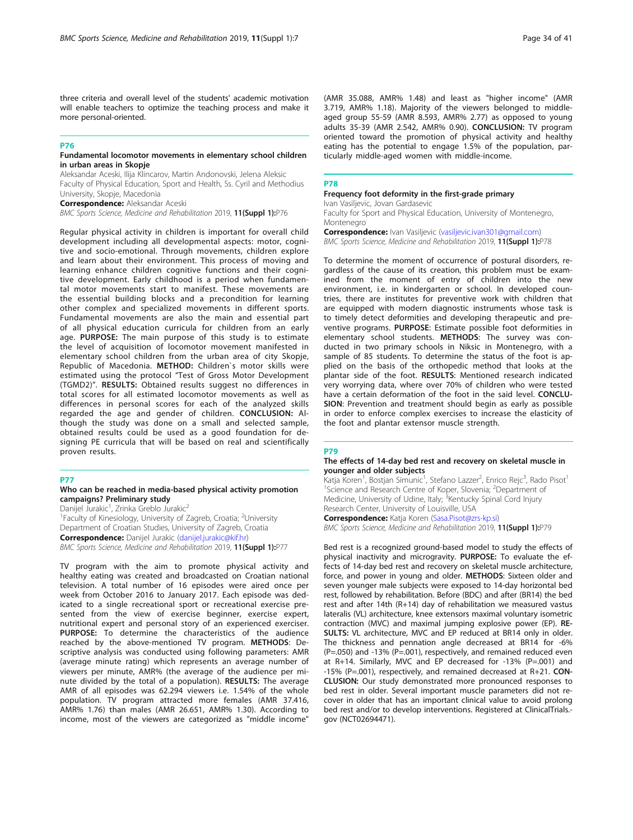three criteria and overall level of the students' academic motivation will enable teachers to optimize the teaching process and make it more personal-oriented.

## P76

#### Fundamental locomotor movements in elementary school children in urban areas in Skopje

Aleksandar Aceski, Ilija Klincarov, Martin Andonovski, Jelena Aleksic Faculty of Physical Education, Sport and Health, Ss. Cyril and Methodius University, Skopje, Macedonia Correspondence: Aleksandar Aceski

BMC Sports Science, Medicine and Rehabilitation 2019, 11(Suppl 1):P76

Regular physical activity in children is important for overall child development including all developmental aspects: motor, cognitive and socio-emotional. Through movements, children explore and learn about their environment. This process of moving and learning enhance children cognitive functions and their cognitive development. Early childhood is a period when fundamental motor movements start to manifest. These movements are the essential building blocks and a precondition for learning other complex and specialized movements in different sports. Fundamental movements are also the main and essential part of all physical education curricula for children from an early age. PURPOSE: The main purpose of this study is to estimate the level of acquisition of locomotor movement manifested in elementary school children from the urban area of city Skopje, Republic of Macedonia. METHOD: Children`s motor skills were estimated using the protocol "Test of Gross Motor Development (TGMD2)". RESULTS: Obtained results suggest no differences in total scores for all estimated locomotor movements as well as differences in personal scores for each of the analyzed skills regarded the age and gender of children. CONCLUSION: Although the study was done on a small and selected sample, obtained results could be used as a good foundation for designing PE curricula that will be based on real and scientifically proven results.

#### P77

## Who can be reached in media-based physical activity promotion campaigns? Preliminary study

Danijel Jurakic<sup>1</sup>, Zrinka Greblo Jurakic<sup>2</sup> <sup>1</sup> Faculty of Kinesiology, University of Zagreb, Croatia; <sup>2</sup>University Department of Croatian Studies, University of Zagreb, Croatia Correspondence: Danijel Jurakic ([danijel.jurakic@kif.hr\)](danijel.jurakic@kif.hr) BMC Sports Science, Medicine and Rehabilitation 2019, 11(Suppl 1):P77

TV program with the aim to promote physical activity and healthy eating was created and broadcasted on Croatian national television. A total number of 16 episodes were aired once per week from October 2016 to January 2017. Each episode was dedicated to a single recreational sport or recreational exercise presented from the view of exercise beginner, exercise expert, nutritional expert and personal story of an experienced exerciser. PURPOSE: To determine the characteristics of the audience reached by the above-mentioned TV program. METHODS: Descriptive analysis was conducted using following parameters: AMR (average minute rating) which represents an average number of viewers per minute, AMR% (the average of the audience per minute divided by the total of a population). RESULTS: The average AMR of all episodes was 62.294 viewers i.e. 1.54% of the whole population. TV program attracted more females (AMR 37.416, AMR% 1.76) than males (AMR 26.651, AMR% 1.30). According to income, most of the viewers are categorized as "middle income"

(AMR 35.088, AMR% 1.48) and least as "higher income" (AMR 3.719, AMR% 1.18). Majority of the viewers belonged to middleaged group 55-59 (AMR 8.593, AMR% 2.77) as opposed to young adults 35-39 (AMR 2.542, AMR% 0.90). CONCLUSION: TV program oriented toward the promotion of physical activity and healthy eating has the potential to engage 1.5% of the population, particularly middle-aged women with middle-income.

#### P78

## Frequency foot deformity in the first-grade primary

Ivan Vasiljevic, Jovan Gardasevic Faculty for Sport and Physical Education, University of Montenegro, Montenegro

Correspondence: Ivan Vasiljevic [\(vasiljevic.ivan301@gmail.com](vasiljevic.ivan301@gmail.com)) BMC Sports Science, Medicine and Rehabilitation 2019, 11(Suppl 1):P78

To determine the moment of occurrence of postural disorders, regardless of the cause of its creation, this problem must be examined from the moment of entry of children into the new environment, i.e. in kindergarten or school. In developed countries, there are institutes for preventive work with children that are equipped with modern diagnostic instruments whose task is to timely detect deformities and developing therapeutic and preventive programs. PURPOSE: Estimate possible foot deformities in elementary school students. METHODS: The survey was conducted in two primary schools in Niksic in Montenegro, with a sample of 85 students. To determine the status of the foot is applied on the basis of the orthopedic method that looks at the plantar side of the foot. RESULTS: Mentioned research indicated very worrying data, where over 70% of children who were tested have a certain deformation of the foot in the said level. CONCLU-SION: Prevention and treatment should begin as early as possible in order to enforce complex exercises to increase the elasticity of the foot and plantar extensor muscle strength.

#### P79

#### The effects of 14-day bed rest and recovery on skeletal muscle in younger and older subjects

Katja Koren<sup>1</sup>, Bostjan Simunic<sup>1</sup>, Stefano Lazzer<sup>2</sup>, Enrico Rejc<sup>3</sup>, Rado Pisot<sup>1</sup> <sup>1</sup>Science and Research Centre of Koper, Slovenia; <sup>2</sup>Department of Medicine, University of Udine, Italy; <sup>3</sup>Kentucky Spinal Cord Injury Research Center, University of Louisville, USA

Correspondence: Katja Koren ([Sasa.Pisot@zrs-kp.si\)](Sasa.Pisot@zrs-kp.si)

BMC Sports Science, Medicine and Rehabilitation 2019, 11(Suppl 1):P79

Bed rest is a recognized ground-based model to study the effects of physical inactivity and microgravity. PURPOSE: To evaluate the effects of 14-day bed rest and recovery on skeletal muscle architecture, force, and power in young and older. METHODS: Sixteen older and seven younger male subjects were exposed to 14-day horizontal bed rest, followed by rehabilitation. Before (BDC) and after (BR14) the bed rest and after 14th (R+14) day of rehabilitation we measured vastus lateralis (VL) architecture, knee extensors maximal voluntary isometric contraction (MVC) and maximal jumping explosive power (EP). RE-SULTS: VL architecture, MVC and EP reduced at BR14 only in older. The thickness and pennation angle decreased at BR14 for -6% (P=.050) and -13% (P=.001), respectively, and remained reduced even at R+14. Similarly, MVC and EP decreased for -13% (P=.001) and -15% (P=.001), respectively, and remained decreased at R+21. CON-CLUSION: Our study demonstrated more pronounced responses to bed rest in older. Several important muscle parameters did not recover in older that has an important clinical value to avoid prolong bed rest and/or to develop interventions. Registered at ClinicalTrials. gov (NCT02694471).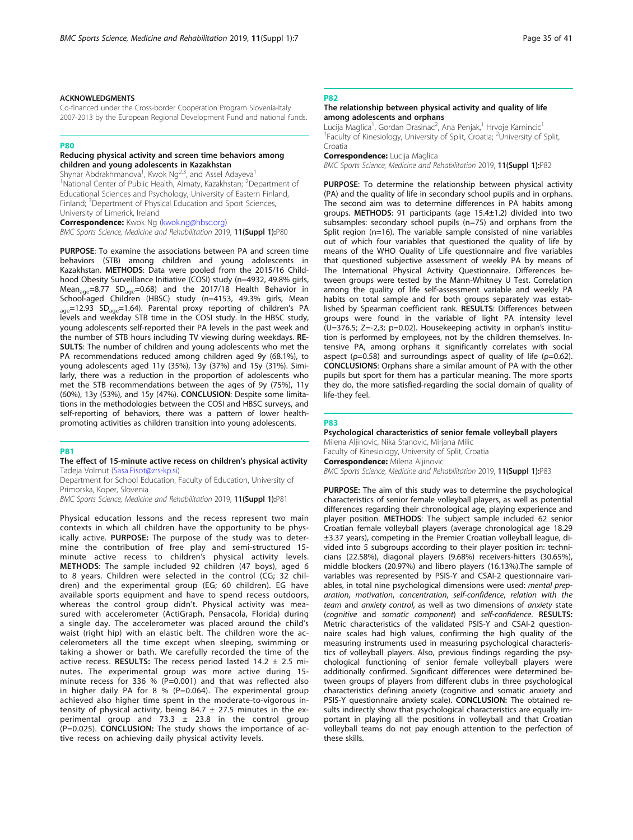Co-financed under the Cross-border Cooperation Program Slovenia-Italy 2007-2013 by the European Regional Development Fund and national funds.

#### P80

#### Reducing physical activity and screen time behaviors among children and young adolescents in Kazakhstan

Shynar Abdrakhmanova<sup>1</sup>, Kwok Ng<sup>2,3</sup>, and Assel Adayeva<sup>1</sup> <sup>1</sup>National Center of Public Health, Almaty, Kazakhstan; <sup>2</sup>Department of Educational Sciences and Psychology, University of Eastern Finland, Finland; <sup>3</sup>Department of Physical Education and Sport Sciences,

University of Limerick, Ireland Correspondence: Kwok Ng [\(kwok.ng@hbsc.org\)](kwok.ng@hbsc.org)

BMC Sports Science, Medicine and Rehabilitation 2019, 11(Suppl 1):P80

PURPOSE: To examine the associations between PA and screen time behaviors (STB) among children and young adolescents in Kazakhstan. METHODS: Data were pooled from the 2015/16 Childhood Obesity Surveillance Initiative (COSI) study (n=4932, 49.8% girls, Mean<sub>age</sub>=8.77 SD<sub>age</sub>=0.68) and the 2017/18 Health Behavior in School-aged Children (HBSC) study (n=4153, 49.3% girls, Mean age=12.93 SD<sub>age</sub>=1.64). Parental proxy reporting of children's PA levels and weekday STB time in the COSI study. In the HBSC study, young adolescents self-reported their PA levels in the past week and the number of STB hours including TV viewing during weekdays. RE-SULTS: The number of children and young adolescents who met the PA recommendations reduced among children aged 9y (68.1%), to young adolescents aged 11y (35%), 13y (37%) and 15y (31%). Similarly, there was a reduction in the proportion of adolescents who met the STB recommendations between the ages of 9y (75%), 11y (60%), 13y (53%), and 15y (47%). CONCLUSION: Despite some limitations in the methodologies between the COSI and HBSC surveys, and self-reporting of behaviors, there was a pattern of lower healthpromoting activities as children transition into young adolescents.

#### P81

The effect of 15-minute active recess on children's physical activity Tadeja Volmut (<Sasa.Pisot@zrs-kp.si>)

Department for School Education, Faculty of Education, University of Primorska, Koper, Slovenia

BMC Sports Science, Medicine and Rehabilitation 2019, 11(Suppl 1):P81

Physical education lessons and the recess represent two main contexts in which all children have the opportunity to be physically active. PURPOSE: The purpose of the study was to determine the contribution of free play and semi-structured 15 minute active recess to children's physical activity levels. METHODS: The sample included 92 children (47 boys), aged 6 to 8 years. Children were selected in the control (CG; 32 children) and the experimental group (EG; 60 children). EG have available sports equipment and have to spend recess outdoors, whereas the control group didn't. Physical activity was measured with accelerometer (ActiGraph, Pensacola, Florida) during a single day. The accelerometer was placed around the child's waist (right hip) with an elastic belt. The children wore the accelerometers all the time except when sleeping, swimming or taking a shower or bath. We carefully recorded the time of the active recess. RESULTS: The recess period lasted 14.2  $\pm$  2.5 minutes. The experimental group was more active during 15 minute recess for 336 % ( $P=0.001$ ) and that was reflected also in higher daily PA for 8 % (P=0.064). The experimental group achieved also higher time spent in the moderate-to-vigorous intensity of physical activity, being 84.7  $\pm$  27.5 minutes in the experimental group and 73.3  $\pm$  23.8 in the control group (P=0.025). CONCLUSION: The study shows the importance of active recess on achieving daily physical activity levels.

## P82

#### The relationship between physical activity and quality of life among adolescents and orphans

Lucija Maglica<sup>1</sup>, Gordan Drasinac<sup>2</sup>, Ana Penjak,<sup>1</sup> Hrvoje Karnincic<sup>1</sup> <sup>1</sup>Faculty of Kinesiology, University of Split, Croatia; <sup>2</sup>University of Split Croatia

**Correspondence:** Lucija Maglica

BMC Sports Science, Medicine and Rehabilitation 2019, 11(Suppl 1):P82

PURPOSE: To determine the relationship between physical activity (PA) and the quality of life in secondary school pupils and in orphans. The second aim was to determine differences in PA habits among groups. METHODS: 91 participants (age 15.4±1.2) divided into two subsamples: secondary school pupils (n=75) and orphans from the Split region (n=16). The variable sample consisted of nine variables out of which four variables that questioned the quality of life by means of the WHO Quality of Life questionnaire and five variables that questioned subjective assessment of weekly PA by means of The International Physical Activity Questionnaire. Differences between groups were tested by the Mann-Whitney U Test. Correlation among the quality of life self-assessment variable and weekly PA habits on total sample and for both groups separately was established by Spearman coefficient rank. RESULTS: Differences between groups were found in the variable of light PA intensity level (U=376.5; Z=-2,3; p=0.02). Housekeeping activity in orphan's institution is performed by employees, not by the children themselves. Intensive PA, among orphans it significantly correlates with social aspect (ρ=0.58) and surroundings aspect of quality of life (ρ=0.62). CONCLUSIONS: Orphans share a similar amount of PA with the other pupils but sport for them has a particular meaning. The more sports they do, the more satisfied-regarding the social domain of quality of life-they feel.

#### P83

#### Psychological characteristics of senior female volleyball players Milena Aljinovic, Nika Stanovic, Mirjana Milic

Faculty of Kinesiology, University of Split, Croatia **Correspondence: Milena Aljinovic** 

BMC Sports Science, Medicine and Rehabilitation 2019, 11(Suppl 1):P83

PURPOSE: The aim of this study was to determine the psychological characteristics of senior female volleyball players, as well as potential differences regarding their chronological age, playing experience and player position. METHODS: The subject sample included 62 senior Croatian female volleyball players (average chronological age 18.29 ±3.37 years), competing in the Premier Croatian volleyball league, divided into 5 subgroups according to their player position in: technicians (22.58%), diagonal players (9.68%) receivers-hitters (30.65%), middle blockers (20.97%) and libero players (16.13%).The sample of variables was represented by PSIS-Y and CSAI-2 questionnaire variables, in total nine psychological dimensions were used: mental preparation, motivation, concentration, self-confidence, relation with the team and anxiety control, as well as two dimensions of anxiety state (cognitive and somatic component) and self-confidence. RESULTS: Metric characteristics of the validated PSIS-Y and CSAI-2 questionnaire scales had high values, confirming the high quality of the measuring instruments used in measuring psychological characteristics of volleyball players. Also, previous findings regarding the psychological functioning of senior female volleyball players were additionally confirmed. Significant differences were determined between groups of players from different clubs in three psychological characteristics defining anxiety (cognitive and somatic anxiety and PSIS-Y questionnaire anxiety scale). CONCLUSION: The obtained results indirectly show that psychological characteristics are equally important in playing all the positions in volleyball and that Croatian volleyball teams do not pay enough attention to the perfection of these skills.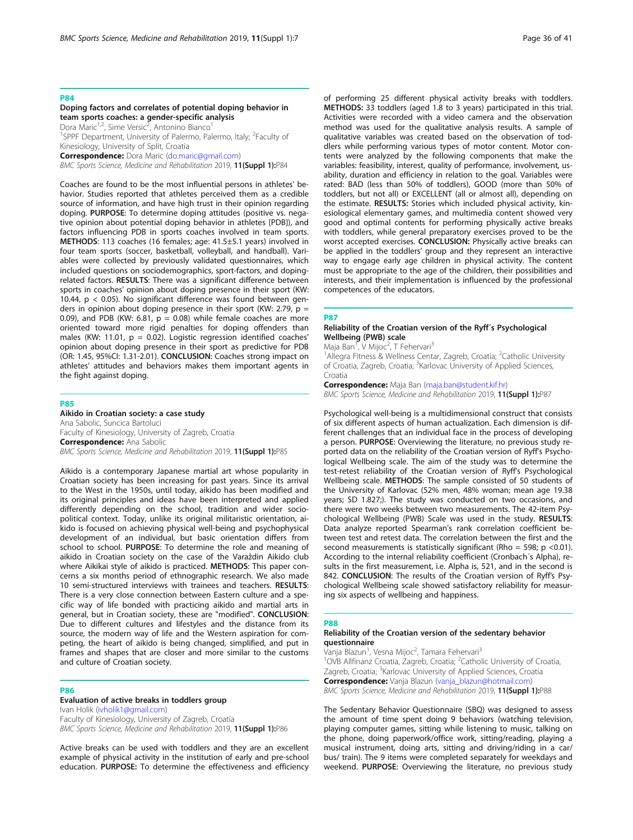## Doping factors and correlates of potential doping behavior in team sports coaches: a gender-specific analysis

Dora Maric<sup>1,2</sup>, Sime Versic<sup>2</sup>, Antonino Bianco<sup>1</sup> <sup>1</sup>SPPF Department, University of Palermo, Palermo, Italy; <sup>2</sup>Faculty of Kinesiology, University of Split, Croatia

Correspondence: Dora Maric [\(do.maric@gmail.com\)](do.maric@gmail.com)

BMC Sports Science, Medicine and Rehabilitation 2019, 11(Suppl 1):P84

Coaches are found to be the most influential persons in athletes' behavior. Studies reported that athletes perceived them as a credible source of information, and have high trust in their opinion regarding doping. PURPOSE: To determine doping attitudes (positive vs. negative opinion about potential doping behavior in athletes [PDB]), and factors influencing PDB in sports coaches involved in team sports. METHODS: 113 coaches (16 females; age: 41.5±5.1 years) involved in four team sports (soccer, basketball, volleyball, and handball). Variables were collected by previously validated questionnaires, which included questions on sociodemographics, sport-factors, and dopingrelated factors. RESULTS: There was a significant difference between sports in coaches' opinion about doping presence in their sport (KW: 10.44,  $p < 0.05$ ). No significant difference was found between genders in opinion about doping presence in their sport (KW: 2.79,  $p =$ 0.09), and PDB (KW: 6.81,  $p = 0.08$ ) while female coaches are more oriented toward more rigid penalties for doping offenders than males (KW: 11.01,  $p = 0.02$ ). Logistic regression identified coaches' opinion about doping presence in their sport as predictive for PDB (OR: 1.45, 95%CI: 1.31-2.01). CONCLUSION: Coaches strong impact on athletes' attitudes and behaviors makes them important agents in the fight against doping.

#### P85

#### Aikido in Croatian society: a case study

Ana Sabolic, Suncica Bartoluci Faculty of Kinesiology, University of Zagreb, Croatia **Correspondence:** Ana Sabolic BMC Sports Science, Medicine and Rehabilitation 2019, 11(Suppl 1):P85

Aikido is a contemporary Japanese martial art whose popularity in Croatian society has been increasing for past years. Since its arrival to the West in the 1950s, until today, aikido has been modified and its original principles and ideas have been interpreted and applied differently depending on the school, tradition and wider sociopolitical context. Today, unlike its original militaristic orientation, aikido is focused on achieving physical well-being and psychophysical development of an individual, but basic orientation differs from school to school. PURPOSE: To determine the role and meaning of aikido in Croatian society on the case of the Varaždin Aikido club where Aikikai style of aikido is practiced. METHODS: This paper concerns a six months period of ethnographic research. We also made 10 semi-structured interviews with trainees and teachers. RESULTS: There is a very close connection between Eastern culture and a specific way of life bonded with practicing aikido and martial arts in general, but in Croatian society, these are "modified". CONCLUSION: Due to different cultures and lifestyles and the distance from its source, the modern way of life and the Western aspiration for competing, the heart of aikido is being changed, simplified, and put in frames and shapes that are closer and more similar to the customs and culture of Croatian society.

#### P86

## Evaluation of active breaks in toddlers group

Ivan Holik [\(ivholik1@gmail.com](ivholik1@gmail.com))

Faculty of Kinesiology, University of Zagreb, Croatia BMC Sports Science, Medicine and Rehabilitation 2019, 11(Suppl 1):P86

Active breaks can be used with toddlers and they are an excellent example of physical activity in the institution of early and pre-school education. PURPOSE: To determine the effectiveness and efficiency of performing 25 different physical activity breaks with toddlers. METHODS: 33 toddlers (aged 1.8 to 3 years) participated in this trial. Activities were recorded with a video camera and the observation method was used for the qualitative analysis results. A sample of qualitative variables was created based on the observation of toddlers while performing various types of motor content. Motor contents were analyzed by the following components that make the variables: feasibility, interest, quality of performance, involvement, usability, duration and efficiency in relation to the goal. Variables were rated: BAD (less than 50% of toddlers), GOOD (more than 50% of toddlers, but not all) or EXCELLENT (all or almost all), depending on the estimate. RESULTS: Stories which included physical activity, kinesiological elementary games, and multimedia content showed very good and optimal contents for performing physically active breaks with toddlers, while general preparatory exercises proved to be the worst accepted exercises. CONCLUSION: Physically active breaks can be applied in the toddlers' group and they represent an interactive way to engage early age children in physical activity. The content must be appropriate to the age of the children, their possibilities and interests, and their implementation is influenced by the professional competences of the educators.

#### D<sub>87</sub>

#### Reliability of the Croatian version of the Ryff´s Psychological Wellbeing (PWB) scale

Maja Ban<sup>1</sup>, V Mijoc<sup>2</sup>, T Fehervari<sup>3</sup>

<sup>1</sup>Allegra Fitness & Wellness Centar, Zagreb, Croatia; <sup>2</sup>Catholic University of Croatia, Zagreb, Croatia; <sup>3</sup>Karlovac University of Applied Sciences Croatia

Correspondence: Maja Ban ([maja.ban@student.kif.hr\)](maja.ban@student.kif.hr) BMC Sports Science, Medicine and Rehabilitation 2019, 11(Suppl 1):P87

Psychological well-being is a multidimensional construct that consists of six different aspects of human actualization. Each dimension is different challenges that an individual face in the process of developing a person. PURPOSE: Overviewing the literature, no previous study reported data on the reliability of the Croatian version of Ryff's Psychological Wellbeing scale. The aim of the study was to determine the test-retest reliability of the Croatian version of Ryff's Psychological Wellbeing scale. METHODS: The sample consisted of 50 students of the University of Karlovac (52% men, 48% woman; mean age 19.38 years; SD 1.827;). The study was conducted on two occasions, and there were two weeks between two measurements. The 42-item Psychological Wellbeing (PWB) Scale was used in the study. RESULTS: Data analyze reported Spearman's rank correlation coefficient between test and retest data. The correlation between the first and the second measurements is statistically significant (Rho = 598;  $p$  <0.01). According to the internal reliability coefficient (Cronbach´s Alpha), results in the first measurement, i.e. Alpha is, 521, and in the second is 842. CONCLUSION: The results of the Croatian version of Ryff's Psychological Wellbeing scale showed satisfactory reliability for measuring six aspects of wellbeing and happiness.

## P88

## Reliability of the Croatian version of the sedentary behavior questionnaire

Vanja Blazun<sup>1</sup>, Vesna Mijoc<sup>2</sup>, Tamara Fehervari<sup>3</sup> <sup>1</sup>OVB Allfinanz Croatia, Zagreb, Croatia; <sup>2</sup>Catholic University of Croatia, Zagreb, Croatia; <sup>3</sup>Karlovac University of Applied Sciences, Croatia Correspondence: Vanja Blazun ([vanja\\_blazun@hotmail.com](vanja_blazun@hotmail.com)) BMC Sports Science, Medicine and Rehabilitation 2019, 11(Suppl 1):P88

The Sedentary Behavior Questionnaire (SBQ) was designed to assess the amount of time spent doing 9 behaviors (watching television, playing computer games, sitting while listening to music, talking on the phone, doing paperwork/office work, sitting/reading, playing a musical instrument, doing arts, sitting and driving/riding in a car/ bus/ train). The 9 items were completed separately for weekdays and weekend. PURPOSE: Overviewing the literature, no previous study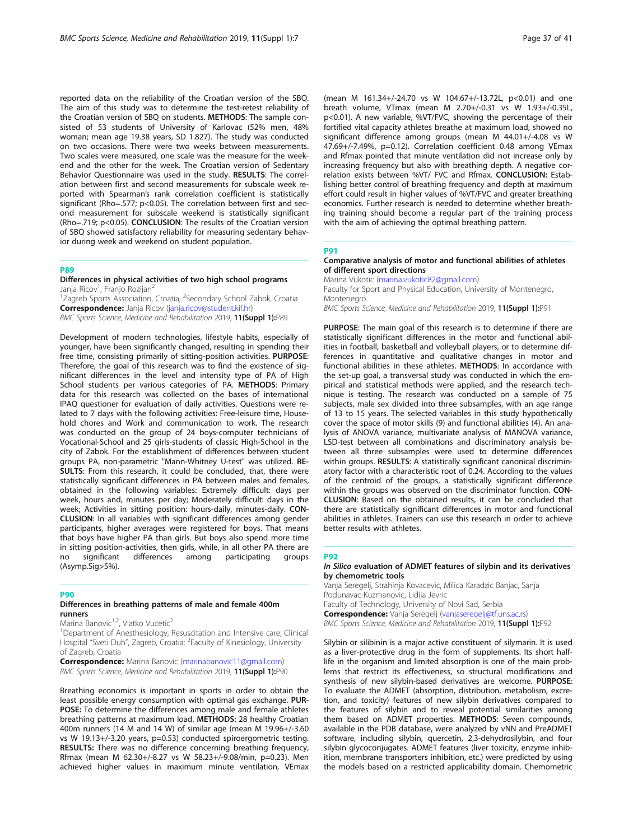reported data on the reliability of the Croatian version of the SBQ. The aim of this study was to determine the test-retest reliability of the Croatian version of SBQ on students. METHODS: The sample consisted of 53 students of University of Karlovac (52% men, 48% woman; mean age 19.38 years, SD 1.827). The study was conducted on two occasions. There were two weeks between measurements. Two scales were measured, one scale was the measure for the weekend and the other for the week. The Croatian version of Sedentary Behavior Questionnaire was used in the study. RESULTS: The correlation between first and second measurements for subscale week reported with Spearman's rank correlation coefficient is statistically significant (Rho=.577; p<0.05). The correlation between first and second measurement for subscale weekend is statistically significant (Rho=.719; p<0.05). CONCLUSION: The results of the Croatian version of SBQ showed satisfactory reliability for measuring sedentary behavior during week and weekend on student population.

#### **D**<sub>89</sub>

## Differences in physical activities of two high school programs Janja Ricov<sup>1</sup>, Franjo Rozijan<sup>2</sup>

<sup>1</sup>Zagreb Sports Association, Croatia; <sup>2</sup>Secondary School Zabok, Croatia Correspondence: Janja Ricov (<janja.ricov@student.kif.hr>) BMC Sports Science, Medicine and Rehabilitation 2019, 11(Suppl 1):P89

Development of modern technologies, lifestyle habits, especially of younger, have been significantly changed, resulting in spending their free time, consisting primarily of sitting-position activities. PURPOSE: Therefore, the goal of this research was to find the existence of significant differences in the level and intensity type of PA of High School students per various categories of PA. METHODS: Primary data for this research was collected on the bases of international IPAQ questioner for evaluation of daily activities. Questions were related to 7 days with the following activities: Free-leisure time, Household chores and Work and communication to work. The research was conducted on the group of 24 boys-computer technicians of Vocational-School and 25 girls-students of classic High-School in the city of Zabok. For the establishment of differences between student groups PA, non-parametric "Mann-Whitney U-test" was utilized. RE-SULTS: From this research, it could be concluded, that, there were statistically significant differences in PA between males and females, obtained in the following variables: Extremely difficult: days per week, hours and, minutes per day; Moderately difficult: days in the week; Activities in sitting position: hours-daily, minutes-daily. CON-CLUSION: In all variables with significant differences among gender participants, higher averages were registered for boys. That means that boys have higher PA than girls. But boys also spend more time in sitting position-activities, then girls, while, in all other PA there are no significant differences among participating groups (Asymp.Sig>5%).

#### P90

#### Differences in breathing patterns of male and female 400m runners

Marina Banovic<sup>1,2</sup>, Vlatko Vucetic<sup>2</sup>

<sup>1</sup>Department of Anesthesiology, Resuscitation and Intensive care, Clinical Hospital "Sveti Duh", Zagreb, Croatia; <sup>2</sup>Faculty of Kinesiology, University of Zagreb, Croatia

Correspondence: Marina Banovic [\(marinabanovic11@gmail.com\)](marinabanovic11@gmail.com) BMC Sports Science, Medicine and Rehabilitation 2019, 11(Suppl 1):P90

Breathing economics is important in sports in order to obtain the least possible energy consumption with optimal gas exchange. PUR-POSE: To determine the differences among male and female athletes breathing patterns at maximum load. METHODS: 28 healthy Croatian 400m runners (14 M and 14 W) of similar age (mean M 19.96+/-3.60 vs W 19.13+/-3.20 years, p=0.53) conducted spiroergometric testing. RESULTS: There was no difference concerning breathing frequency, Rfmax (mean M 62.30+/-8.27 vs W 58.23+/-9.08/min, p=0.23). Men achieved higher values in maximum minute ventilation, VEmax

(mean M 161.34+/-24.70 vs W 104.67+/-13.72L, p<0.01) and one breath volume, VTmax (mean M 2.70+/-0.31 vs W 1.93+/-0.35L, p<0.01). A new variable, %VT/FVC, showing the percentage of their fortified vital capacity athletes breathe at maximum load, showed no significant difference among groups (mean M 44.01+/-4.08 vs W 47.69+/-7.49%, p=0.12). Correlation coefficient 0.48 among VEmax and Rfmax pointed that minute ventilation did not increase only by increasing frequency but also with breathing depth. A negative correlation exists between %VT/ FVC and Rfmax. CONCLUSION: Establishing better control of breathing frequency and depth at maximum effort could result in higher values of %VT/FVC and greater breathing economics. Further research is needed to determine whether breathing training should become a regular part of the training process with the aim of achieving the optimal breathing pattern.

## P91

## Comparative analysis of motor and functional abilities of athletes of different sport directions

Marina Vukotic [\(marina.vukotic82@gmail.com\)](marina.vukotic82@gmail.com) Faculty for Sport and Physical Education, University of Montenegro, Montenegro BMC Sports Science, Medicine and Rehabilitation 2019, 11(Suppl 1):P91

PURPOSE: The main goal of this research is to determine if there are statistically significant differences in the motor and functional abilities in football, basketball and volleyball players, or to determine differences in quantitative and qualitative changes in motor and functional abilities in these athletes. METHODS: In accordance with the set-up goal, a transversal study was conducted in which the empirical and statistical methods were applied, and the research technique is testing. The research was conducted on a sample of 75 subjects, male sex divided into three subsamples, with an age range of 13 to 15 years. The selected variables in this study hypothetically cover the space of motor skills (9) and functional abilities (4). An analysis of ANOVA variance, multivariate analysis of MANOVA variance, LSD-test between all combinations and discriminatory analysis between all three subsamples were used to determine differences within groups. RESULTS: A statistically significant canonical discriminatory factor with a characteristic root of 0.24. According to the values of the centroid of the groups, a statistically significant difference within the groups was observed on the discriminator function. CON-CLUSION: Based on the obtained results, it can be concluded that there are statistically significant differences in motor and functional abilities in athletes. Trainers can use this research in order to achieve better results with athletes.

#### P92

## In Silico evaluation of ADMET features of silybin and its derivatives by chemometric tools

Vanja Seregelj, Strahinja Kovacevic, Milica Karadzic Banjac, Sanja Podunavac-Kuzmanovic, Lidija Jevric Faculty of Technology, University of Novi Sad, Serbia Correspondence: Vanja Seregelj [\(vanjaseregelj@tf.uns.ac.rs\)](vanjaseregelj@tf.uns.ac.rs) BMC Sports Science, Medicine and Rehabilitation 2019, 11(Suppl 1):P92

Silybin or silibinin is a major active constituent of silymarin. It is used as a liver-protective drug in the form of supplements. Its short halflife in the organism and limited absorption is one of the main problems that restrict its effectiveness, so structural modifications and synthesis of new silybin-based derivatives are welcome. PURPOSE: To evaluate the ADMET (absorption, distribution, metabolism, excretion, and toxicity) features of new silybin derivatives compared to the features of silybin and to reveal potential similarities among them based on ADMET properties. METHODS: Seven compounds, available in the PDB database, were analyzed by vNN and PreADMET software, including silybin, quercetin, 2,3-dehydrosilybin, and four silybin glycoconjugates. ADMET features (liver toxicity, enzyme inhibition, membrane transporters inhibition, etc.) were predicted by using the models based on a restricted applicability domain. Chemometric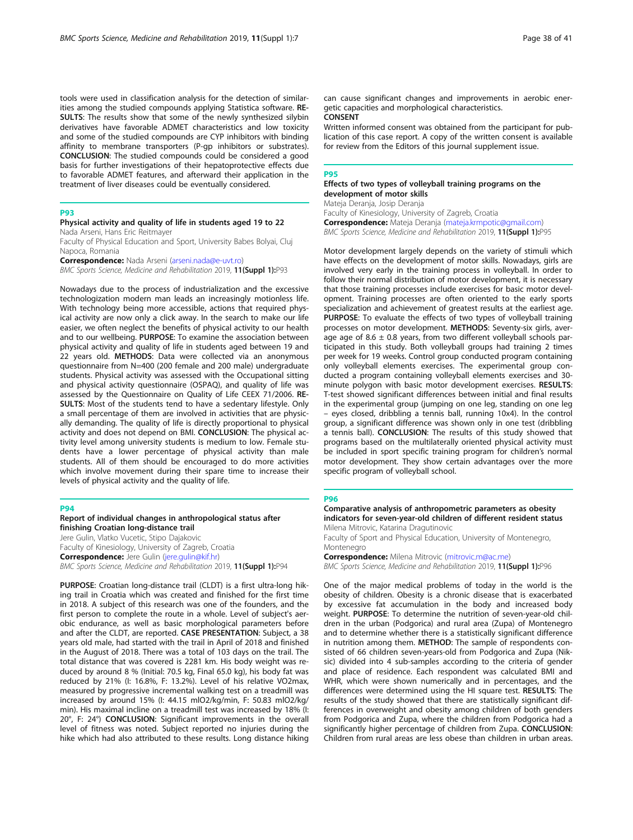tools were used in classification analysis for the detection of similarities among the studied compounds applying Statistica software. RE-SULTS: The results show that some of the newly synthesized silybin derivatives have favorable ADMET characteristics and low toxicity and some of the studied compounds are CYP inhibitors with binding affinity to membrane transporters (P-gp inhibitors or substrates). CONCLUSION: The studied compounds could be considered a good basis for further investigations of their hepatoprotective effects due to favorable ADMET features, and afterward their application in the treatment of liver diseases could be eventually considered.

## P93

## Physical activity and quality of life in students aged 19 to 22

Nada Arseni, Hans Eric Reitmayer Faculty of Physical Education and Sport, University Babes Bolyai, Cluj Napoca, Romania

Correspondence: Nada Arseni (<arseni.nada@e-uvt.ro>)

BMC Sports Science, Medicine and Rehabilitation 2019, 11(Suppl 1):P93

Nowadays due to the process of industrialization and the excessive technologization modern man leads an increasingly motionless life. With technology being more accessible, actions that required physical activity are now only a click away. In the search to make our life easier, we often neglect the benefits of physical activity to our health and to our wellbeing. PURPOSE: To examine the association between physical activity and quality of life in students aged between 19 and 22 years old. METHODS: Data were collected via an anonymous questionnaire from N=400 (200 female and 200 male) undergraduate students. Physical activity was assessed with the Occupational sitting and physical activity questionnaire (OSPAQ), and quality of life was assessed by the Questionnaire on Quality of Life CEEX 71/2006. RE-SULTS: Most of the students tend to have a sedentary lifestyle. Only a small percentage of them are involved in activities that are physically demanding. The quality of life is directly proportional to physical activity and does not depend on BMI. CONCLUSION: The physical activity level among university students is medium to low. Female students have a lower percentage of physical activity than male students. All of them should be encouraged to do more activities which involve movement during their spare time to increase their levels of physical activity and the quality of life.

#### P94

## Report of individual changes in anthropological status after finishing Croatian long-distance trail Jere Gulin, Vlatko Vucetic, Stipo Dajakovic

Faculty of Kinesiology, University of Zagreb, Croatia Correspondence: Jere Gulin [\(jere.gulin@kif.hr\)](jere.gulin@kif.hr) BMC Sports Science, Medicine and Rehabilitation 2019, 11(Suppl 1):P94

PURPOSE: Croatian long-distance trail (CLDT) is a first ultra-long hiking trail in Croatia which was created and finished for the first time in 2018. A subject of this research was one of the founders, and the first person to complete the route in a whole. Level of subject's aerobic endurance, as well as basic morphological parameters before and after the CLDT, are reported. CASE PRESENTATION: Subject, a 38 years old male, had started with the trail in April of 2018 and finished in the August of 2018. There was a total of 103 days on the trail. The total distance that was covered is 2281 km. His body weight was reduced by around 8 % (Initial: 70.5 kg, Final 65.0 kg), his body fat was reduced by 21% (I: 16.8%, F: 13.2%). Level of his relative VO2max, measured by progressive incremental walking test on a treadmill was increased by around 15% (I: 44.15 mlO2/kg/min, F: 50.83 mlO2/kg/ min). His maximal incline on a treadmill test was increased by 18% (I: 20°, F: 24°) CONCLUSION: Significant improvements in the overall level of fitness was noted. Subject reported no injuries during the hike which had also attributed to these results. Long distance hiking

can cause significant changes and improvements in aerobic energetic capacities and morphological characteristics.

## CONSENT

Written informed consent was obtained from the participant for publication of this case report. A copy of the written consent is available for review from the Editors of this journal supplement issue.

#### P95

## Effects of two types of volleyball training programs on the development of motor skills

Mateja Deranja, Josip Deranja Faculty of Kinesiology, University of Zagreb, Croatia Correspondence: Mateja Deranja ([mateja.krmpotic@gmail.com\)](mateja.krmpotic@gmail.com) BMC Sports Science, Medicine and Rehabilitation 2019, 11(Suppl 1):P95

Motor development largely depends on the variety of stimuli which have effects on the development of motor skills. Nowadays, girls are involved very early in the training process in volleyball. In order to follow their normal distribution of motor development, it is necessary that those training processes include exercises for basic motor development. Training processes are often oriented to the early sports specialization and achievement of greatest results at the earliest age. PURPOSE: To evaluate the effects of two types of volleyball training processes on motor development. METHODS: Seventy-six girls, average age of 8.6  $\pm$  0.8 years, from two different volleyball schools participated in this study. Both volleyball groups had training 2 times per week for 19 weeks. Control group conducted program containing only volleyball elements exercises. The experimental group conducted a program containing volleyball elements exercises and 30 minute polygon with basic motor development exercises. RESULTS: T-test showed significant differences between initial and final results in the experimental group (jumping on one leg, standing on one leg – eyes closed, dribbling a tennis ball, running 10x4). In the control group, a significant difference was shown only in one test (dribbling a tennis ball). CONCLUSION: The results of this study showed that programs based on the multilaterally oriented physical activity must be included in sport specific training program for children's normal motor development. They show certain advantages over the more specific program of volleyball school.

#### P96

## Comparative analysis of anthropometric parameters as obesity indicators for seven-year-old children of different resident status Milena Mitrovic, Katarina Dragutinovic

Faculty of Sport and Physical Education, University of Montenegro, **Montenegro** 

Correspondence: Milena Mitrovic ([mitrovic.m@ac.me\)](mitrovic.m@ac.me)

BMC Sports Science, Medicine and Rehabilitation 2019, 11(Suppl 1):P96

One of the major medical problems of today in the world is the obesity of children. Obesity is a chronic disease that is exacerbated by excessive fat accumulation in the body and increased body weight. PURPOSE: To determine the nutrition of seven-year-old children in the urban (Podgorica) and rural area (Zupa) of Montenegro and to determine whether there is a statistically significant difference in nutrition among them. METHOD: The sample of respondents consisted of 66 children seven-years-old from Podgorica and Zupa (Niksic) divided into 4 sub-samples according to the criteria of gender and place of residence. Each respondent was calculated BMI and WHR, which were shown numerically and in percentages, and the differences were determined using the HI square test. RESULTS: The results of the study showed that there are statistically significant differences in overweight and obesity among children of both genders from Podgorica and Zupa, where the children from Podgorica had a significantly higher percentage of children from Zupa. CONCLUSION: Children from rural areas are less obese than children in urban areas.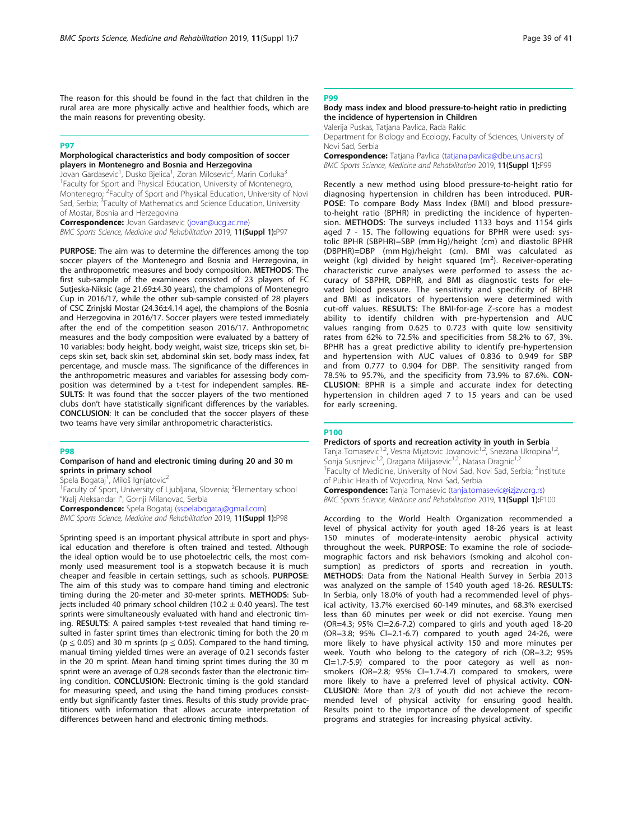The reason for this should be found in the fact that children in the rural area are more physically active and healthier foods, which are the main reasons for preventing obesity.

#### **P97**

#### Morphological characteristics and body composition of soccer players in Montenegro and Bosnia and Herzegovina

.<br>Jovan Gardasevic<sup>1</sup>, Dusko Bjelica<sup>1</sup>, Zoran Milosevic<sup>2</sup>, Marin Corluka<sup>3</sup> <sup>1</sup> Faculty for Sport and Physical Education, University of Montenegro, Montenegro; <sup>2</sup>Faculty of Sport and Physical Education, University of Novi Sad, Serbia; <sup>3</sup>Faculty of Mathematics and Science Education, University of Mostar, Bosnia and Herzegovina

**Correspondence:** Jovan Gardasevic [\(jovan@ucg.ac.me](jovan@ucg.ac.me))

BMC Sports Science, Medicine and Rehabilitation 2019, 11(Suppl 1):P97

PURPOSE: The aim was to determine the differences among the top soccer players of the Montenegro and Bosnia and Herzegovina, in the anthropometric measures and body composition. METHODS: The first sub-sample of the examinees consisted of 23 players of FC Sutjeska-Niksic (age 21.69±4.30 years), the champions of Montenegro Cup in 2016/17, while the other sub-sample consisted of 28 players of CSC Zrinjski Mostar (24.36±4.14 age), the champions of the Bosnia and Herzegovina in 2016/17. Soccer players were tested immediately after the end of the competition season 2016/17. Anthropometric measures and the body composition were evaluated by a battery of 10 variables: body height, body weight, waist size, triceps skin set, biceps skin set, back skin set, abdominal skin set, body mass index, fat percentage, and muscle mass. The significance of the differences in the anthropometric measures and variables for assessing body composition was determined by a t-test for independent samples. RE-SULTS: It was found that the soccer players of the two mentioned clubs don't have statistically significant differences by the variables. CONCLUSION: It can be concluded that the soccer players of these two teams have very similar anthropometric characteristics.

## P98

## Comparison of hand and electronic timing during 20 and 30 m sprints in primary school

Spela Bogataj<sup>1</sup>, Miloš Ignjatovic<sup>2</sup>

<sup>1</sup> Faculty of Sport, University of Ljubljana, Slovenia; <sup>2</sup> Elementary school "Kralj Aleksandar I", Gornji Milanovac, Serbia

Correspondence: Spela Bogataj ([sspelabogataj@gmail.com\)](sspelabogataj@gmail.com)

BMC Sports Science, Medicine and Rehabilitation 2019, 11(Suppl 1):P98

Sprinting speed is an important physical attribute in sport and physical education and therefore is often trained and tested. Although the ideal option would be to use photoelectric cells, the most commonly used measurement tool is a stopwatch because it is much cheaper and feasible in certain settings, such as schools. PURPOSE: The aim of this study was to compare hand timing and electronic timing during the 20-meter and 30-meter sprints. METHODS: Subjects included 40 primary school children (10.2  $\pm$  0.40 years). The test sprints were simultaneously evaluated with hand and electronic timing. RESULTS: A paired samples t-test revealed that hand timing resulted in faster sprint times than electronic timing for both the 20 m ( $p \le 0.05$ ) and 30 m sprints ( $p \le 0.05$ ). Compared to the hand timing, manual timing yielded times were an average of 0.21 seconds faster in the 20 m sprint. Mean hand timing sprint times during the 30 m sprint were an average of 0.28 seconds faster than the electronic timing condition. CONCLUSION: Electronic timing is the gold standard for measuring speed, and using the hand timing produces consistently but significantly faster times. Results of this study provide practitioners with information that allows accurate interpretation of differences between hand and electronic timing methods.

## P99

## Body mass index and blood pressure-to-height ratio in predicting the incidence of hypertension in Children

Valerija Puskas, Tatjana Pavlica, Rada Rakic Department for Biology and Ecology, Faculty of Sciences, University of Novi Sad, Serbia

Correspondence: Tatjana Pavlica [\(tatjana.pavlica@dbe.uns.ac.rs\)](tatjana.pavlica@dbe.uns.ac.rs) BMC Sports Science, Medicine and Rehabilitation 2019, 11(Suppl 1):P99

Recently a new method using blood pressure-to-height ratio for diagnosing hypertension in children has been introduced. PUR-POSE: To compare Body Mass Index (BMI) and blood pressureto-height ratio (BPHR) in predicting the incidence of hypertension. METHODS: The surveys included 1133 boys and 1154 girls aged 7 - 15. The following equations for BPHR were used: systolic BPHR (SBPHR)=SBP (mm Hg)/height (cm) and diastolic BPHR (DBPHR)=DBP (mm Hg)/height (cm). BMI was calculated as weight (kg) divided by height squared  $(m<sup>2</sup>)$ . Receiver-operating characteristic curve analyses were performed to assess the accuracy of SBPHR, DBPHR, and BMI as diagnostic tests for elevated blood pressure. The sensitivity and specificity of BPHR and BMI as indicators of hypertension were determined with cut-off values. RESULTS: The BMI-for-age Z-score has a modest ability to identify children with pre-hypertension and AUC values ranging from 0.625 to 0.723 with quite low sensitivity rates from 62% to 72.5% and specificities from 58.2% to 67, 3%. BPHR has a great predictive ability to identify pre-hypertension and hypertension with AUC values of 0.836 to 0.949 for SBP and from 0.777 to 0.904 for DBP. The sensitivity ranged from 78.5% to 95.7%, and the specificity from 73.9% to 87.6%. CON-CLUSION: BPHR is a simple and accurate index for detecting hypertension in children aged 7 to 15 years and can be used for early screening.

#### P100

## Predictors of sports and recreation activity in youth in Serbia Tanja Tomasevic<sup>1,2</sup>, Vesna Mijatovic Jovanovic<sup>1,2</sup>, Snezana Ukropina<sup>1,2</sup>, Sonja Susnjevic<sup>1,2</sup>, Dragana Milijasevic<sup>1,2</sup>, Natasa Dragnic<sup>1,2</sup> <sup>1</sup> Faculty of Medicine, University of Novi Sad, Novi Sad, Serbia; <sup>2</sup>Institute of Public Health of Vojvodina, Novi Sad, Serbia **Correspondence:** Tanja Tomasevic [\(tanja.tomasevic@izjzv.org.rs\)](tanja.tomasevic@izjzv.org.rs)

BMC Sports Science, Medicine and Rehabilitation 2019, 11(Suppl 1):P100

According to the World Health Organization recommended a level of physical activity for youth aged 18-26 years is at least 150 minutes of moderate-intensity aerobic physical activity throughout the week. PURPOSE: To examine the role of sociodemographic factors and risk behaviors (smoking and alcohol consumption) as predictors of sports and recreation in youth. METHODS: Data from the National Health Survey in Serbia 2013 was analyzed on the sample of 1540 youth aged 18-26. RESULTS: In Serbia, only 18.0% of youth had a recommended level of physical activity, 13.7% exercised 60-149 minutes, and 68.3% exercised less than 60 minutes per week or did not exercise. Young men (OR=4.3; 95% CI=2.6-7.2) compared to girls and youth aged 18-20 (OR=3.8; 95% CI=2.1-6.7) compared to youth aged 24-26, were more likely to have physical activity 150 and more minutes per week. Youth who belong to the category of rich (OR=3.2; 95%  $Cl=1.7-5.9$ ) compared to the poor category as well as nonsmokers (OR=2.8; 95% Cl=1.7-4.7) compared to smokers, were more likely to have a preferred level of physical activity. CON-CLUSION: More than 2/3 of youth did not achieve the recommended level of physical activity for ensuring good health. Results point to the importance of the development of specific programs and strategies for increasing physical activity.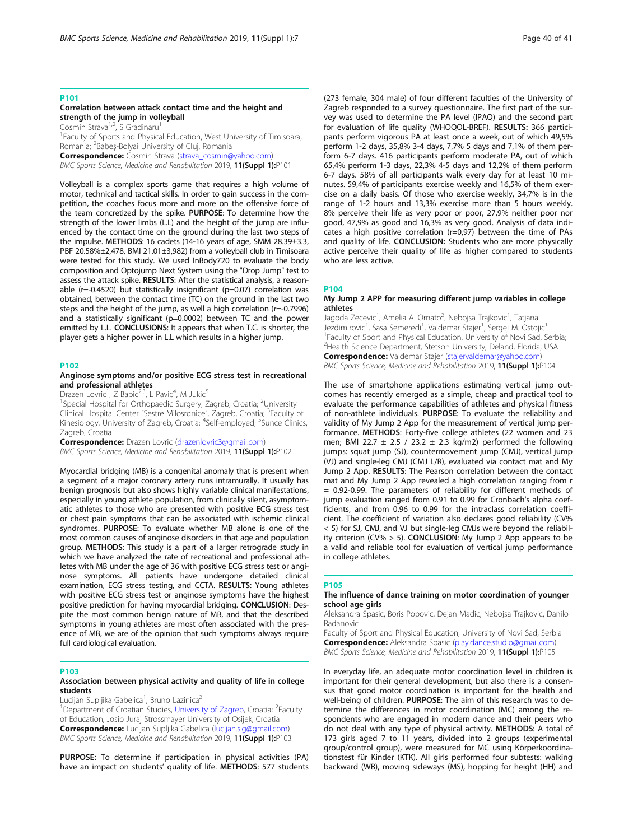## Correlation between attack contact time and the height and strength of the jump in volleyball

Cosmin Strava<sup>1,2</sup>, S Gradinaru<sup>1</sup> <sup>1</sup> Faculty of Sports and Physical Education, West University of Timisoara, Romania; <sup>2</sup>Babeş-Bolyai University of Cluj, Romania Correspondence: Cosmin Strava ([strava\\_cosmin@yahoo.com](strava_cosmin@yahoo.com)) BMC Sports Science, Medicine and Rehabilitation 2019, 11(Suppl 1):P101

Volleyball is a complex sports game that requires a high volume of motor, technical and tactical skills. In order to gain success in the competition, the coaches focus more and more on the offensive force of the team concretized by the spike. PURPOSE: To determine how the strength of the lower limbs (L.L) and the height of the jump are influenced by the contact time on the ground during the last two steps of the impulse. METHODS: 16 cadets (14-16 years of age, SMM 28.39±3.3, PBF 20.58%±2,478, BMI 21.01±3,982) from a volleyball club in Timisoara were tested for this study. We used InBody720 to evaluate the body composition and Optojump Next System using the "Drop Jump" test to assess the attack spike. RESULTS: After the statistical analysis, a reasonable (r=-0.4520) but statistically insignificant (p=0.07) correlation was obtained, between the contact time (TC) on the ground in the last two steps and the height of the jump, as well a high correlation (r=-0.7996) and a statistically significant (p=0.0002) between TC and the power emitted by L.L. CONCLUSIONS: It appears that when T.C. is shorter, the player gets a higher power in L.L which results in a higher jump.

#### P102

## Anginose symptoms and/or positive ECG stress test in recreational and professional athletes

Drazen Lovric<sup>1</sup>, Z Babic<sup>2,3</sup>, L Pavic<sup>4</sup>, M Jukic<sup>5</sup>

<sup>1</sup>Special Hospital for Orthopaedic Surgery, Zagreb, Croatia; <sup>2</sup>University Clinical Hospital Center "Sestre Milosrdnice", Zagreb, Croatia; <sup>3</sup>Faculty of Kinesiology, University of Zagreb, Croatia; <sup>4</sup>Self-employed; <sup>5</sup>Sunce Clinics, Zagreb, Croatia

Correspondence: Drazen Lovric (<drazenlovric3@gmail.com>) BMC Sports Science, Medicine and Rehabilitation 2019, 11(Suppl 1):P102

Myocardial bridging (MB) is a congenital anomaly that is present when a segment of a major coronary artery runs intramurally. It usually has benign prognosis but also shows highly variable clinical manifestations, especially in young athlete population, from clinically silent, asymptomatic athletes to those who are presented with positive ECG stress test or chest pain symptoms that can be associated with ischemic clinical syndromes. PURPOSE: To evaluate whether MB alone is one of the most common causes of anginose disorders in that age and population group. METHODS: This study is a part of a larger retrograde study in which we have analyzed the rate of recreational and professional athletes with MB under the age of 36 with positive ECG stress test or anginose symptoms. All patients have undergone detailed clinical examination, ECG stress testing, and CCTA. RESULTS: Young athletes with positive ECG stress test or anginose symptoms have the highest positive prediction for having myocardial bridging. CONCLUSION: Despite the most common benign nature of MB, and that the described symptoms in young athletes are most often associated with the presence of MB, we are of the opinion that such symptoms always require full cardiological evaluation.

#### P103

## Association between physical activity and quality of life in college students

Lucijan Supljika Gabelica<sup>1</sup>, Bruno Lazinica<sup>2</sup>

<sup>1</sup>Department of Croatian Studies, [University of Zagreb](http://www.unizg.hr/), Croatia; <sup>2</sup>Faculty of Education, Josip Juraj Strossmayer University of Osijek, Croatia Correspondence: Lucijan Supljika Gabelica ([lucijan.s.g@gmail.com\)](lucijan.s.g@gmail.com) BMC Sports Science, Medicine and Rehabilitation 2019, 11(Suppl 1):P103

PURPOSE: To determine if participation in physical activities (PA) have an impact on students' quality of life. METHODS: 577 students (273 female, 304 male) of four different faculties of the University of Zagreb responded to a survey questionnaire. The first part of the survey was used to determine the PA level (IPAQ) and the second part for evaluation of life quality (WHOQOL-BREF). RESULTS: 366 participants perform vigorous PA at least once a week, out of which 49,5% perform 1-2 days, 35,8% 3-4 days, 7,7% 5 days and 7,1% of them perform 6-7 days. 416 participants perform moderate PA, out of which 65,4% perform 1-3 days, 22,3% 4-5 days and 12,2% of them perform 6-7 days. 58% of all participants walk every day for at least 10 minutes. 59,4% of participants exercise weekly and 16,5% of them exercise on a daily basis. Of those who exercise weekly, 34,7% is in the range of 1-2 hours and 13,3% exercise more than 5 hours weekly. 8% perceive their life as very poor or poor, 27,9% neither poor nor good, 47,9% as good and 16,3% as very good. Analysis of data indicates a high positive correlation  $(r=0.97)$  between the time of PAs and quality of life. CONCLUSION: Students who are more physically active perceive their quality of life as higher compared to students who are less active.

#### P104

#### My Jump 2 APP for measuring different jump variables in college athletes

Jagoda Zecevic<sup>1</sup>, Amelia A. Ornato<sup>2</sup>, Nebojsa Trajkovic<sup>1</sup>, Tatjana Jezdimirovic<sup>1</sup>, Sasa Semeredi<sup>1</sup>, Valdemar Stajer<sup>1</sup>, Sergej M. Ostojic<sup>1</sup> <sup>1</sup> Faculty of Sport and Physical Education, University of Novi Sad, Serbia; <sup>2</sup>Health Science Department, Stetson University, Deland, Florida, USA Correspondence: Valdemar Stajer [\(stajervaldemar@yahoo.com](stajervaldemar@yahoo.com)) BMC Sports Science, Medicine and Rehabilitation 2019, 11(Suppl 1):P104

The use of smartphone applications estimating vertical jump outcomes has recently emerged as a simple, cheap and practical tool to evaluate the performance capabilities of athletes and physical fitness of non-athlete individuals. PURPOSE: To evaluate the reliability and validity of My Jump 2 App for the measurement of vertical jump performance. METHODS: Forty-five college athletes (22 women and 23 men; BMI 22.7  $\pm$  2.5 / 23.2  $\pm$  2.3 kg/m2) performed the following jumps: squat jump (SJ), countermovement jump (CMJ), vertical jump (VJ) and single-leg CMJ (CMJ L/R), evaluated via contact mat and My Jump 2 App. RESULTS: The Pearson correlation between the contact mat and My Jump 2 App revealed a high correlation ranging from r = 0.92-0.99. The parameters of reliability for different methods of jump evaluation ranged from 0.91 to 0.99 for Cronbach's alpha coefficients, and from 0.96 to 0.99 for the intraclass correlation coefficient. The coefficient of variation also declares good reliability (CV% < 5) for SJ, CMJ, and VJ but single-leg CMJs were beyond the reliability criterion (CV%  $> 5$ ). CONCLUSION: My Jump 2 App appears to be a valid and reliable tool for evaluation of vertical jump performance in college athletes.

#### P105

#### The influence of dance training on motor coordination of younger school age girls

Aleksandra Spasic, Boris Popovic, Dejan Madic, Nebojsa Trajkovic, Danilo Radanovic

Faculty of Sport and Physical Education, University of Novi Sad, Serbia Correspondence: Aleksandra Spasic [\(play.dance.studio@gmail.com\)](play.dance.studio@gmail.com) BMC Sports Science, Medicine and Rehabilitation 2019, 11(Suppl 1):P105

In everyday life, an adequate motor coordination level in children is important for their general development, but also there is a consensus that good motor coordination is important for the health and well-being of children. PURPOSE: The aim of this research was to determine the differences in motor coordination (MC) among the respondents who are engaged in modern dance and their peers who do not deal with any type of physical activity. METHODS: A total of 173 girls aged 7 to 11 years, divided into 2 groups (experimental group/control group), were measured for MC using Körperkoordinationstest für Kinder (KTK). All girls performed four subtests: walking backward (WB), moving sideways (MS), hopping for height (HH) and